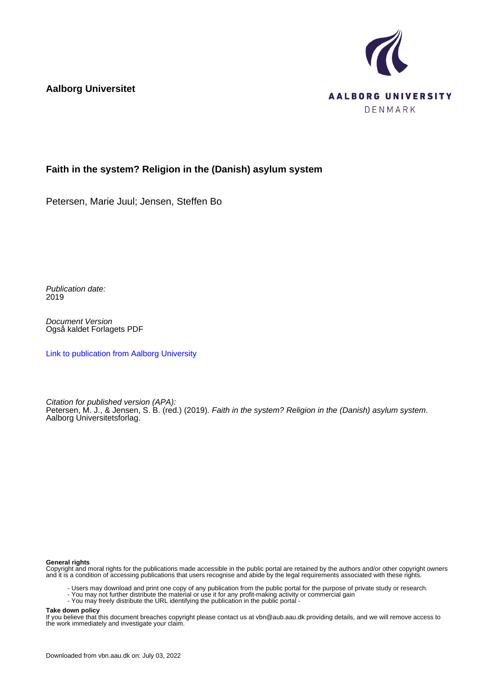**Aalborg Universitet**



### **Faith in the system? Religion in the (Danish) asylum system**

Petersen, Marie Juul; Jensen, Steffen Bo

Publication date: 2019

Document Version Også kaldet Forlagets PDF

[Link to publication from Aalborg University](https://vbn.aau.dk/da/publications/d1e306d7-8102-4cac-b046-f3edd6b9ce20)

Citation for published version (APA): Petersen, M. J., & Jensen, S. B. (red.) (2019). Faith in the system? Religion in the (Danish) asylum system. Aalborg Universitetsforlag.

#### **General rights**

Copyright and moral rights for the publications made accessible in the public portal are retained by the authors and/or other copyright owners and it is a condition of accessing publications that users recognise and abide by the legal requirements associated with these rights.

- Users may download and print one copy of any publication from the public portal for the purpose of private study or research.
- You may not further distribute the material or use it for any profit-making activity or commercial gain
- You may freely distribute the URL identifying the publication in the public portal -

#### **Take down policy**

If you believe that this document breaches copyright please contact us at vbn@aub.aau.dk providing details, and we will remove access to the work immediately and investigate your claim.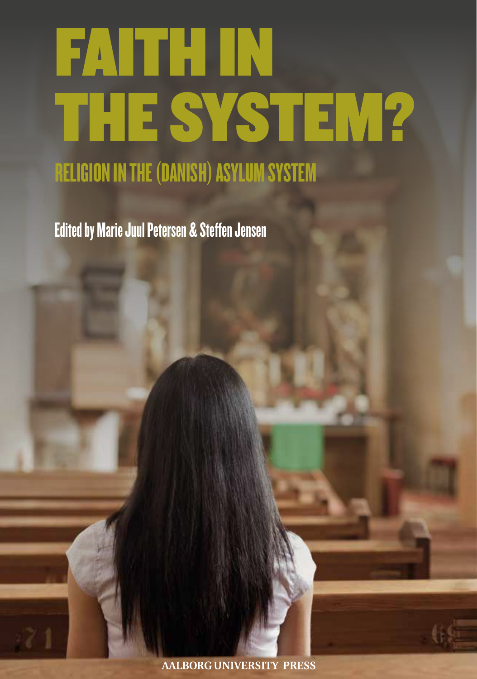# FAITH IN THE SYSTEM?

RELIGION IN THE (DANISH) ASYLUM SYSTEM

Edited by Marie Juul Petersen & Steffen Jensen

**AALBORG UNIVERSITY PRESS**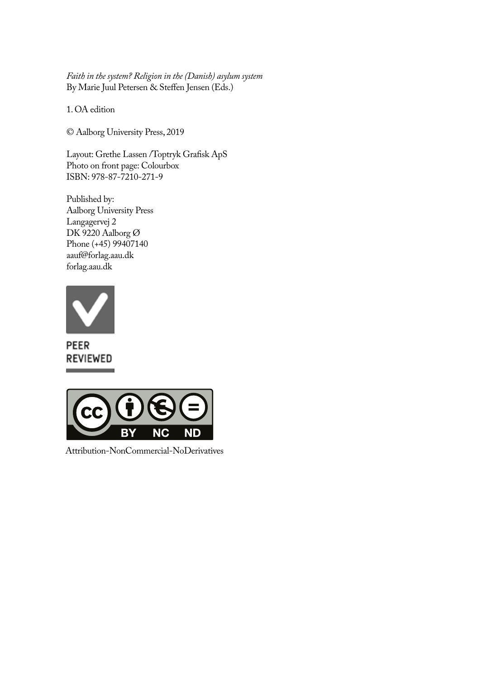*Faith in the system? Religion in the (Danish) asylum system* By Marie Juul Petersen & Steffen Jensen (Eds.)

1. OA edition

© Aalborg University Press, 2019

Layout: Grethe Lassen /Toptryk Grafisk ApS Photo on front page: Colourbox ISBN: 978-87-7210-271-9

Published by: Aalborg University Press Langagervej 2 DK 9220 Aalborg Ø Phone (+45) 99407140 aauf@forlag.aau.dk forlag.aau.dk



PEER REVIEWED



Attribution-NonCommercial-NoDerivatives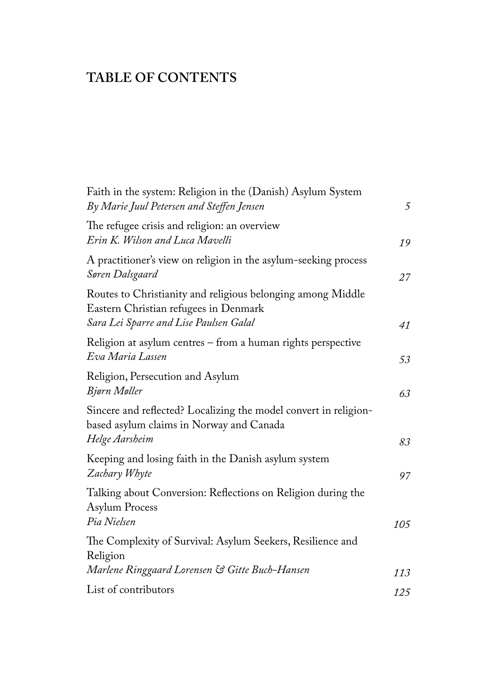## **TABLE OF CONTENTS**

| Faith in the system: Religion in the (Danish) Asylum System<br>By Marie Juul Petersen and Steffen Jensen                       | 5   |
|--------------------------------------------------------------------------------------------------------------------------------|-----|
| The refugee crisis and religion: an overview<br>Erin K. Wilson and Luca Mavelli                                                | 19  |
| A practitioner's view on religion in the asylum-seeking process<br>Søren Dalsgaard                                             | 27  |
| Routes to Christianity and religious belonging among Middle<br>Eastern Christian refugees in Denmark                           |     |
| Sara Lei Sparre and Lise Paulsen Galal                                                                                         | 41  |
| Religion at asylum centres – from a human rights perspective<br>Eva Maria Lassen                                               | 53  |
| Religion, Persecution and Asylum<br>Bjørn Møller                                                                               | 63  |
| Sincere and reflected? Localizing the model convert in religion-<br>based asylum claims in Norway and Canada<br>Helge Aarsheim | 83  |
| Keeping and losing faith in the Danish asylum system<br>Zachary Whyte                                                          | 97  |
| Talking about Conversion: Reflections on Religion during the<br><b>Asylum Process</b><br>Pia Nielsen                           |     |
| The Complexity of Survival: Asylum Seekers, Resilience and<br>Religion                                                         | 105 |
| Marlene Ringgaard Lorensen & Gitte Buch-Hansen                                                                                 | 113 |
| List of contributors                                                                                                           | 125 |
|                                                                                                                                |     |

÷.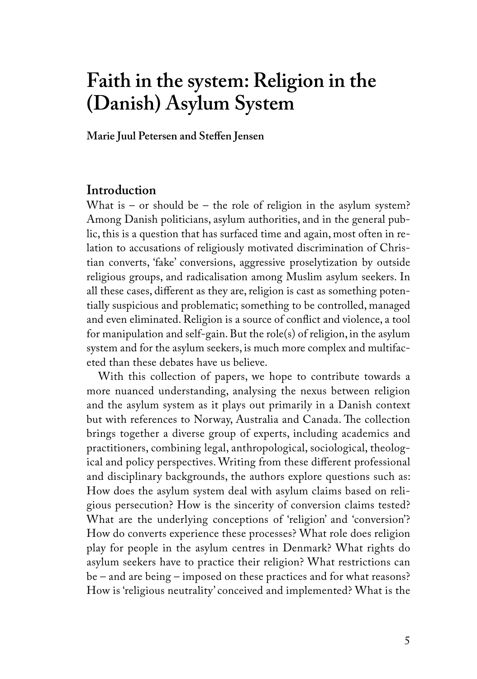# **Faith in the system: Religion in the (Danish) Asylum System**

**Marie Juul Petersen and Steffen Jensen**

#### **Introduction**

What is – or should be – the role of religion in the asylum system? Among Danish politicians, asylum authorities, and in the general public, this is a question that has surfaced time and again, most often in relation to accusations of religiously motivated discrimination of Christian converts, 'fake' conversions, aggressive proselytization by outside religious groups, and radicalisation among Muslim asylum seekers. In all these cases, different as they are, religion is cast as something potentially suspicious and problematic; something to be controlled, managed and even eliminated. Religion is a source of conflict and violence, a tool for manipulation and self-gain. But the role(s) of religion, in the asylum system and for the asylum seekers, is much more complex and multifaceted than these debates have us believe.

With this collection of papers, we hope to contribute towards a more nuanced understanding, analysing the nexus between religion and the asylum system as it plays out primarily in a Danish context but with references to Norway, Australia and Canada. The collection brings together a diverse group of experts, including academics and practitioners, combining legal, anthropological, sociological, theological and policy perspectives. Writing from these different professional and disciplinary backgrounds, the authors explore questions such as: How does the asylum system deal with asylum claims based on religious persecution? How is the sincerity of conversion claims tested? What are the underlying conceptions of 'religion' and 'conversion'? How do converts experience these processes? What role does religion play for people in the asylum centres in Denmark? What rights do asylum seekers have to practice their religion? What restrictions can be – and are being – imposed on these practices and for what reasons? How is 'religious neutrality' conceived and implemented? What is the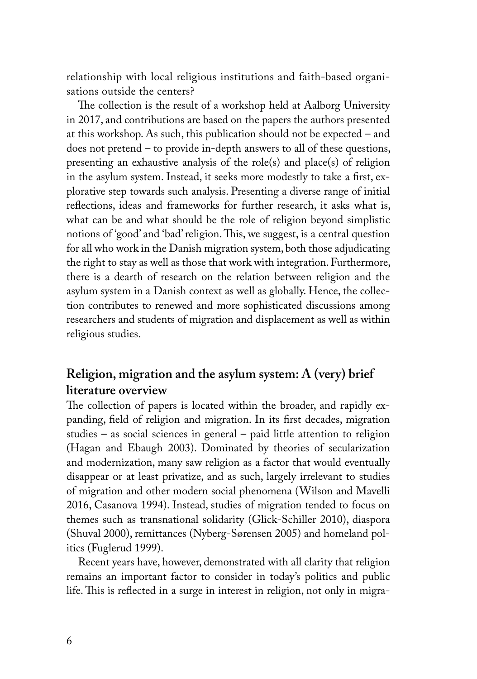relationship with local religious institutions and faith-based organisations outside the centers?

The collection is the result of a workshop held at Aalborg University in 2017, and contributions are based on the papers the authors presented at this workshop. As such, this publication should not be expected – and does not pretend – to provide in-depth answers to all of these questions, presenting an exhaustive analysis of the role(s) and place(s) of religion in the asylum system. Instead, it seeks more modestly to take a first, explorative step towards such analysis. Presenting a diverse range of initial reflections, ideas and frameworks for further research, it asks what is, what can be and what should be the role of religion beyond simplistic notions of 'good' and 'bad' religion. This, we suggest, is a central question for all who work in the Danish migration system, both those adjudicating the right to stay as well as those that work with integration. Furthermore, there is a dearth of research on the relation between religion and the asylum system in a Danish context as well as globally. Hence, the collection contributes to renewed and more sophisticated discussions among researchers and students of migration and displacement as well as within religious studies.

## **Religion, migration and the asylum system: A (very) brief literature overview**

The collection of papers is located within the broader, and rapidly expanding, field of religion and migration. In its first decades, migration studies – as social sciences in general – paid little attention to religion (Hagan and Ebaugh 2003). Dominated by theories of secularization and modernization, many saw religion as a factor that would eventually disappear or at least privatize, and as such, largely irrelevant to studies of migration and other modern social phenomena (Wilson and Mavelli 2016, Casanova 1994). Instead, studies of migration tended to focus on themes such as transnational solidarity (Glick-Schiller 2010), diaspora (Shuval 2000), remittances (Nyberg-Sørensen 2005) and homeland politics (Fuglerud 1999).

Recent years have, however, demonstrated with all clarity that religion remains an important factor to consider in today's politics and public life. This is reflected in a surge in interest in religion, not only in migra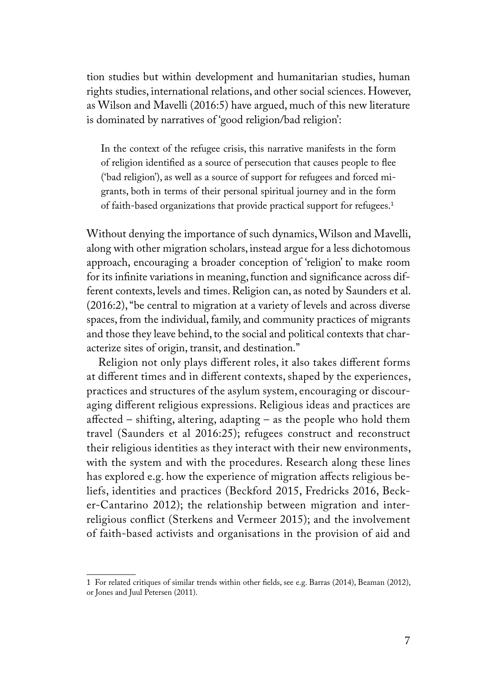tion studies but within development and humanitarian studies, human rights studies, international relations, and other social sciences. However, as Wilson and Mavelli (2016:5) have argued, much of this new literature is dominated by narratives of 'good religion/bad religion':

In the context of the refugee crisis, this narrative manifests in the form of religion identified as a source of persecution that causes people to flee ('bad religion'), as well as a source of support for refugees and forced migrants, both in terms of their personal spiritual journey and in the form of faith-based organizations that provide practical support for refugees.<sup>1</sup>

Without denying the importance of such dynamics, Wilson and Mavelli, along with other migration scholars, instead argue for a less dichotomous approach, encouraging a broader conception of 'religion' to make room for its infinite variations in meaning, function and significance across different contexts, levels and times. Religion can, as noted by Saunders et al. (2016:2), "be central to migration at a variety of levels and across diverse spaces, from the individual, family, and community practices of migrants and those they leave behind, to the social and political contexts that characterize sites of origin, transit, and destination."

Religion not only plays different roles, it also takes different forms at different times and in different contexts, shaped by the experiences, practices and structures of the asylum system, encouraging or discouraging different religious expressions. Religious ideas and practices are affected – shifting, altering, adapting – as the people who hold them travel (Saunders et al 2016:25); refugees construct and reconstruct their religious identities as they interact with their new environments, with the system and with the procedures. Research along these lines has explored e.g. how the experience of migration affects religious beliefs, identities and practices (Beckford 2015, Fredricks 2016, Becker-Cantarino 2012); the relationship between migration and interreligious conflict (Sterkens and Vermeer 2015); and the involvement of faith-based activists and organisations in the provision of aid and

<sup>1</sup> For related critiques of similar trends within other fields, see e.g. Barras (2014), Beaman (2012), or Jones and Juul Petersen (2011).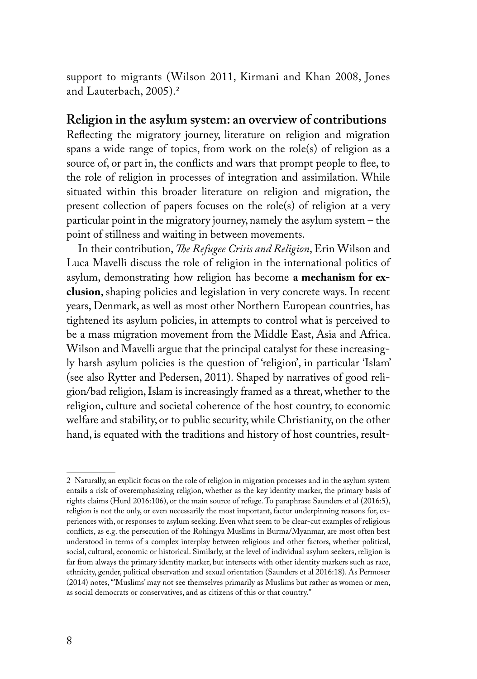support to migrants (Wilson 2011, Kirmani and Khan 2008, Jones and Lauterbach, 2005).<sup>2</sup>

#### **Religion in the asylum system: an overview of contributions**

Reflecting the migratory journey, literature on religion and migration spans a wide range of topics, from work on the role(s) of religion as a source of, or part in, the conflicts and wars that prompt people to flee, to the role of religion in processes of integration and assimilation. While situated within this broader literature on religion and migration, the present collection of papers focuses on the role(s) of religion at a very particular point in the migratory journey, namely the asylum system – the point of stillness and waiting in between movements.

In their contribution, *The Refugee Crisis and Religion*, Erin Wilson and Luca Mavelli discuss the role of religion in the international politics of asylum, demonstrating how religion has become **a mechanism for exclusion**, shaping policies and legislation in very concrete ways. In recent years, Denmark, as well as most other Northern European countries, has tightened its asylum policies, in attempts to control what is perceived to be a mass migration movement from the Middle East, Asia and Africa. Wilson and Mavelli argue that the principal catalyst for these increasingly harsh asylum policies is the question of 'religion', in particular 'Islam' (see also Rytter and Pedersen, 2011). Shaped by narratives of good religion/bad religion, Islam is increasingly framed as a threat, whether to the religion, culture and societal coherence of the host country, to economic welfare and stability, or to public security, while Christianity, on the other hand, is equated with the traditions and history of host countries, result-

<sup>2</sup> Naturally, an explicit focus on the role of religion in migration processes and in the asylum system entails a risk of overemphasizing religion, whether as the key identity marker, the primary basis of rights claims (Hurd 2016:106), or the main source of refuge. To paraphrase Saunders et al (2016:5), religion is not the only, or even necessarily the most important, factor underpinning reasons for, experiences with, or responses to asylum seeking. Even what seem to be clear-cut examples of religious conflicts, as e.g. the persecution of the Rohingya Muslims in Burma/Myanmar, are most often best understood in terms of a complex interplay between religious and other factors, whether political, social, cultural, economic or historical. Similarly, at the level of individual asylum seekers, religion is far from always the primary identity marker, but intersects with other identity markers such as race, ethnicity, gender, political observation and sexual orientation (Saunders et al 2016:18). As Permoser (2014) notes, "'Muslims' may not see themselves primarily as Muslims but rather as women or men, as social democrats or conservatives, and as citizens of this or that country."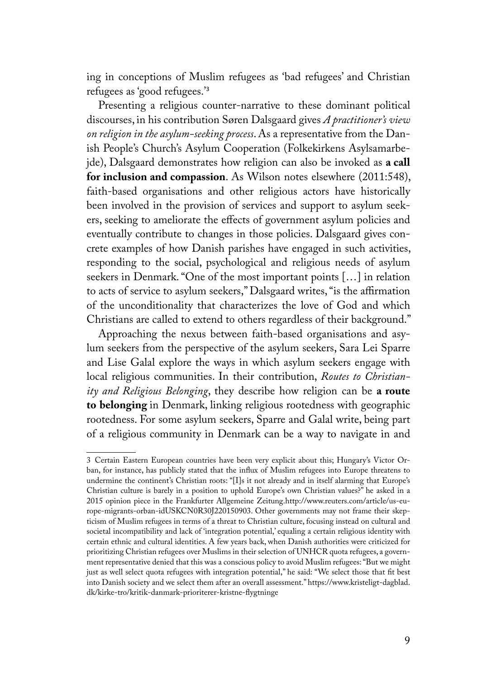ing in conceptions of Muslim refugees as 'bad refugees' and Christian refugees as 'good refugees.'<sup>3</sup>

Presenting a religious counter-narrative to these dominant political discourses, in his contribution Søren Dalsgaard gives *A practitioner's view on religion in the asylum-seeking process*. As a representative from the Danish People's Church's Asylum Cooperation (Folkekirkens Asylsamarbejde), Dalsgaard demonstrates how religion can also be invoked as **a call for inclusion and compassion**. As Wilson notes elsewhere (2011:548), faith-based organisations and other religious actors have historically been involved in the provision of services and support to asylum seekers, seeking to ameliorate the effects of government asylum policies and eventually contribute to changes in those policies. Dalsgaard gives concrete examples of how Danish parishes have engaged in such activities, responding to the social, psychological and religious needs of asylum seekers in Denmark. "One of the most important points […] in relation to acts of service to asylum seekers," Dalsgaard writes, "is the affirmation of the unconditionality that characterizes the love of God and which Christians are called to extend to others regardless of their background."

Approaching the nexus between faith-based organisations and asylum seekers from the perspective of the asylum seekers, Sara Lei Sparre and Lise Galal explore the ways in which asylum seekers engage with local religious communities. In their contribution, *Routes to Christianity and Religious Belonging*, they describe how religion can be **a route to belonging** in Denmark, linking religious rootedness with geographic rootedness. For some asylum seekers, Sparre and Galal write, being part of a religious community in Denmark can be a way to navigate in and

<sup>3</sup> Certain Eastern European countries have been very explicit about this; Hungary's Victor Orban, for instance, has publicly stated that the influx of Muslim refugees into Europe threatens to undermine the continent's Christian roots: "[I]s it not already and in itself alarming that Europe's Christian culture is barely in a position to uphold Europe's own Christian values?" he asked in a 2015 opinion piece in the Frankfurter Allgemeine Zeitung.http://www.reuters.com/article/us-europe-migrants-orban-idUSKCN0R30J220150903. Other governments may not frame their skepticism of Muslim refugees in terms of a threat to Christian culture, focusing instead on cultural and societal incompatibility and lack of 'integration potential,' equaling a certain religious identity with certain ethnic and cultural identities. A few years back, when Danish authorities were criticized for prioritizing Christian refugees over Muslims in their selection of UNHCR quota refugees, a government representative denied that this was a conscious policy to avoid Muslim refugees: "But we might just as well select quota refugees with integration potential," he said: "We select those that fit best into Danish society and we select them after an overall assessment." https://www.kristeligt-dagblad. dk/kirke-tro/kritik-danmark-prioriterer-kristne-flygtninge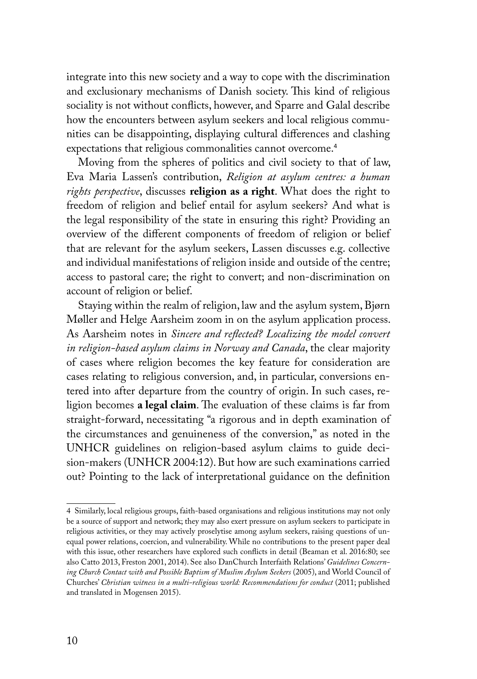integrate into this new society and a way to cope with the discrimination and exclusionary mechanisms of Danish society. This kind of religious sociality is not without conflicts, however, and Sparre and Galal describe how the encounters between asylum seekers and local religious communities can be disappointing, displaying cultural differences and clashing expectations that religious commonalities cannot overcome.<sup>4</sup>

Moving from the spheres of politics and civil society to that of law, Eva Maria Lassen's contribution, *Religion at asylum centres: a human rights perspective*, discusses **religion as a right**. What does the right to freedom of religion and belief entail for asylum seekers? And what is the legal responsibility of the state in ensuring this right? Providing an overview of the different components of freedom of religion or belief that are relevant for the asylum seekers, Lassen discusses e.g. collective and individual manifestations of religion inside and outside of the centre; access to pastoral care; the right to convert; and non-discrimination on account of religion or belief.

Staying within the realm of religion, law and the asylum system, Bjørn Møller and Helge Aarsheim zoom in on the asylum application process. As Aarsheim notes in *Sincere and reflected? Localizing the model convert in religion-based asylum claims in Norway and Canada*, the clear majority of cases where religion becomes the key feature for consideration are cases relating to religious conversion, and, in particular, conversions entered into after departure from the country of origin. In such cases, religion becomes **a legal claim**. The evaluation of these claims is far from straight-forward, necessitating "a rigorous and in depth examination of the circumstances and genuineness of the conversion," as noted in the UNHCR guidelines on religion-based asylum claims to guide decision-makers (UNHCR 2004:12). But how are such examinations carried out? Pointing to the lack of interpretational guidance on the definition

<sup>4</sup> Similarly, local religious groups, faith-based organisations and religious institutions may not only be a source of support and network; they may also exert pressure on asylum seekers to participate in religious activities, or they may actively proselytise among asylum seekers, raising questions of unequal power relations, coercion, and vulnerability. While no contributions to the present paper deal with this issue, other researchers have explored such conflicts in detail (Beaman et al. 2016:80; see also Catto 2013, Freston 2001, 2014). See also DanChurch Interfaith Relations' *Guidelines Concerning Church Contact with and Possible Baptism of Muslim Asylum Seekers* (2005), and World Council of Churches' *Christian witness in a multi-religious world: Recommendations for conduct* (2011; published and translated in Mogensen 2015).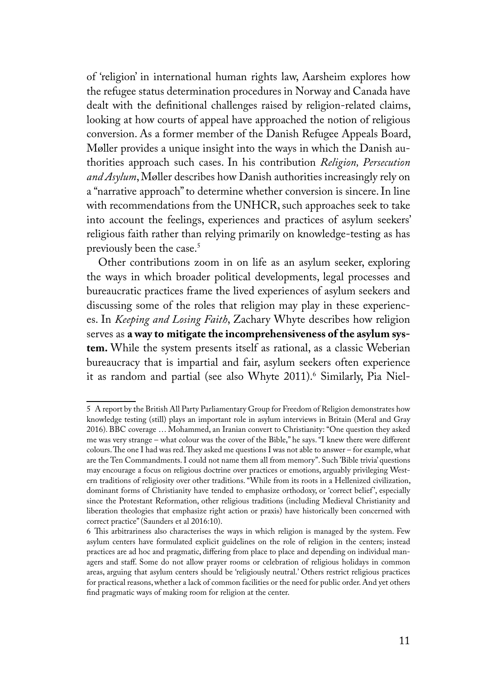of 'religion' in international human rights law, Aarsheim explores how the refugee status determination procedures in Norway and Canada have dealt with the definitional challenges raised by religion-related claims, looking at how courts of appeal have approached the notion of religious conversion. As a former member of the Danish Refugee Appeals Board, Møller provides a unique insight into the ways in which the Danish authorities approach such cases. In his contribution *Religion, Persecution and Asylum*, Møller describes how Danish authorities increasingly rely on a "narrative approach" to determine whether conversion is sincere. In line with recommendations from the UNHCR, such approaches seek to take into account the feelings, experiences and practices of asylum seekers' religious faith rather than relying primarily on knowledge-testing as has previously been the case.<sup>5</sup>

Other contributions zoom in on life as an asylum seeker, exploring the ways in which broader political developments, legal processes and bureaucratic practices frame the lived experiences of asylum seekers and discussing some of the roles that religion may play in these experiences. In *Keeping and Losing Faith*, Zachary Whyte describes how religion serves as **a way to mitigate the incomprehensiveness of the asylum system.** While the system presents itself as rational, as a classic Weberian bureaucracy that is impartial and fair, asylum seekers often experience it as random and partial (see also Whyte 2011).<sup>6</sup> Similarly, Pia Niel-

<sup>5</sup> A report by the British All Party Parliamentary Group for Freedom of Religion demonstrates how knowledge testing (still) plays an important role in asylum interviews in Britain (Meral and Gray 2016). BBC coverage … Mohammed, an Iranian convert to Christianity: "One question they asked me was very strange – what colour was the cover of the Bible," he says. "I knew there were different colours. The one I had was red. They asked me questions I was not able to answer – for example, what are the Ten Commandments. I could not name them all from memory". Such 'Bible trivia' questions may encourage a focus on religious doctrine over practices or emotions, arguably privileging Western traditions of religiosity over other traditions. "While from its roots in a Hellenized civilization, dominant forms of Christianity have tended to emphasize orthodoxy, or 'correct belief', especially since the Protestant Reformation, other religious traditions (including Medieval Christianity and liberation theologies that emphasize right action or praxis) have historically been concerned with correct practice" (Saunders et al 2016:10).

<sup>6</sup> This arbitrariness also characterises the ways in which religion is managed by the system. Few asylum centers have formulated explicit guidelines on the role of religion in the centers; instead practices are ad hoc and pragmatic, differing from place to place and depending on individual managers and staff. Some do not allow prayer rooms or celebration of religious holidays in common areas, arguing that asylum centers should be 'religiously neutral.' Others restrict religious practices for practical reasons, whether a lack of common facilities or the need for public order. And yet others find pragmatic ways of making room for religion at the center.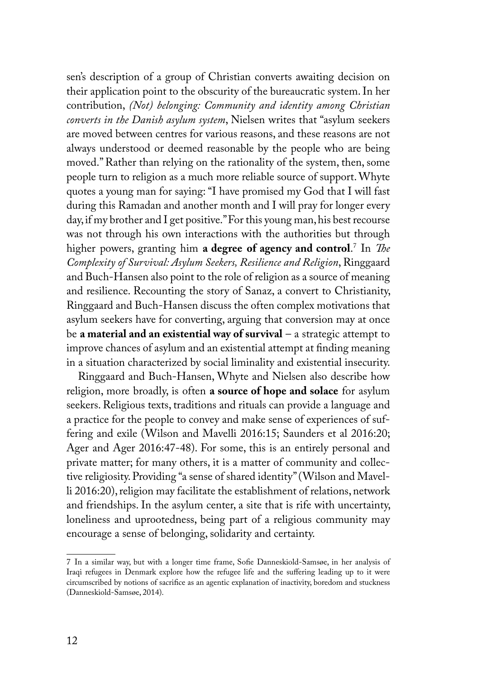sen's description of a group of Christian converts awaiting decision on their application point to the obscurity of the bureaucratic system. In her contribution, *(Not) belonging: Community and identity among Christian converts in the Danish asylum system*, Nielsen writes that "asylum seekers are moved between centres for various reasons, and these reasons are not always understood or deemed reasonable by the people who are being moved." Rather than relying on the rationality of the system, then, some people turn to religion as a much more reliable source of support. Whyte quotes a young man for saying: "I have promised my God that I will fast during this Ramadan and another month and I will pray for longer every day, if my brother and I get positive." For this young man, his best recourse was not through his own interactions with the authorities but through higher powers, granting him **a degree of agency and control**. 7 In *The Complexity of Survival: Asylum Seekers, Resilience and Religion*, Ringgaard and Buch-Hansen also point to the role of religion as a source of meaning and resilience. Recounting the story of Sanaz, a convert to Christianity, Ringgaard and Buch-Hansen discuss the often complex motivations that asylum seekers have for converting, arguing that conversion may at once be **a material and an existential way of survival** – a strategic attempt to improve chances of asylum and an existential attempt at finding meaning in a situation characterized by social liminality and existential insecurity.

Ringgaard and Buch-Hansen, Whyte and Nielsen also describe how religion, more broadly, is often **a source of hope and solace** for asylum seekers. Religious texts, traditions and rituals can provide a language and a practice for the people to convey and make sense of experiences of suffering and exile (Wilson and Mavelli 2016:15; Saunders et al 2016:20; Ager and Ager 2016:47-48). For some, this is an entirely personal and private matter; for many others, it is a matter of community and collective religiosity. Providing "a sense of shared identity" (Wilson and Mavelli 2016:20), religion may facilitate the establishment of relations, network and friendships. In the asylum center, a site that is rife with uncertainty, loneliness and uprootedness, being part of a religious community may encourage a sense of belonging, solidarity and certainty.

<sup>7</sup> In a similar way, but with a longer time frame, Sofie Danneskiold-Samsøe, in her analysis of Iraqi refugees in Denmark explore how the refugee life and the suffering leading up to it were circumscribed by notions of sacrifice as an agentic explanation of inactivity, boredom and stuckness (Danneskiold-Samsøe, 2014).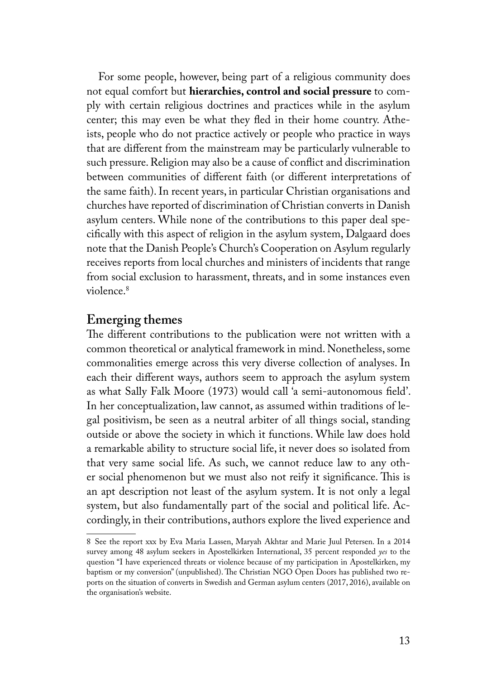For some people, however, being part of a religious community does not equal comfort but **hierarchies, control and social pressure** to comply with certain religious doctrines and practices while in the asylum center; this may even be what they fled in their home country. Atheists, people who do not practice actively or people who practice in ways that are different from the mainstream may be particularly vulnerable to such pressure. Religion may also be a cause of conflict and discrimination between communities of different faith (or different interpretations of the same faith). In recent years, in particular Christian organisations and churches have reported of discrimination of Christian converts in Danish asylum centers. While none of the contributions to this paper deal specifically with this aspect of religion in the asylum system, Dalgaard does note that the Danish People's Church's Cooperation on Asylum regularly receives reports from local churches and ministers of incidents that range from social exclusion to harassment, threats, and in some instances even violence.8

#### **Emerging themes**

The different contributions to the publication were not written with a common theoretical or analytical framework in mind. Nonetheless, some commonalities emerge across this very diverse collection of analyses. In each their different ways, authors seem to approach the asylum system as what Sally Falk Moore (1973) would call 'a semi-autonomous field'. In her conceptualization, law cannot, as assumed within traditions of legal positivism, be seen as a neutral arbiter of all things social, standing outside or above the society in which it functions. While law does hold a remarkable ability to structure social life, it never does so isolated from that very same social life. As such, we cannot reduce law to any other social phenomenon but we must also not reify it significance. This is an apt description not least of the asylum system. It is not only a legal system, but also fundamentally part of the social and political life. Accordingly, in their contributions, authors explore the lived experience and

<sup>8</sup> See the report xxx by Eva Maria Lassen, Maryah Akhtar and Marie Juul Petersen. In a 2014 survey among 48 asylum seekers in Apostelkirken International, 35 percent responded *yes* to the question "I have experienced threats or violence because of my participation in Apostelkirken, my baptism or my conversion" (unpublished). The Christian NGO Open Doors has published two reports on the situation of converts in Swedish and German asylum centers (2017, 2016), available on the organisation's website.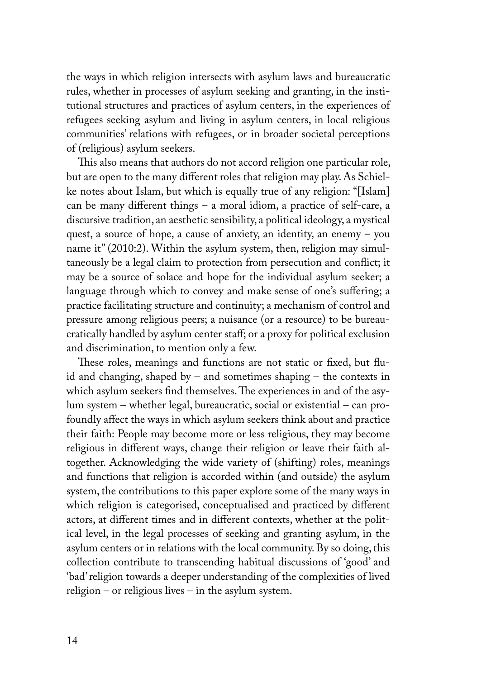the ways in which religion intersects with asylum laws and bureaucratic rules, whether in processes of asylum seeking and granting, in the institutional structures and practices of asylum centers, in the experiences of refugees seeking asylum and living in asylum centers, in local religious communities' relations with refugees, or in broader societal perceptions of (religious) asylum seekers.

This also means that authors do not accord religion one particular role, but are open to the many different roles that religion may play. As Schielke notes about Islam, but which is equally true of any religion: "[Islam] can be many different things – a moral idiom, a practice of self-care, a discursive tradition, an aesthetic sensibility, a political ideology, a mystical quest, a source of hope, a cause of anxiety, an identity, an enemy – you name it" (2010:2). Within the asylum system, then, religion may simultaneously be a legal claim to protection from persecution and conflict; it may be a source of solace and hope for the individual asylum seeker; a language through which to convey and make sense of one's suffering; a practice facilitating structure and continuity; a mechanism of control and pressure among religious peers; a nuisance (or a resource) to be bureaucratically handled by asylum center staff; or a proxy for political exclusion and discrimination, to mention only a few.

These roles, meanings and functions are not static or fixed, but fluid and changing, shaped by – and sometimes shaping – the contexts in which asylum seekers find themselves. The experiences in and of the asylum system – whether legal, bureaucratic, social or existential – can profoundly affect the ways in which asylum seekers think about and practice their faith: People may become more or less religious, they may become religious in different ways, change their religion or leave their faith altogether. Acknowledging the wide variety of (shifting) roles, meanings and functions that religion is accorded within (and outside) the asylum system, the contributions to this paper explore some of the many ways in which religion is categorised, conceptualised and practiced by different actors, at different times and in different contexts, whether at the political level, in the legal processes of seeking and granting asylum, in the asylum centers or in relations with the local community. By so doing, this collection contribute to transcending habitual discussions of 'good' and 'bad' religion towards a deeper understanding of the complexities of lived religion – or religious lives – in the asylum system.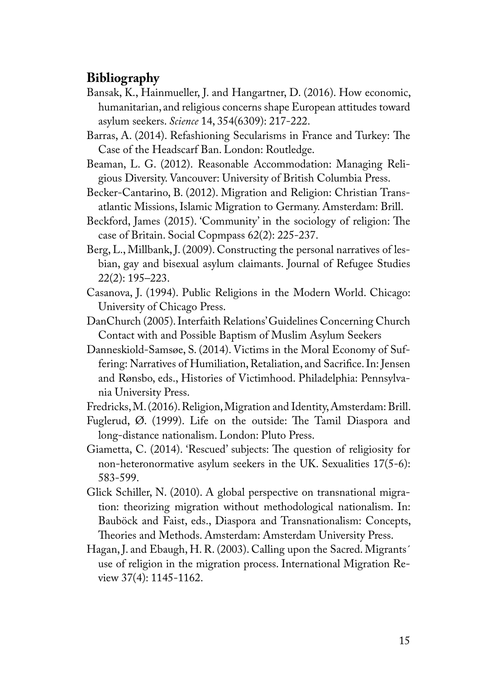#### **Bibliography**

- Bansak, K., Hainmueller, J. and Hangartner, D. (2016). How economic, humanitarian, and religious concerns shape European attitudes toward asylum seekers. *Science* 14, 354(6309): 217-222.
- Barras, A. (2014). Refashioning Secularisms in France and Turkey: The Case of the Headscarf Ban. London: Routledge.
- Beaman, L. G. (2012). Reasonable Accommodation: Managing Religious Diversity. Vancouver: University of British Columbia Press.
- Becker-Cantarino, B. (2012). Migration and Religion: Christian Transatlantic Missions, Islamic Migration to Germany. Amsterdam: Brill.
- Beckford, James (2015). 'Community' in the sociology of religion: The case of Britain. Social Copmpass 62(2): 225-237.
- Berg, L., Millbank, J. (2009). Constructing the personal narratives of lesbian, gay and bisexual asylum claimants. Journal of Refugee Studies 22(2): 195–223.
- Casanova, J. (1994). Public Religions in the Modern World. Chicago: University of Chicago Press.
- DanChurch (2005). Interfaith Relations' Guidelines Concerning Church Contact with and Possible Baptism of Muslim Asylum Seekers
- Danneskiold-Samsøe, S. (2014). Victims in the Moral Economy of Suffering: Narratives of Humiliation, Retaliation, and Sacrifice. In: Jensen and Rønsbo, eds., Histories of Victimhood. Philadelphia: Pennsylvania University Press.
- Fredricks, M. (2016). Religion, Migration and Identity, Amsterdam: Brill.
- Fuglerud, Ø. (1999). Life on the outside: The Tamil Diaspora and long-distance nationalism. London: Pluto Press.
- Giametta, C. (2014). 'Rescued' subjects: The question of religiosity for non-heteronormative asylum seekers in the UK. Sexualities 17(5-6): 583-599.
- Glick Schiller, N. (2010). A global perspective on transnational migration: theorizing migration without methodological nationalism. In: Bauböck and Faist, eds., Diaspora and Transnationalism: Concepts, Theories and Methods. Amsterdam: Amsterdam University Press.
- Hagan, J. and Ebaugh, H. R. (2003). Calling upon the Sacred. Migrants´ use of religion in the migration process. International Migration Review 37(4): 1145-1162.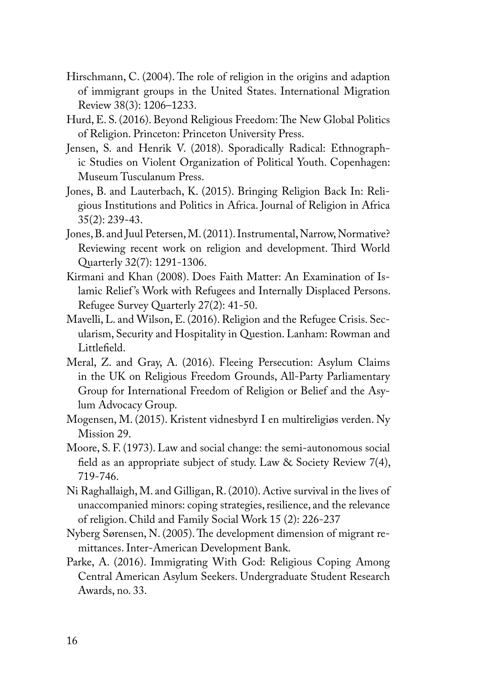- Hirschmann, C. (2004). The role of religion in the origins and adaption of immigrant groups in the United States. International Migration Review 38(3): 1206–1233.
- Hurd, E. S. (2016). Beyond Religious Freedom: The New Global Politics of Religion. Princeton: Princeton University Press.
- Jensen, S. and Henrik V. (2018). Sporadically Radical: Ethnographic Studies on Violent Organization of Political Youth. Copenhagen: Museum Tusculanum Press.
- Jones, B. and Lauterbach, K. (2015). Bringing Religion Back In: Religious Institutions and Politics in Africa. Journal of Religion in Africa 35(2): 239-43.
- Jones, B. and Juul Petersen, M. (2011). Instrumental, Narrow, Normative? Reviewing recent work on religion and development. Third World Quarterly 32(7): 1291-1306.
- Kirmani and Khan (2008). Does Faith Matter: An Examination of Islamic Relief's Work with Refugees and Internally Displaced Persons. Refugee Survey Quarterly 27(2): 41-50.
- Mavelli, L. and Wilson, E. (2016). Religion and the Refugee Crisis. Secularism, Security and Hospitality in Question. Lanham: Rowman and Littlefield.
- Meral, Z. and Gray, A. (2016). Fleeing Persecution: Asylum Claims in the UK on Religious Freedom Grounds, All-Party Parliamentary Group for International Freedom of Religion or Belief and the Asylum Advocacy Group.
- Mogensen, M. (2015). Kristent vidnesbyrd I en multireligiøs verden. Ny Mission 29.
- Moore, S. F. (1973). Law and social change: the semi-autonomous social field as an appropriate subject of study. Law & Society Review 7(4), 719-746.
- Ni Raghallaigh, M. and Gilligan, R. (2010). Active survival in the lives of unaccompanied minors: coping strategies, resilience, and the relevance of religion. Child and Family Social Work 15 (2): 226-237
- Nyberg Sørensen, N. (2005). The development dimension of migrant remittances. Inter-American Development Bank.
- Parke, A. (2016). Immigrating With God: Religious Coping Among Central American Asylum Seekers. Undergraduate Student Research Awards, no. 33.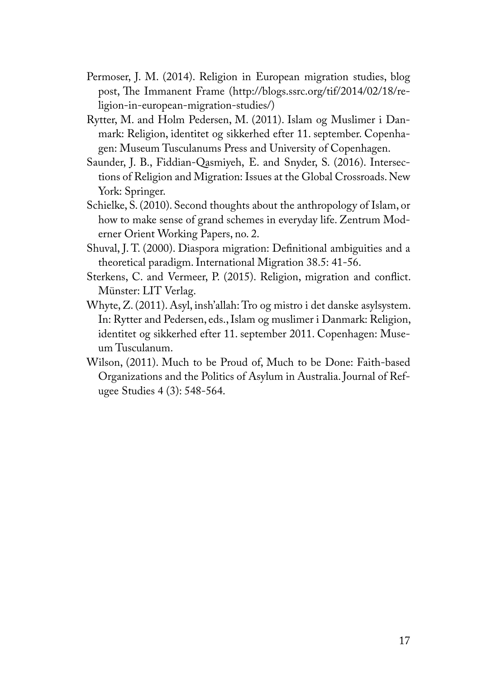- Permoser, J. M. (2014). Religion in European migration studies, blog post, The Immanent Frame (http://blogs.ssrc.org/tif/2014/02/18/religion-in-european-migration-studies/)
- Rytter, M. and Holm Pedersen, M. (2011). Islam og Muslimer i Danmark: Religion, identitet og sikkerhed efter 11. september. Copenhagen: Museum Tusculanums Press and University of Copenhagen.
- Saunder, J. B., Fiddian-Qasmiyeh, E. and Snyder, S. (2016). Intersections of Religion and Migration: Issues at the Global Crossroads. New York: Springer.
- Schielke, S. (2010). Second thoughts about the anthropology of Islam, or how to make sense of grand schemes in everyday life. Zentrum Moderner Orient Working Papers, no. 2.
- Shuval, J. T. (2000). Diaspora migration: Definitional ambiguities and a theoretical paradigm. International Migration 38.5: 41-56.
- Sterkens, C. and Vermeer, P. (2015). Religion, migration and conflict. Münster: LIT Verlag.
- Whyte, Z. (2011). Asyl, insh'allah: Tro og mistro i det danske asylsystem. In: Rytter and Pedersen, eds., Islam og muslimer i Danmark: Religion, identitet og sikkerhed efter 11. september 2011. Copenhagen: Museum Tusculanum.
- Wilson, (2011). Much to be Proud of, Much to be Done: Faith-based Organizations and the Politics of Asylum in Australia. Journal of Refugee Studies 4 (3): 548-564.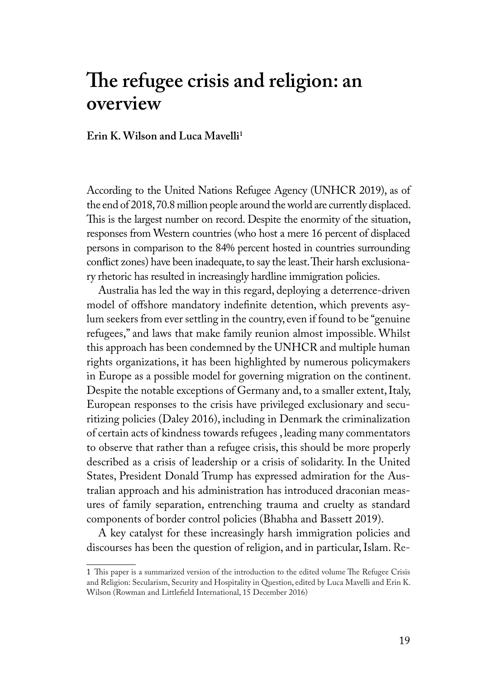## **The refugee crisis and religion: an overview**

#### **Erin K. Wilson and Luca Mavelli1**

According to the United Nations Refugee Agency (UNHCR 2019), as of the end of 2018, 70.8 million people around the world are currently displaced. This is the largest number on record. Despite the enormity of the situation, responses from Western countries (who host a mere 16 percent of displaced persons in comparison to the 84% percent hosted in countries surrounding conflict zones) have been inadequate, to say the least. Their harsh exclusionary rhetoric has resulted in increasingly hardline immigration policies.

Australia has led the way in this regard, deploying a deterrence-driven model of offshore mandatory indefinite detention, which prevents asylum seekers from ever settling in the country, even if found to be "genuine refugees," and laws that make family reunion almost impossible. Whilst this approach has been condemned by the UNHCR and multiple human rights organizations, it has been highlighted by numerous policymakers in Europe as a possible model for governing migration on the continent. Despite the notable exceptions of Germany and, to a smaller extent, Italy, European responses to the crisis have privileged exclusionary and securitizing policies (Daley 2016), including in Denmark the criminalization of certain acts of kindness towards refugees , leading many commentators to observe that rather than a refugee crisis, this should be more properly described as a crisis of leadership or a crisis of solidarity. In the United States, President Donald Trump has expressed admiration for the Australian approach and his administration has introduced draconian measures of family separation, entrenching trauma and cruelty as standard components of border control policies (Bhabha and Bassett 2019).

A key catalyst for these increasingly harsh immigration policies and discourses has been the question of religion, and in particular, Islam. Re-

<sup>1</sup> This paper is a summarized version of the introduction to the edited volume The Refugee Crisis and Religion: Secularism, Security and Hospitality in Question, edited by Luca Mavelli and Erin K. Wilson (Rowman and Littlefield International, 15 December 2016)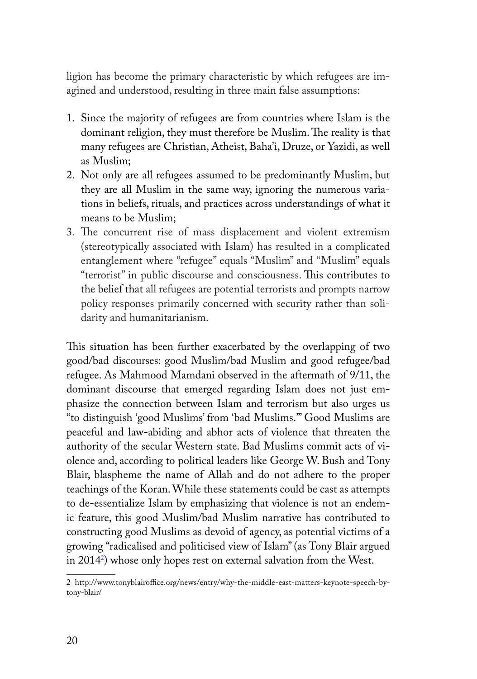ligion has become the primary characteristic by which refugees are imagined and understood, resulting in three main false assumptions:

- 1. Since the majority of refugees are from countries where Islam is the dominant religion, they must therefore be Muslim. The reality is that many refugees are Christian, Atheist, Baha'i, Druze, or Yazidi, as well as Muslim;
- 2. Not only are all refugees assumed to be predominantly Muslim, but they are all Muslim in the same way, ignoring the numerous variations in beliefs, rituals, and practices across understandings of what it means to be Muslim;
- 3. The concurrent rise of mass displacement and violent extremism (stereotypically associated with Islam) has resulted in a complicated entanglement where "refugee" equals "Muslim" and "Muslim" equals "terrorist" in public discourse and consciousness. This contributes to the belief that all refugees are potential terrorists and prompts narrow policy responses primarily concerned with security rather than solidarity and humanitarianism.

This situation has been further exacerbated by the overlapping of two good/bad discourses: good Muslim/bad Muslim and good refugee/bad refugee. As Mahmood Mamdani observed in the aftermath of 9/11, the dominant discourse that emerged regarding Islam does not just emphasize the connection between Islam and terrorism but also urges us "to distinguish 'good Muslims' from 'bad Muslims.'" Good Muslims are peaceful and law-abiding and abhor acts of violence that threaten the authority of the secular Western state. Bad Muslims commit acts of violence and, according to political leaders like George W. Bush and Tony Blair, blaspheme the name of Allah and do not adhere to the proper teachings of the Koran. While these statements could be cast as attempts to de-essentialize Islam by emphasizing that violence is not an endemic feature, this good Muslim/bad Muslim narrative has contributed to constructing good Muslims as devoid of agency, as potential victims of a growing "radicalised and politicised view of Islam" (as Tony Blair argued in 20142 ) whose only hopes rest on external salvation from the West.

<sup>2</sup> http://www.tonyblairoffice.org/news/entry/why-the-middle-east-matters-keynote-speech-bytony-blair/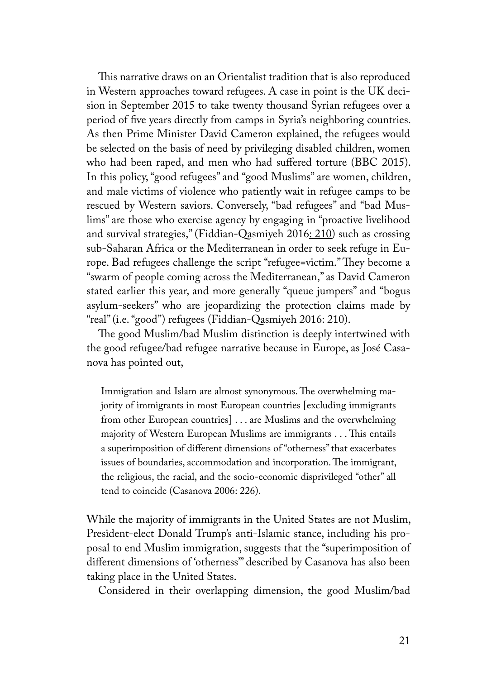This narrative draws on an Orientalist tradition that is also reproduced in Western approaches toward refugees. A case in point is the UK decision in September 2015 to take twenty thousand Syrian refugees over a period of five years directly from camps in Syria's neighboring countries. As then Prime Minister David Cameron explained, the refugees would be selected on the basis of need by privileging disabled children, women who had been raped, and men who had suffered torture (BBC 2015). In this policy, "good refugees" and "good Muslims" are women, children, and male victims of violence who patiently wait in refugee camps to be rescued by Western saviors. Conversely, "bad refugees" and "bad Muslims" are those who exercise agency by engaging in "proactive livelihood and survival strategies," (Fiddian-Qasmiyeh 2016: 210) such as crossing sub-Saharan Africa or the Mediterranean in order to seek refuge in Europe. Bad refugees challenge the script "refugee=victim." They become a "swarm of people coming across the Mediterranean," as David Cameron stated earlier this year, and more generally "queue jumpers" and "bogus asylum-seekers" who are jeopardizing the protection claims made by "real" (i.e. "good") refugees (Fiddian-Qasmiyeh 2016: 210).

The good Muslim/bad Muslim distinction is deeply intertwined with the good refugee/bad refugee narrative because in Europe, as José Casanova has pointed out,

Immigration and Islam are almost synonymous. The overwhelming majority of immigrants in most European countries [excluding immigrants from other European countries] . . . are Muslims and the overwhelming majority of Western European Muslims are immigrants . . . This entails a superimposition of different dimensions of "otherness" that exacerbates issues of boundaries, accommodation and incorporation. The immigrant, the religious, the racial, and the socio-economic disprivileged "other" all tend to coincide (Casanova 2006: 226).

While the majority of immigrants in the United States are not Muslim, President-elect Donald Trump's anti-Islamic stance, including his proposal to end Muslim immigration, suggests that the "superimposition of different dimensions of 'otherness'" described by Casanova has also been taking place in the United States.

Considered in their overlapping dimension, the good Muslim/bad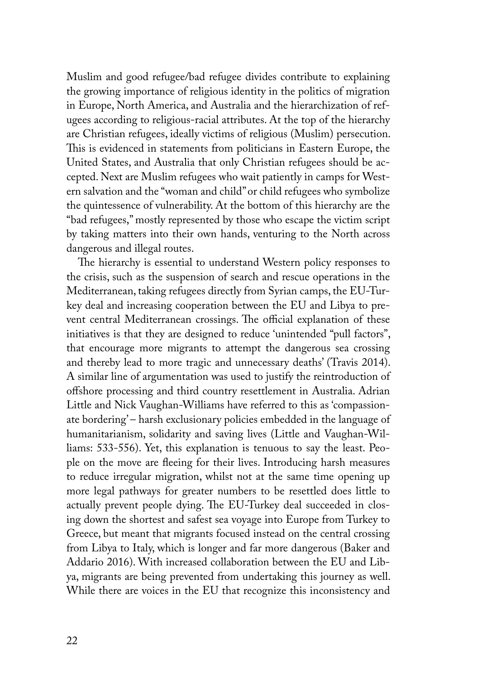Muslim and good refugee/bad refugee divides contribute to explaining the growing importance of religious identity in the politics of migration in Europe, North America, and Australia and the hierarchization of refugees according to religious-racial attributes. At the top of the hierarchy are Christian refugees, ideally victims of religious (Muslim) persecution. This is evidenced in statements from politicians in Eastern Europe, the United States, and Australia that only Christian refugees should be accepted. Next are Muslim refugees who wait patiently in camps for Western salvation and the "woman and child" or child refugees who symbolize the quintessence of vulnerability. At the bottom of this hierarchy are the "bad refugees," mostly represented by those who escape the victim script by taking matters into their own hands, venturing to the North across dangerous and illegal routes.

The hierarchy is essential to understand Western policy responses to the crisis, such as the suspension of search and rescue operations in the Mediterranean, taking refugees directly from Syrian camps, the EU-Turkey deal and increasing cooperation between the EU and Libya to prevent central Mediterranean crossings. The official explanation of these initiatives is that they are designed to reduce 'unintended "pull factors", that encourage more migrants to attempt the dangerous sea crossing and thereby lead to more tragic and unnecessary deaths' (Travis 2014). A similar line of argumentation was used to justify the reintroduction of offshore processing and third country resettlement in Australia. Adrian Little and Nick Vaughan-Williams have referred to this as 'compassionate bordering' – harsh exclusionary policies embedded in the language of humanitarianism, solidarity and saving lives (Little and Vaughan-Williams: 533-556). Yet, this explanation is tenuous to say the least. People on the move are fleeing for their lives. Introducing harsh measures to reduce irregular migration, whilst not at the same time opening up more legal pathways for greater numbers to be resettled does little to actually prevent people dying. The EU-Turkey deal succeeded in closing down the shortest and safest sea voyage into Europe from Turkey to Greece, but meant that migrants focused instead on the central crossing from Libya to Italy, which is longer and far more dangerous (Baker and Addario 2016). With increased collaboration between the EU and Libya, migrants are being prevented from undertaking this journey as well. While there are voices in the EU that recognize this inconsistency and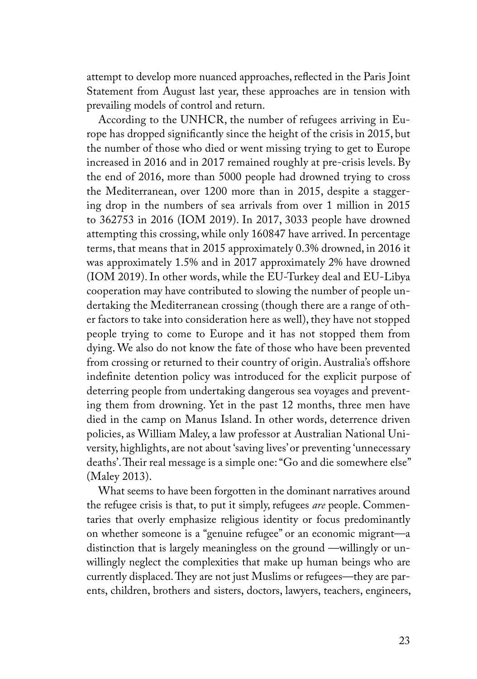attempt to develop more nuanced approaches, reflected in the Paris Joint Statement from August last year, these approaches are in tension with prevailing models of control and return.

According to the UNHCR, the number of refugees arriving in Europe has dropped significantly since the height of the crisis in 2015, but the number of those who died or went missing trying to get to Europe increased in 2016 and in 2017 remained roughly at pre-crisis levels. By the end of 2016, more than 5000 people had drowned trying to cross the Mediterranean, over 1200 more than in 2015, despite a staggering drop in the numbers of sea arrivals from over 1 million in 2015 to 362753 in 2016 (IOM 2019). In 2017, 3033 people have drowned attempting this crossing, while only 160847 have arrived. In percentage terms, that means that in 2015 approximately 0.3% drowned, in 2016 it was approximately 1.5% and in 2017 approximately 2% have drowned (IOM 2019). In other words, while the EU-Turkey deal and EU-Libya cooperation may have contributed to slowing the number of people undertaking the Mediterranean crossing (though there are a range of other factors to take into consideration here as well), they have not stopped people trying to come to Europe and it has not stopped them from dying. We also do not know the fate of those who have been prevented from crossing or returned to their country of origin. Australia's offshore indefinite detention policy was introduced for the explicit purpose of deterring people from undertaking dangerous sea voyages and preventing them from drowning. Yet in the past 12 months, three men have died in the camp on Manus Island. In other words, deterrence driven policies, as William Maley, a law professor at Australian National University, highlights, are not about 'saving lives' or preventing 'unnecessary deaths'. Their real message is a simple one: "Go and die somewhere else" (Maley 2013).

What seems to have been forgotten in the dominant narratives around the refugee crisis is that, to put it simply, refugees *are* people. Commentaries that overly emphasize religious identity or focus predominantly on whether someone is a "genuine refugee" or an economic migrant—a distinction that is largely meaningless on the ground —willingly or unwillingly neglect the complexities that make up human beings who are currently displaced. They are not just Muslims or refugees—they are parents, children, brothers and sisters, doctors, lawyers, teachers, engineers,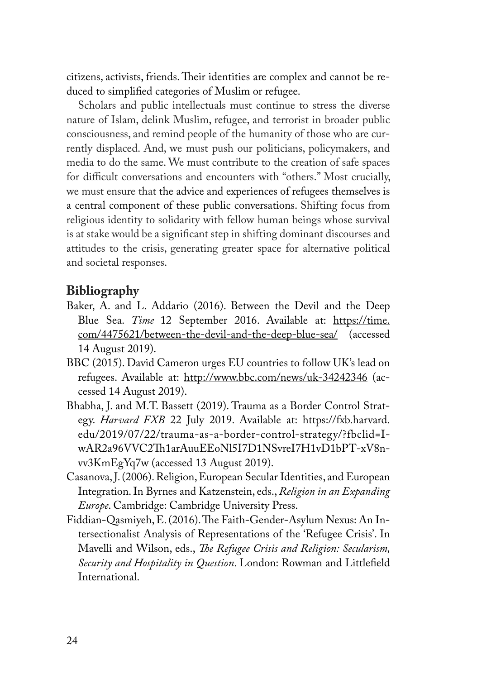citizens, activists, friends. Their identities are complex and cannot be reduced to simplified categories of Muslim or refugee.

Scholars and public intellectuals must continue to stress the diverse nature of Islam, delink Muslim, refugee, and terrorist in broader public consciousness, and remind people of the humanity of those who are currently displaced. And, we must push our politicians, policymakers, and media to do the same. We must contribute to the creation of safe spaces for difficult conversations and encounters with "others." Most crucially, we must ensure that the advice and experiences of refugees themselves is a central component of these public conversations. Shifting focus from religious identity to solidarity with fellow human beings whose survival is at stake would be a significant step in shifting dominant discourses and attitudes to the crisis, generating greater space for alternative political and societal responses.

### **Bibliography**

- Baker, A. and L. Addario (2016). Between the Devil and the Deep Blue Sea. *Time* 12 September 2016. Available at: https://time. com/4475621/between-the-devil-and-the-deep-blue-sea/ (accessed 14 August 2019).
- BBC (2015). David Cameron urges EU countries to follow UK's lead on refugees. Available at: http://www.bbc.com/news/uk-34242346 (accessed 14 August 2019).
- Bhabha, J. and M.T. Bassett (2019). Trauma as a Border Control Strategy. *Harvard FXB* 22 July 2019. Available at: https://fxb.harvard. edu/2019/07/22/trauma-as-a-border-control-strategy/?fbclid=IwAR2a96VVC2Th1arAuuEEoNl5I7D1NSvreI7H1vD1bPT-xV8nvv3KmEgYq7w (accessed 13 August 2019).
- Casanova, J. (2006). Religion, European Secular Identities, and European Integration. In Byrnes and Katzenstein, eds., *Religion in an Expanding Europe*. Cambridge: Cambridge University Press.
- Fiddian-Qasmiyeh, E. (2016). The Faith-Gender-Asylum Nexus: An Intersectionalist Analysis of Representations of the 'Refugee Crisis'. In Mavelli and Wilson, eds., *The Refugee Crisis and Religion: Secularism, Security and Hospitality in Question*. London: Rowman and Littlefield International.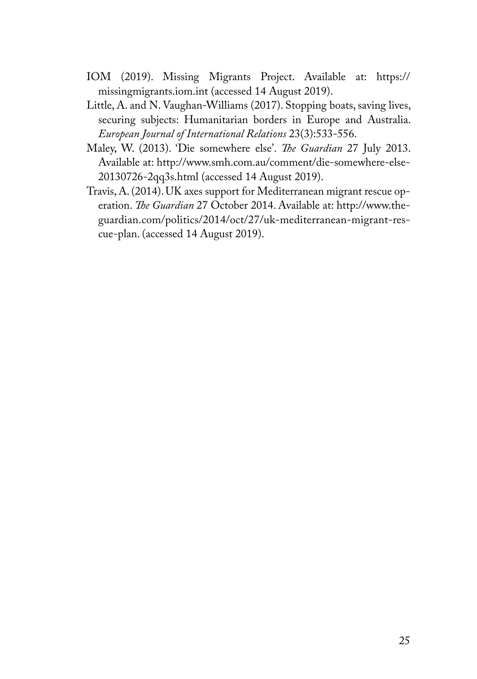- IOM (2019). Missing Migrants Project. Available at: https:// missingmigrants.iom.int (accessed 14 August 2019).
- Little, A. and N. Vaughan-Williams (2017). Stopping boats, saving lives, securing subjects: Humanitarian borders in Europe and Australia. *European Journal of International Relations* 23(3):533-556.
- Maley, W. (2013). 'Die somewhere else'. *The Guardian* 27 July 2013. Available at: http://www.smh.com.au/comment/die-somewhere-else-20130726-2qq3s.html (accessed 14 August 2019).
- Travis, A. (2014). UK axes support for Mediterranean migrant rescue operation. *The Guardian* 27 October 2014. Available at: http://www.theguardian.com/politics/2014/oct/27/uk-mediterranean-migrant-rescue-plan. (accessed 14 August 2019).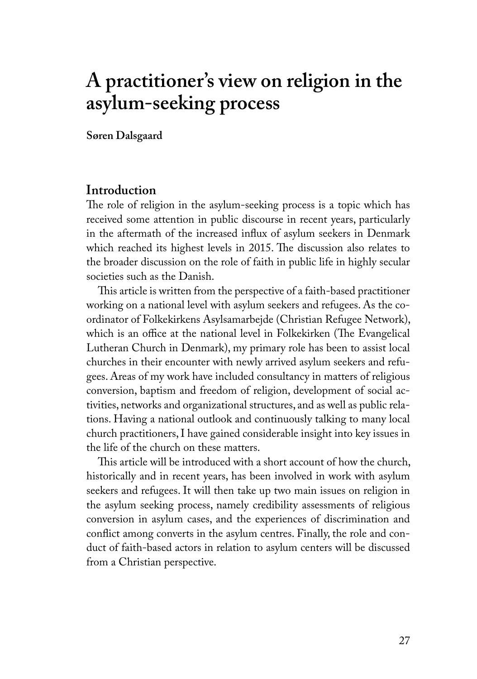# **A practitioner's view on religion in the asylum-seeking process**

**Søren Dalsgaard**

#### **Introduction**

The role of religion in the asylum-seeking process is a topic which has received some attention in public discourse in recent years, particularly in the aftermath of the increased influx of asylum seekers in Denmark which reached its highest levels in 2015. The discussion also relates to the broader discussion on the role of faith in public life in highly secular societies such as the Danish.

This article is written from the perspective of a faith-based practitioner working on a national level with asylum seekers and refugees. As the coordinator of Folkekirkens Asylsamarbejde (Christian Refugee Network), which is an office at the national level in Folkekirken (The Evangelical Lutheran Church in Denmark), my primary role has been to assist local churches in their encounter with newly arrived asylum seekers and refugees. Areas of my work have included consultancy in matters of religious conversion, baptism and freedom of religion, development of social activities, networks and organizational structures, and as well as public relations. Having a national outlook and continuously talking to many local church practitioners, I have gained considerable insight into key issues in the life of the church on these matters.

This article will be introduced with a short account of how the church, historically and in recent years, has been involved in work with asylum seekers and refugees. It will then take up two main issues on religion in the asylum seeking process, namely credibility assessments of religious conversion in asylum cases, and the experiences of discrimination and conflict among converts in the asylum centres. Finally, the role and conduct of faith-based actors in relation to asylum centers will be discussed from a Christian perspective.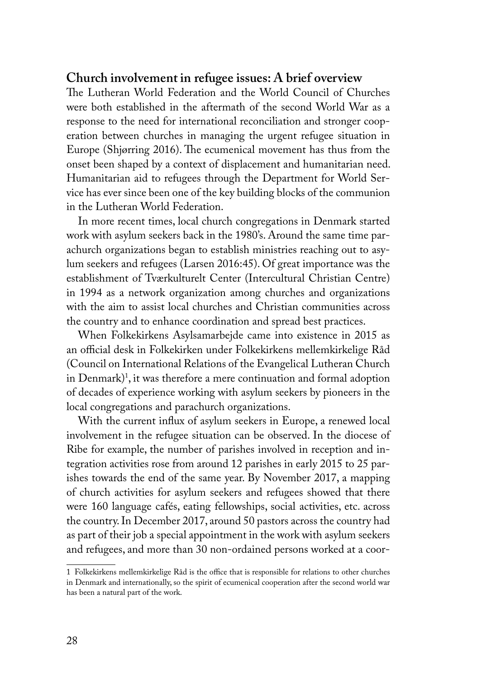#### **Church involvement in refugee issues: A brief overview**

The Lutheran World Federation and the World Council of Churches were both established in the aftermath of the second World War as a response to the need for international reconciliation and stronger cooperation between churches in managing the urgent refugee situation in Europe (Shjørring 2016). The ecumenical movement has thus from the onset been shaped by a context of displacement and humanitarian need. Humanitarian aid to refugees through the Department for World Service has ever since been one of the key building blocks of the communion in the Lutheran World Federation.

In more recent times, local church congregations in Denmark started work with asylum seekers back in the 1980's. Around the same time parachurch organizations began to establish ministries reaching out to asylum seekers and refugees (Larsen 2016:45). Of great importance was the establishment of Tværkulturelt Center (Intercultural Christian Centre) in 1994 as a network organization among churches and organizations with the aim to assist local churches and Christian communities across the country and to enhance coordination and spread best practices.

When Folkekirkens Asylsamarbejde came into existence in 2015 as an official desk in Folkekirken under Folkekirkens mellemkirkelige Råd (Council on International Relations of the Evangelical Lutheran Church in  $Denmark$ )<sup>1</sup>, it was therefore a mere continuation and formal adoption of decades of experience working with asylum seekers by pioneers in the local congregations and parachurch organizations.

With the current influx of asylum seekers in Europe, a renewed local involvement in the refugee situation can be observed. In the diocese of Ribe for example, the number of parishes involved in reception and integration activities rose from around 12 parishes in early 2015 to 25 parishes towards the end of the same year. By November 2017, a mapping of church activities for asylum seekers and refugees showed that there were 160 language cafés, eating fellowships, social activities, etc. across the country. In December 2017, around 50 pastors across the country had as part of their job a special appointment in the work with asylum seekers and refugees, and more than 30 non-ordained persons worked at a coor-

<sup>1</sup> Folkekirkens mellemkirkelige Råd is the office that is responsible for relations to other churches in Denmark and internationally, so the spirit of ecumenical cooperation after the second world war has been a natural part of the work.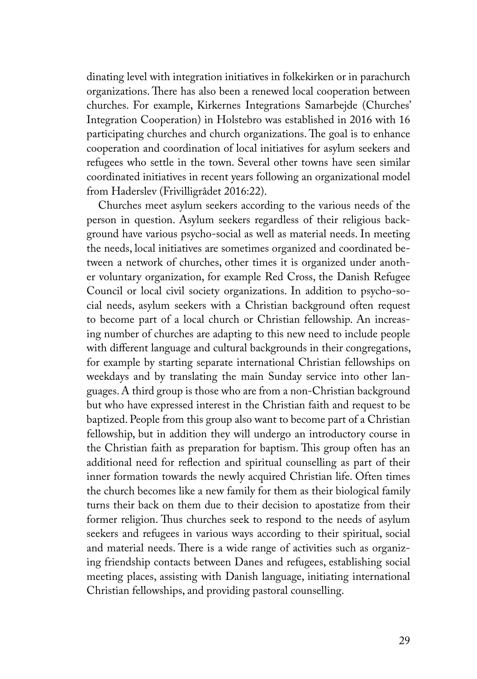dinating level with integration initiatives in folkekirken or in parachurch organizations. There has also been a renewed local cooperation between churches. For example, Kirkernes Integrations Samarbejde (Churches' Integration Cooperation) in Holstebro was established in 2016 with 16 participating churches and church organizations. The goal is to enhance cooperation and coordination of local initiatives for asylum seekers and refugees who settle in the town. Several other towns have seen similar coordinated initiatives in recent years following an organizational model from Haderslev (Frivilligrådet 2016:22).

Churches meet asylum seekers according to the various needs of the person in question. Asylum seekers regardless of their religious background have various psycho-social as well as material needs. In meeting the needs, local initiatives are sometimes organized and coordinated between a network of churches, other times it is organized under another voluntary organization, for example Red Cross, the Danish Refugee Council or local civil society organizations. In addition to psycho-social needs, asylum seekers with a Christian background often request to become part of a local church or Christian fellowship. An increasing number of churches are adapting to this new need to include people with different language and cultural backgrounds in their congregations, for example by starting separate international Christian fellowships on weekdays and by translating the main Sunday service into other languages. A third group is those who are from a non-Christian background but who have expressed interest in the Christian faith and request to be baptized. People from this group also want to become part of a Christian fellowship, but in addition they will undergo an introductory course in the Christian faith as preparation for baptism. This group often has an additional need for reflection and spiritual counselling as part of their inner formation towards the newly acquired Christian life. Often times the church becomes like a new family for them as their biological family turns their back on them due to their decision to apostatize from their former religion. Thus churches seek to respond to the needs of asylum seekers and refugees in various ways according to their spiritual, social and material needs. There is a wide range of activities such as organizing friendship contacts between Danes and refugees, establishing social meeting places, assisting with Danish language, initiating international Christian fellowships, and providing pastoral counselling.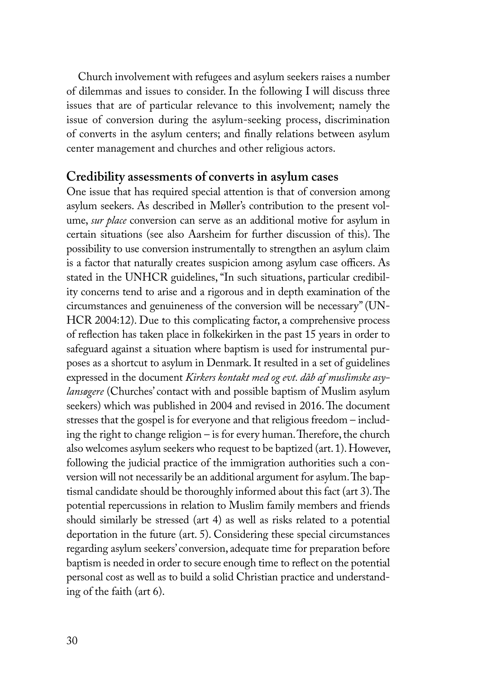Church involvement with refugees and asylum seekers raises a number of dilemmas and issues to consider. In the following I will discuss three issues that are of particular relevance to this involvement; namely the issue of conversion during the asylum-seeking process, discrimination of converts in the asylum centers; and finally relations between asylum center management and churches and other religious actors.

#### **Credibility assessments of converts in asylum cases**

One issue that has required special attention is that of conversion among asylum seekers. As described in Møller's contribution to the present volume, *sur place* conversion can serve as an additional motive for asylum in certain situations (see also Aarsheim for further discussion of this). The possibility to use conversion instrumentally to strengthen an asylum claim is a factor that naturally creates suspicion among asylum case officers. As stated in the UNHCR guidelines, "In such situations, particular credibility concerns tend to arise and a rigorous and in depth examination of the circumstances and genuineness of the conversion will be necessary" (UN-HCR 2004:12). Due to this complicating factor, a comprehensive process of reflection has taken place in folkekirken in the past 15 years in order to safeguard against a situation where baptism is used for instrumental purposes as a shortcut to asylum in Denmark. It resulted in a set of guidelines expressed in the document *Kirkers kontakt med og evt. dåb af muslimske asylansøgere* (Churches' contact with and possible baptism of Muslim asylum seekers) which was published in 2004 and revised in 2016. The document stresses that the gospel is for everyone and that religious freedom – including the right to change religion – is for every human. Therefore, the church also welcomes asylum seekers who request to be baptized (art. 1). However, following the judicial practice of the immigration authorities such a conversion will not necessarily be an additional argument for asylum. The baptismal candidate should be thoroughly informed about this fact (art 3). The potential repercussions in relation to Muslim family members and friends should similarly be stressed (art 4) as well as risks related to a potential deportation in the future (art. 5). Considering these special circumstances regarding asylum seekers' conversion, adequate time for preparation before baptism is needed in order to secure enough time to reflect on the potential personal cost as well as to build a solid Christian practice and understanding of the faith (art 6).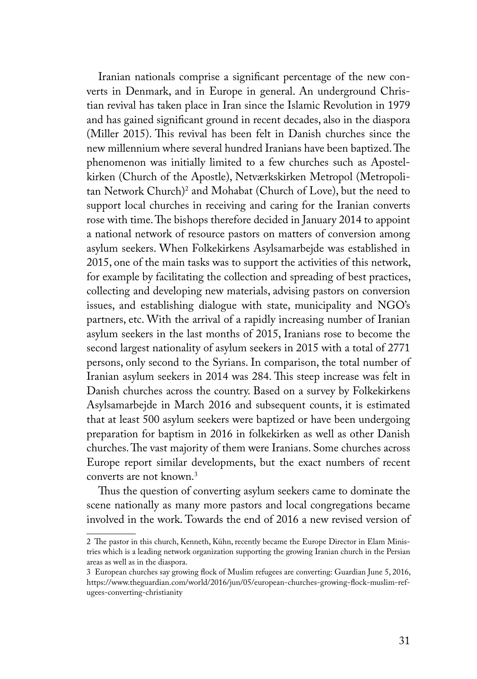Iranian nationals comprise a significant percentage of the new converts in Denmark, and in Europe in general. An underground Christian revival has taken place in Iran since the Islamic Revolution in 1979 and has gained significant ground in recent decades, also in the diaspora (Miller 2015). This revival has been felt in Danish churches since the new millennium where several hundred Iranians have been baptized. The phenomenon was initially limited to a few churches such as Apostelkirken (Church of the Apostle), Netværkskirken Metropol (Metropolitan Network Church)<sup>2</sup> and Mohabat (Church of Love), but the need to support local churches in receiving and caring for the Iranian converts rose with time. The bishops therefore decided in January 2014 to appoint a national network of resource pastors on matters of conversion among asylum seekers. When Folkekirkens Asylsamarbejde was established in 2015, one of the main tasks was to support the activities of this network, for example by facilitating the collection and spreading of best practices, collecting and developing new materials, advising pastors on conversion issues, and establishing dialogue with state, municipality and NGO's partners, etc. With the arrival of a rapidly increasing number of Iranian asylum seekers in the last months of 2015, Iranians rose to become the second largest nationality of asylum seekers in 2015 with a total of 2771 persons, only second to the Syrians. In comparison, the total number of Iranian asylum seekers in 2014 was 284. This steep increase was felt in Danish churches across the country. Based on a survey by Folkekirkens Asylsamarbejde in March 2016 and subsequent counts, it is estimated that at least 500 asylum seekers were baptized or have been undergoing preparation for baptism in 2016 in folkekirken as well as other Danish churches. The vast majority of them were Iranians. Some churches across Europe report similar developments, but the exact numbers of recent converts are not known.3

Thus the question of converting asylum seekers came to dominate the scene nationally as many more pastors and local congregations became involved in the work. Towards the end of 2016 a new revised version of

<sup>2</sup> The pastor in this church, Kenneth, Kühn, recently became the Europe Director in Elam Ministries which is a leading network organization supporting the growing Iranian church in the Persian areas as well as in the diaspora.

<sup>3</sup> European churches say growing flock of Muslim refugees are converting: Guardian June 5, 2016, https://www.theguardian.com/world/2016/jun/05/european-churches-growing-flock-muslim-refugees-converting-christianity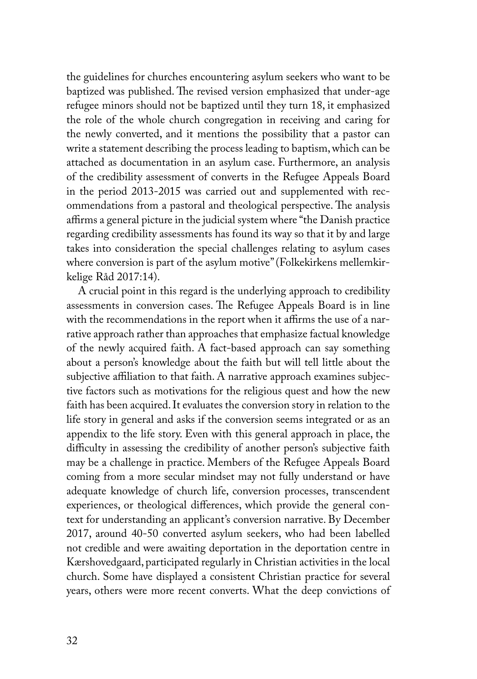the guidelines for churches encountering asylum seekers who want to be baptized was published. The revised version emphasized that under-age refugee minors should not be baptized until they turn 18, it emphasized the role of the whole church congregation in receiving and caring for the newly converted, and it mentions the possibility that a pastor can write a statement describing the process leading to baptism, which can be attached as documentation in an asylum case. Furthermore, an analysis of the credibility assessment of converts in the Refugee Appeals Board in the period 2013-2015 was carried out and supplemented with recommendations from a pastoral and theological perspective. The analysis affirms a general picture in the judicial system where "the Danish practice regarding credibility assessments has found its way so that it by and large takes into consideration the special challenges relating to asylum cases where conversion is part of the asylum motive" (Folkekirkens mellemkirkelige Råd 2017:14).

A crucial point in this regard is the underlying approach to credibility assessments in conversion cases. The Refugee Appeals Board is in line with the recommendations in the report when it affirms the use of a narrative approach rather than approaches that emphasize factual knowledge of the newly acquired faith. A fact-based approach can say something about a person's knowledge about the faith but will tell little about the subjective affiliation to that faith. A narrative approach examines subjective factors such as motivations for the religious quest and how the new faith has been acquired. It evaluates the conversion story in relation to the life story in general and asks if the conversion seems integrated or as an appendix to the life story. Even with this general approach in place, the difficulty in assessing the credibility of another person's subjective faith may be a challenge in practice. Members of the Refugee Appeals Board coming from a more secular mindset may not fully understand or have adequate knowledge of church life, conversion processes, transcendent experiences, or theological differences, which provide the general context for understanding an applicant's conversion narrative. By December 2017, around 40-50 converted asylum seekers, who had been labelled not credible and were awaiting deportation in the deportation centre in Kærshovedgaard, participated regularly in Christian activities in the local church. Some have displayed a consistent Christian practice for several years, others were more recent converts. What the deep convictions of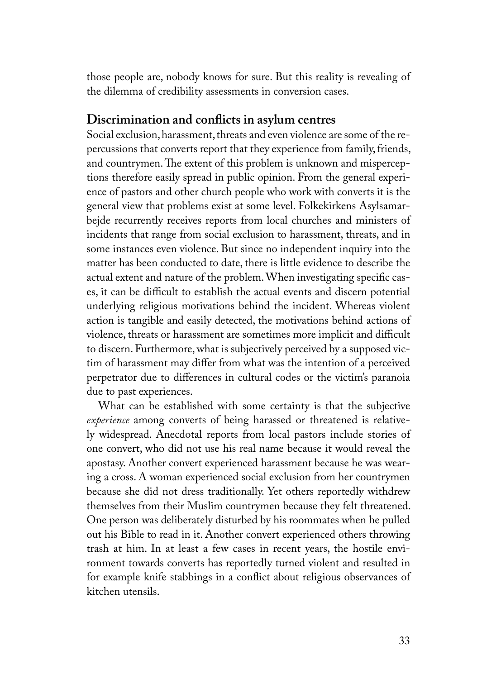those people are, nobody knows for sure. But this reality is revealing of the dilemma of credibility assessments in conversion cases.

#### **Discrimination and conflicts in asylum centres**

Social exclusion, harassment, threats and even violence are some of the repercussions that converts report that they experience from family, friends, and countrymen. The extent of this problem is unknown and misperceptions therefore easily spread in public opinion. From the general experience of pastors and other church people who work with converts it is the general view that problems exist at some level. Folkekirkens Asylsamarbejde recurrently receives reports from local churches and ministers of incidents that range from social exclusion to harassment, threats, and in some instances even violence. But since no independent inquiry into the matter has been conducted to date, there is little evidence to describe the actual extent and nature of the problem. When investigating specific cases, it can be difficult to establish the actual events and discern potential underlying religious motivations behind the incident. Whereas violent action is tangible and easily detected, the motivations behind actions of violence, threats or harassment are sometimes more implicit and difficult to discern. Furthermore, what is subjectively perceived by a supposed victim of harassment may differ from what was the intention of a perceived perpetrator due to differences in cultural codes or the victim's paranoia due to past experiences.

What can be established with some certainty is that the subjective *experience* among converts of being harassed or threatened is relatively widespread. Anecdotal reports from local pastors include stories of one convert, who did not use his real name because it would reveal the apostasy. Another convert experienced harassment because he was wearing a cross. A woman experienced social exclusion from her countrymen because she did not dress traditionally. Yet others reportedly withdrew themselves from their Muslim countrymen because they felt threatened. One person was deliberately disturbed by his roommates when he pulled out his Bible to read in it. Another convert experienced others throwing trash at him. In at least a few cases in recent years, the hostile environment towards converts has reportedly turned violent and resulted in for example knife stabbings in a conflict about religious observances of kitchen utensils.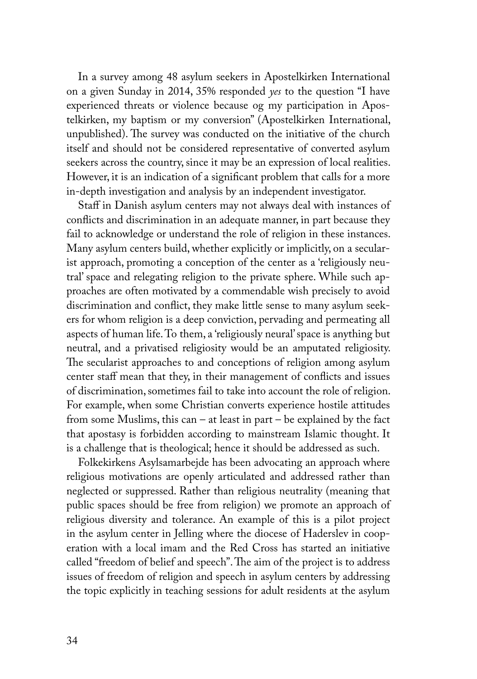In a survey among 48 asylum seekers in Apostelkirken International on a given Sunday in 2014, 35% responded *yes* to the question "I have experienced threats or violence because og my participation in Apostelkirken, my baptism or my conversion" (Apostelkirken International, unpublished). The survey was conducted on the initiative of the church itself and should not be considered representative of converted asylum seekers across the country, since it may be an expression of local realities. However, it is an indication of a significant problem that calls for a more in-depth investigation and analysis by an independent investigator.

Staff in Danish asylum centers may not always deal with instances of conflicts and discrimination in an adequate manner, in part because they fail to acknowledge or understand the role of religion in these instances. Many asylum centers build, whether explicitly or implicitly, on a secularist approach, promoting a conception of the center as a 'religiously neutral' space and relegating religion to the private sphere. While such approaches are often motivated by a commendable wish precisely to avoid discrimination and conflict, they make little sense to many asylum seekers for whom religion is a deep conviction, pervading and permeating all aspects of human life. To them, a 'religiously neural' space is anything but neutral, and a privatised religiosity would be an amputated religiosity. The secularist approaches to and conceptions of religion among asylum center staff mean that they, in their management of conflicts and issues of discrimination, sometimes fail to take into account the role of religion. For example, when some Christian converts experience hostile attitudes from some Muslims, this can – at least in part – be explained by the fact that apostasy is forbidden according to mainstream Islamic thought. It is a challenge that is theological; hence it should be addressed as such.

Folkekirkens Asylsamarbejde has been advocating an approach where religious motivations are openly articulated and addressed rather than neglected or suppressed. Rather than religious neutrality (meaning that public spaces should be free from religion) we promote an approach of religious diversity and tolerance. An example of this is a pilot project in the asylum center in Jelling where the diocese of Haderslev in cooperation with a local imam and the Red Cross has started an initiative called "freedom of belief and speech". The aim of the project is to address issues of freedom of religion and speech in asylum centers by addressing the topic explicitly in teaching sessions for adult residents at the asylum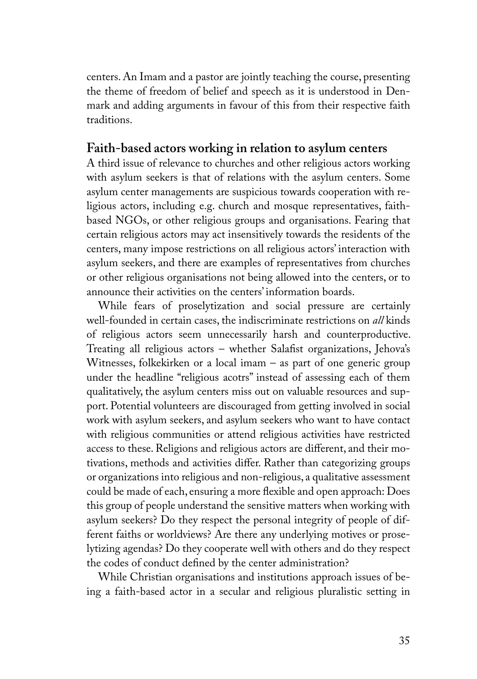centers. An Imam and a pastor are jointly teaching the course, presenting the theme of freedom of belief and speech as it is understood in Denmark and adding arguments in favour of this from their respective faith traditions.

#### **Faith-based actors working in relation to asylum centers**

A third issue of relevance to churches and other religious actors working with asylum seekers is that of relations with the asylum centers. Some asylum center managements are suspicious towards cooperation with religious actors, including e.g. church and mosque representatives, faithbased NGOs, or other religious groups and organisations. Fearing that certain religious actors may act insensitively towards the residents of the centers, many impose restrictions on all religious actors' interaction with asylum seekers, and there are examples of representatives from churches or other religious organisations not being allowed into the centers, or to announce their activities on the centers' information boards.

While fears of proselytization and social pressure are certainly well-founded in certain cases, the indiscriminate restrictions on *all* kinds of religious actors seem unnecessarily harsh and counterproductive. Treating all religious actors – whether Salafist organizations, Jehova's Witnesses, folkekirken or a local imam – as part of one generic group under the headline "religious acotrs" instead of assessing each of them qualitatively, the asylum centers miss out on valuable resources and support. Potential volunteers are discouraged from getting involved in social work with asylum seekers, and asylum seekers who want to have contact with religious communities or attend religious activities have restricted access to these. Religions and religious actors are different, and their motivations, methods and activities differ. Rather than categorizing groups or organizations into religious and non-religious, a qualitative assessment could be made of each, ensuring a more flexible and open approach: Does this group of people understand the sensitive matters when working with asylum seekers? Do they respect the personal integrity of people of different faiths or worldviews? Are there any underlying motives or proselytizing agendas? Do they cooperate well with others and do they respect the codes of conduct defined by the center administration?

While Christian organisations and institutions approach issues of being a faith-based actor in a secular and religious pluralistic setting in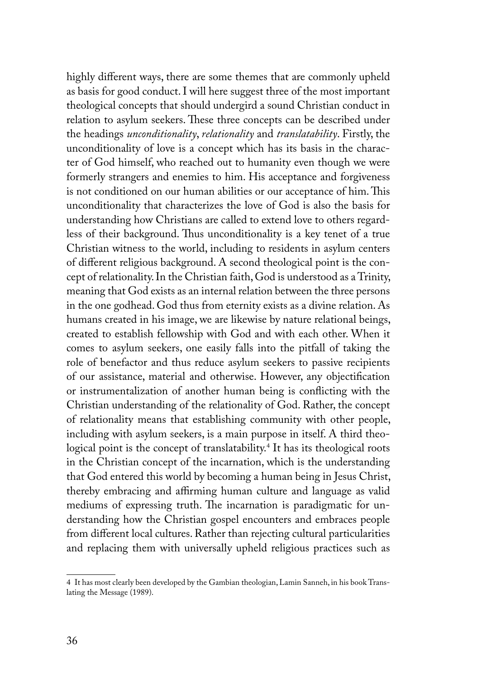highly different ways, there are some themes that are commonly upheld as basis for good conduct. I will here suggest three of the most important theological concepts that should undergird a sound Christian conduct in relation to asylum seekers. These three concepts can be described under the headings *unconditionality*, *relationality* and *translatability*. Firstly, the unconditionality of love is a concept which has its basis in the character of God himself, who reached out to humanity even though we were formerly strangers and enemies to him. His acceptance and forgiveness is not conditioned on our human abilities or our acceptance of him. This unconditionality that characterizes the love of God is also the basis for understanding how Christians are called to extend love to others regardless of their background. Thus unconditionality is a key tenet of a true Christian witness to the world, including to residents in asylum centers of different religious background. A second theological point is the concept of relationality. In the Christian faith, God is understood as a Trinity, meaning that God exists as an internal relation between the three persons in the one godhead. God thus from eternity exists as a divine relation. As humans created in his image, we are likewise by nature relational beings, created to establish fellowship with God and with each other. When it comes to asylum seekers, one easily falls into the pitfall of taking the role of benefactor and thus reduce asylum seekers to passive recipients of our assistance, material and otherwise. However, any objectification or instrumentalization of another human being is conflicting with the Christian understanding of the relationality of God. Rather, the concept of relationality means that establishing community with other people, including with asylum seekers, is a main purpose in itself. A third theological point is the concept of translatability.4 It has its theological roots in the Christian concept of the incarnation, which is the understanding that God entered this world by becoming a human being in Jesus Christ, thereby embracing and affirming human culture and language as valid mediums of expressing truth. The incarnation is paradigmatic for understanding how the Christian gospel encounters and embraces people from different local cultures. Rather than rejecting cultural particularities and replacing them with universally upheld religious practices such as

<sup>4</sup> It has most clearly been developed by the Gambian theologian, Lamin Sanneh, in his book Translating the Message (1989).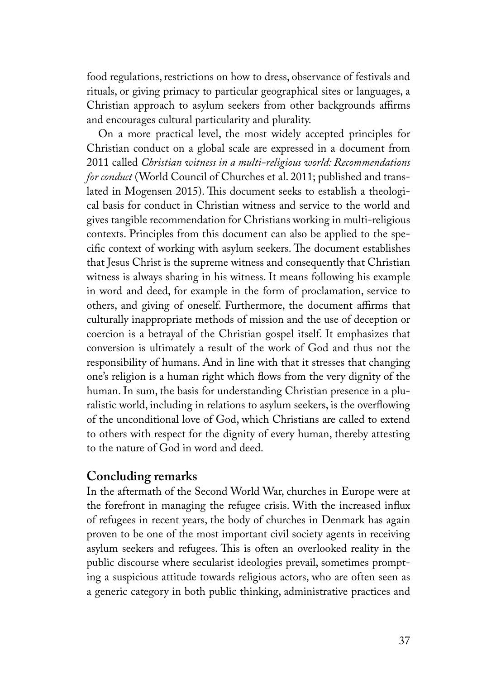food regulations, restrictions on how to dress, observance of festivals and rituals, or giving primacy to particular geographical sites or languages, a Christian approach to asylum seekers from other backgrounds affirms and encourages cultural particularity and plurality.

On a more practical level, the most widely accepted principles for Christian conduct on a global scale are expressed in a document from 2011 called *Christian witness in a multi-religious world: Recommendations for conduct* (World Council of Churches et al. 2011; published and translated in Mogensen 2015). This document seeks to establish a theological basis for conduct in Christian witness and service to the world and gives tangible recommendation for Christians working in multi-religious contexts. Principles from this document can also be applied to the specific context of working with asylum seekers. The document establishes that Jesus Christ is the supreme witness and consequently that Christian witness is always sharing in his witness. It means following his example in word and deed, for example in the form of proclamation, service to others, and giving of oneself. Furthermore, the document affirms that culturally inappropriate methods of mission and the use of deception or coercion is a betrayal of the Christian gospel itself. It emphasizes that conversion is ultimately a result of the work of God and thus not the responsibility of humans. And in line with that it stresses that changing one's religion is a human right which flows from the very dignity of the human. In sum, the basis for understanding Christian presence in a pluralistic world, including in relations to asylum seekers, is the overflowing of the unconditional love of God, which Christians are called to extend to others with respect for the dignity of every human, thereby attesting to the nature of God in word and deed.

# **Concluding remarks**

In the aftermath of the Second World War, churches in Europe were at the forefront in managing the refugee crisis. With the increased influx of refugees in recent years, the body of churches in Denmark has again proven to be one of the most important civil society agents in receiving asylum seekers and refugees. This is often an overlooked reality in the public discourse where secularist ideologies prevail, sometimes prompting a suspicious attitude towards religious actors, who are often seen as a generic category in both public thinking, administrative practices and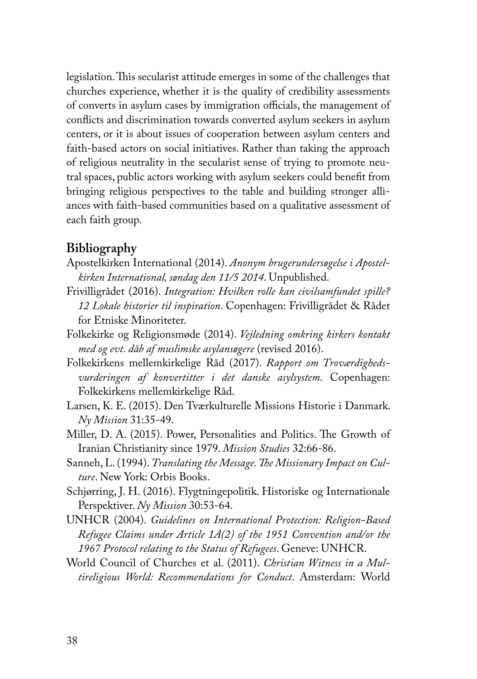legislation. This secularist attitude emerges in some of the challenges that churches experience, whether it is the quality of credibility assessments of converts in asylum cases by immigration officials, the management of conflicts and discrimination towards converted asylum seekers in asylum centers, or it is about issues of cooperation between asylum centers and faith-based actors on social initiatives. Rather than taking the approach of religious neutrality in the secularist sense of trying to promote neutral spaces, public actors working with asylum seekers could benefit from bringing religious perspectives to the table and building stronger alliances with faith-based communities based on a qualitative assessment of each faith group.

# **Bibliography**

- Apostelkirken International (2014). *Anonym brugerundersøgelse i Apostelkirken International, søndag den 11/5 2014*. Unpublished.
- Frivilligrådet (2016). *Integration: Hvilken rolle kan civilsamfundet spille? 12 Lokale historier til inspiration*. Copenhagen: Frivilligrådet & Rådet for Etniske Minoriteter.
- Folkekirke og Religionsmøde (2014). *Vejledning omkring kirkers kontakt med og evt. dåb af muslimske asylansøgere* (revised 2016).
- Folkekirkens mellemkirkelige Råd (2017). *Rapport om Troværdighedsvurderingen af konvertitter i det danske asylsystem*. Copenhagen: Folkekirkens mellemkirkelige Råd.
- Larsen, K. E. (2015). Den Tværkulturelle Missions Historie i Danmark. *Ny Mission* 31:35-49.
- Miller, D. A. (2015). Power, Personalities and Politics. The Growth of Iranian Christianity since 1979. *Mission Studies* 32:66-86.
- Sanneh, L. (1994). *Translating the Message. The Missionary Impact on Culture*. New York: Orbis Books.
- Schjørring, J. H. (2016). Flygtningepolitik. Historiske og Internationale Perspektiver. *Ny Mission* 30:53-64.
- UNHCR (2004). *Guidelines on International Protection: Religion-Based Refugee Claims under Article 1A(2) of the 1951 Convention and/or the 1967 Protocol relating to the Status of Refugees*. Geneve: UNHCR.
- World Council of Churches et al. (2011). *Christian Witness in a Multireligious World: Recommendations for Conduct*. Amsterdam: World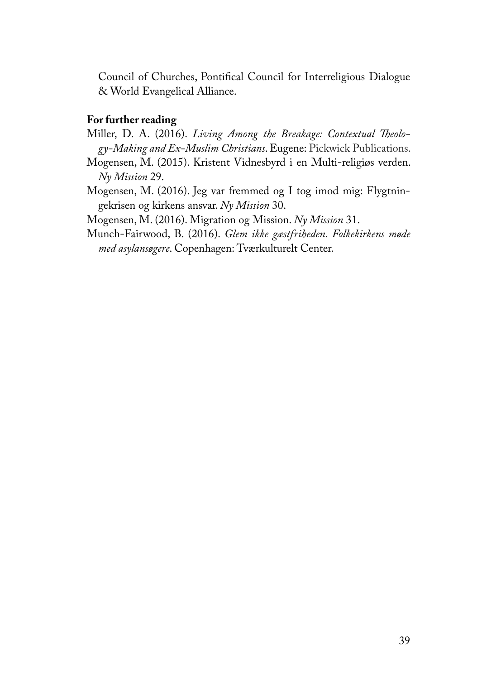Council of Churches, Pontifical Council for Interreligious Dialogue & World Evangelical Alliance.

## **For further reading**

- Miller, D. A. (2016). *Living Among the Breakage: Contextual Theology-Making and Ex-Muslim Christians*. Eugene: Pickwick Publications.
- Mogensen, M. (2015). Kristent Vidnesbyrd i en Multi-religiøs verden. *Ny Mission* 29.
- Mogensen, M. (2016). Jeg var fremmed og I tog imod mig: Flygtningekrisen og kirkens ansvar. *Ny Mission* 30.

Mogensen, M. (2016). Migration og Mission. *Ny Mission* 31.

Munch-Fairwood, B. (2016). *Glem ikke gæstfriheden. Folkekirkens møde med asylansøgere*. Copenhagen: Tværkulturelt Center.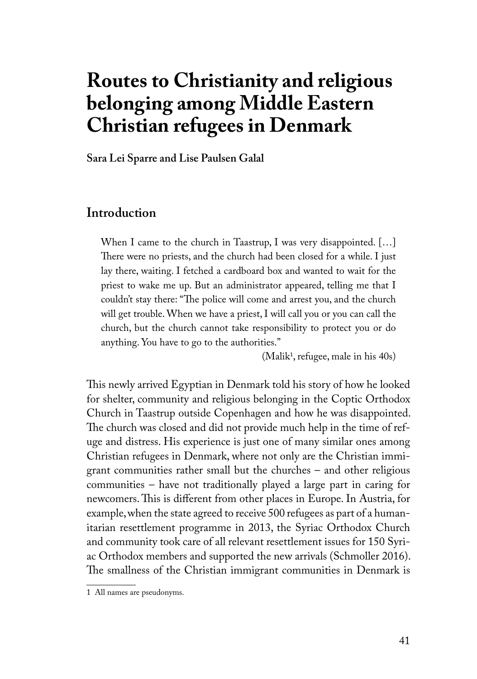# **Routes to Christianity and religious belonging among Middle Eastern Christian refugees in Denmark**

**Sara Lei Sparre and Lise Paulsen Galal**

# **Introduction**

When I came to the church in Taastrup, I was very disappointed. […] There were no priests, and the church had been closed for a while. I just lay there, waiting. I fetched a cardboard box and wanted to wait for the priest to wake me up. But an administrator appeared, telling me that I couldn't stay there: "The police will come and arrest you, and the church will get trouble. When we have a priest, I will call you or you can call the church, but the church cannot take responsibility to protect you or do anything. You have to go to the authorities."

(Malik<sup>1</sup>, refugee, male in his 40s)

This newly arrived Egyptian in Denmark told his story of how he looked for shelter, community and religious belonging in the Coptic Orthodox Church in Taastrup outside Copenhagen and how he was disappointed. The church was closed and did not provide much help in the time of refuge and distress. His experience is just one of many similar ones among Christian refugees in Denmark, where not only are the Christian immigrant communities rather small but the churches – and other religious communities – have not traditionally played a large part in caring for newcomers. This is different from other places in Europe. In Austria, for example, when the state agreed to receive 500 refugees as part of a humanitarian resettlement programme in 2013, the Syriac Orthodox Church and community took care of all relevant resettlement issues for 150 Syriac Orthodox members and supported the new arrivals (Schmoller 2016). The smallness of the Christian immigrant communities in Denmark is

<sup>1</sup> All names are pseudonyms.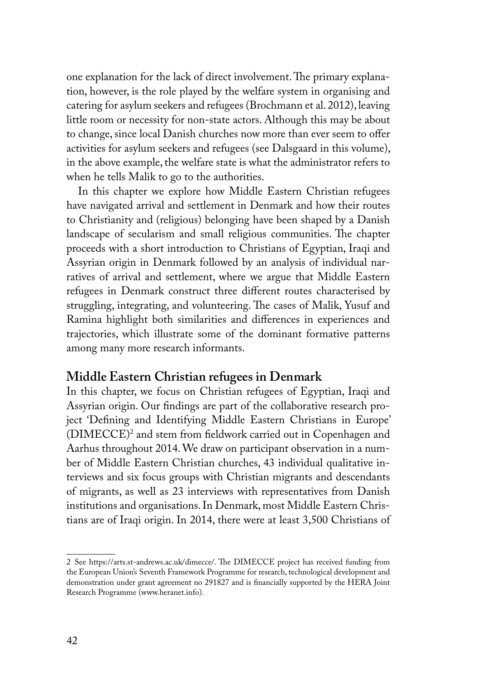one explanation for the lack of direct involvement. The primary explanation, however, is the role played by the welfare system in organising and catering for asylum seekers and refugees (Brochmann et al. 2012), leaving little room or necessity for non-state actors. Although this may be about to change, since local Danish churches now more than ever seem to offer activities for asylum seekers and refugees (see Dalsgaard in this volume), in the above example, the welfare state is what the administrator refers to when he tells Malik to go to the authorities.

In this chapter we explore how Middle Eastern Christian refugees have navigated arrival and settlement in Denmark and how their routes to Christianity and (religious) belonging have been shaped by a Danish landscape of secularism and small religious communities. The chapter proceeds with a short introduction to Christians of Egyptian, Iraqi and Assyrian origin in Denmark followed by an analysis of individual narratives of arrival and settlement, where we argue that Middle Eastern refugees in Denmark construct three different routes characterised by struggling, integrating, and volunteering. The cases of Malik, Yusuf and Ramina highlight both similarities and differences in experiences and trajectories, which illustrate some of the dominant formative patterns among many more research informants.

## **Middle Eastern Christian refugees in Denmark**

In this chapter, we focus on Christian refugees of Egyptian, Iraqi and Assyrian origin. Our findings are part of the collaborative research project 'Defining and Identifying Middle Eastern Christians in Europe' (DIMECCE)2 and stem from fieldwork carried out in Copenhagen and Aarhus throughout 2014. We draw on participant observation in a number of Middle Eastern Christian churches, 43 individual qualitative interviews and six focus groups with Christian migrants and descendants of migrants, as well as 23 interviews with representatives from Danish institutions and organisations. In Denmark, most Middle Eastern Christians are of Iraqi origin. In 2014, there were at least 3,500 Christians of

<sup>2</sup> See https://arts.st-andrews.ac.uk/dimecce/. The DIMECCE project has received funding from the European Union's Seventh Framework Programme for research, technological development and demonstration under grant agreement no 291827 and is financially supported by the HERA Joint Research Programme (www.heranet.info).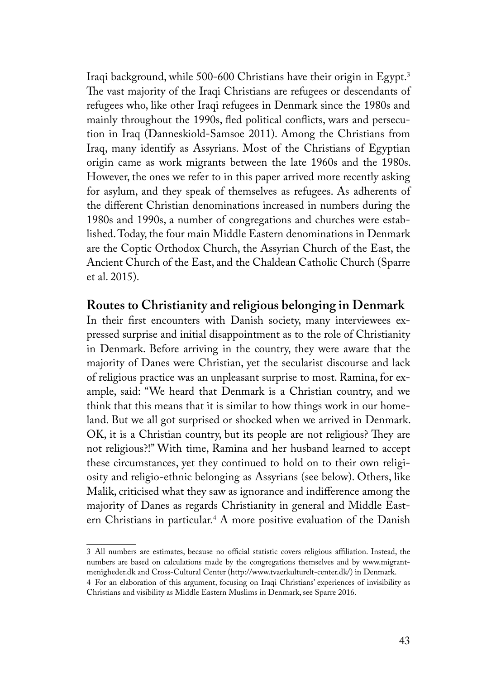Iraqi background, while 500-600 Christians have their origin in Egypt.3 The vast majority of the Iraqi Christians are refugees or descendants of refugees who, like other Iraqi refugees in Denmark since the 1980s and mainly throughout the 1990s, fled political conflicts, wars and persecution in Iraq (Danneskiold-Samsoe 2011). Among the Christians from Iraq, many identify as Assyrians. Most of the Christians of Egyptian origin came as work migrants between the late 1960s and the 1980s. However, the ones we refer to in this paper arrived more recently asking for asylum, and they speak of themselves as refugees. As adherents of the different Christian denominations increased in numbers during the 1980s and 1990s, a number of congregations and churches were established. Today, the four main Middle Eastern denominations in Denmark are the Coptic Orthodox Church, the Assyrian Church of the East, the Ancient Church of the East, and the Chaldean Catholic Church (Sparre et al. 2015).

## **Routes to Christianity and religious belonging in Denmark**

In their first encounters with Danish society, many interviewees expressed surprise and initial disappointment as to the role of Christianity in Denmark. Before arriving in the country, they were aware that the majority of Danes were Christian, yet the secularist discourse and lack of religious practice was an unpleasant surprise to most. Ramina, for example, said: "We heard that Denmark is a Christian country, and we think that this means that it is similar to how things work in our homeland. But we all got surprised or shocked when we arrived in Denmark. OK, it is a Christian country, but its people are not religious? They are not religious?!" With time, Ramina and her husband learned to accept these circumstances, yet they continued to hold on to their own religiosity and religio-ethnic belonging as Assyrians (see below). Others, like Malik, criticised what they saw as ignorance and indifference among the majority of Danes as regards Christianity in general and Middle Eastern Christians in particular.4 A more positive evaluation of the Danish

<sup>3</sup> All numbers are estimates, because no official statistic covers religious affiliation. Instead, the numbers are based on calculations made by the congregations themselves and by www.migrantmenigheder.dk and Cross-Cultural Center (http://www.tvaerkulturelt-center.dk/) in Denmark.

<sup>4</sup> For an elaboration of this argument, focusing on Iraqi Christians' experiences of invisibility as Christians and visibility as Middle Eastern Muslims in Denmark, see Sparre 2016.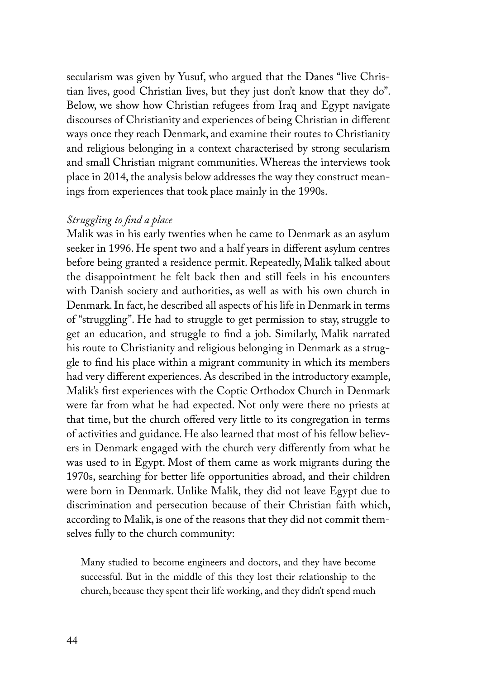secularism was given by Yusuf, who argued that the Danes "live Christian lives, good Christian lives, but they just don't know that they do". Below, we show how Christian refugees from Iraq and Egypt navigate discourses of Christianity and experiences of being Christian in different ways once they reach Denmark, and examine their routes to Christianity and religious belonging in a context characterised by strong secularism and small Christian migrant communities. Whereas the interviews took place in 2014, the analysis below addresses the way they construct meanings from experiences that took place mainly in the 1990s.

#### *Struggling to find a place*

Malik was in his early twenties when he came to Denmark as an asylum seeker in 1996. He spent two and a half years in different asylum centres before being granted a residence permit. Repeatedly, Malik talked about the disappointment he felt back then and still feels in his encounters with Danish society and authorities, as well as with his own church in Denmark. In fact, he described all aspects of his life in Denmark in terms of "struggling". He had to struggle to get permission to stay, struggle to get an education, and struggle to find a job. Similarly, Malik narrated his route to Christianity and religious belonging in Denmark as a struggle to find his place within a migrant community in which its members had very different experiences. As described in the introductory example, Malik's first experiences with the Coptic Orthodox Church in Denmark were far from what he had expected. Not only were there no priests at that time, but the church offered very little to its congregation in terms of activities and guidance. He also learned that most of his fellow believers in Denmark engaged with the church very differently from what he was used to in Egypt. Most of them came as work migrants during the 1970s, searching for better life opportunities abroad, and their children were born in Denmark. Unlike Malik, they did not leave Egypt due to discrimination and persecution because of their Christian faith which, according to Malik, is one of the reasons that they did not commit themselves fully to the church community:

Many studied to become engineers and doctors, and they have become successful. But in the middle of this they lost their relationship to the church, because they spent their life working, and they didn't spend much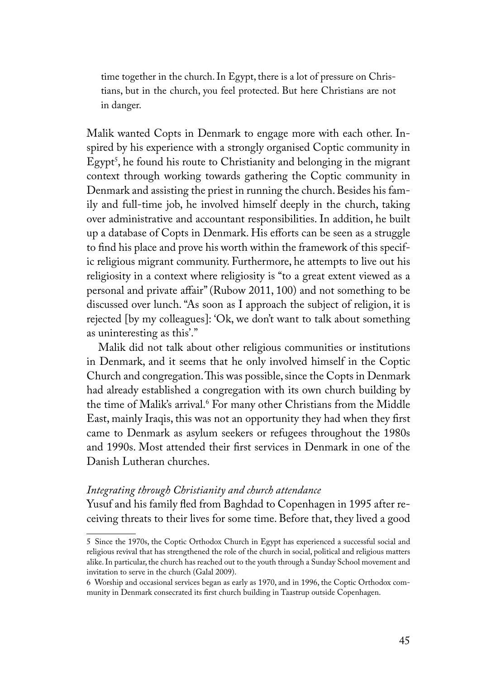time together in the church. In Egypt, there is a lot of pressure on Christians, but in the church, you feel protected. But here Christians are not in danger.

Malik wanted Copts in Denmark to engage more with each other. Inspired by his experience with a strongly organised Coptic community in Egypt', he found his route to Christianity and belonging in the migrant context through working towards gathering the Coptic community in Denmark and assisting the priest in running the church. Besides his family and full-time job, he involved himself deeply in the church, taking over administrative and accountant responsibilities. In addition, he built up a database of Copts in Denmark. His efforts can be seen as a struggle to find his place and prove his worth within the framework of this specific religious migrant community. Furthermore, he attempts to live out his religiosity in a context where religiosity is "to a great extent viewed as a personal and private affair" (Rubow 2011, 100) and not something to be discussed over lunch. "As soon as I approach the subject of religion, it is rejected [by my colleagues]: 'Ok, we don't want to talk about something as uninteresting as this'."

Malik did not talk about other religious communities or institutions in Denmark, and it seems that he only involved himself in the Coptic Church and congregation. This was possible, since the Copts in Denmark had already established a congregation with its own church building by the time of Malik's arrival.6 For many other Christians from the Middle East, mainly Iraqis, this was not an opportunity they had when they first came to Denmark as asylum seekers or refugees throughout the 1980s and 1990s. Most attended their first services in Denmark in one of the Danish Lutheran churches.

#### *Integrating through Christianity and church attendance*

Yusuf and his family fled from Baghdad to Copenhagen in 1995 after receiving threats to their lives for some time. Before that, they lived a good

<sup>5</sup> Since the 1970s, the Coptic Orthodox Church in Egypt has experienced a successful social and religious revival that has strengthened the role of the church in social, political and religious matters alike. In particular, the church has reached out to the youth through a Sunday School movement and invitation to serve in the church (Galal 2009).

<sup>6</sup> Worship and occasional services began as early as 1970, and in 1996, the Coptic Orthodox community in Denmark consecrated its first church building in Taastrup outside Copenhagen.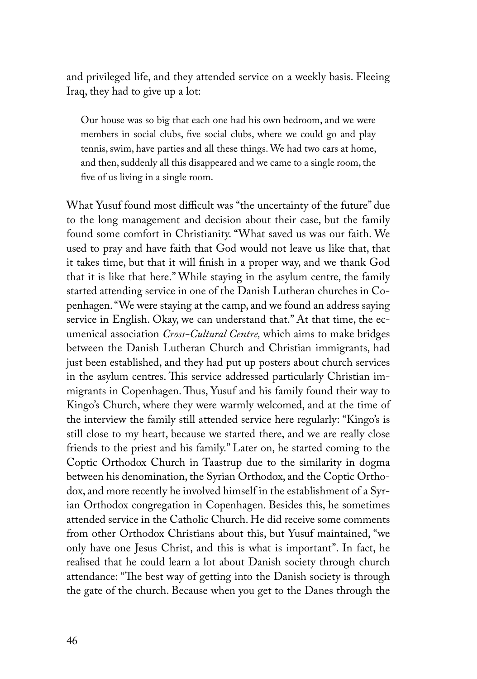and privileged life, and they attended service on a weekly basis. Fleeing Iraq, they had to give up a lot:

Our house was so big that each one had his own bedroom, and we were members in social clubs, five social clubs, where we could go and play tennis, swim, have parties and all these things. We had two cars at home, and then, suddenly all this disappeared and we came to a single room, the five of us living in a single room.

What Yusuf found most difficult was "the uncertainty of the future" due to the long management and decision about their case, but the family found some comfort in Christianity. "What saved us was our faith. We used to pray and have faith that God would not leave us like that, that it takes time, but that it will finish in a proper way, and we thank God that it is like that here." While staying in the asylum centre, the family started attending service in one of the Danish Lutheran churches in Copenhagen. "We were staying at the camp, and we found an address saying service in English. Okay, we can understand that." At that time, the ecumenical association *Cross-Cultural Centre,* which aims to make bridges between the Danish Lutheran Church and Christian immigrants, had just been established, and they had put up posters about church services in the asylum centres. This service addressed particularly Christian immigrants in Copenhagen. Thus, Yusuf and his family found their way to Kingo's Church, where they were warmly welcomed, and at the time of the interview the family still attended service here regularly: "Kingo's is still close to my heart, because we started there, and we are really close friends to the priest and his family." Later on, he started coming to the Coptic Orthodox Church in Taastrup due to the similarity in dogma between his denomination, the Syrian Orthodox, and the Coptic Orthodox, and more recently he involved himself in the establishment of a Syrian Orthodox congregation in Copenhagen. Besides this, he sometimes attended service in the Catholic Church. He did receive some comments from other Orthodox Christians about this, but Yusuf maintained, "we only have one Jesus Christ, and this is what is important". In fact, he realised that he could learn a lot about Danish society through church attendance: "The best way of getting into the Danish society is through the gate of the church. Because when you get to the Danes through the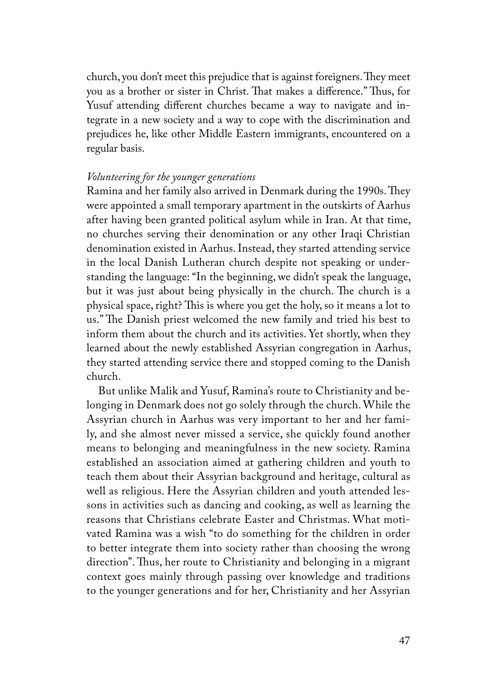church, you don't meet this prejudice that is against foreigners. They meet you as a brother or sister in Christ. That makes a difference." Thus, for Yusuf attending different churches became a way to navigate and integrate in a new society and a way to cope with the discrimination and prejudices he, like other Middle Eastern immigrants, encountered on a regular basis.

#### *Volunteering for the younger generations*

Ramina and her family also arrived in Denmark during the 1990s. They were appointed a small temporary apartment in the outskirts of Aarhus after having been granted political asylum while in Iran. At that time, no churches serving their denomination or any other Iraqi Christian denomination existed in Aarhus. Instead, they started attending service in the local Danish Lutheran church despite not speaking or understanding the language: "In the beginning, we didn't speak the language, but it was just about being physically in the church. The church is a physical space, right? This is where you get the holy, so it means a lot to us." The Danish priest welcomed the new family and tried his best to inform them about the church and its activities. Yet shortly, when they learned about the newly established Assyrian congregation in Aarhus, they started attending service there and stopped coming to the Danish church.

But unlike Malik and Yusuf, Ramina's route to Christianity and belonging in Denmark does not go solely through the church. While the Assyrian church in Aarhus was very important to her and her family, and she almost never missed a service, she quickly found another means to belonging and meaningfulness in the new society. Ramina established an association aimed at gathering children and youth to teach them about their Assyrian background and heritage, cultural as well as religious. Here the Assyrian children and youth attended lessons in activities such as dancing and cooking, as well as learning the reasons that Christians celebrate Easter and Christmas. What motivated Ramina was a wish "to do something for the children in order to better integrate them into society rather than choosing the wrong direction". Thus, her route to Christianity and belonging in a migrant context goes mainly through passing over knowledge and traditions to the younger generations and for her, Christianity and her Assyrian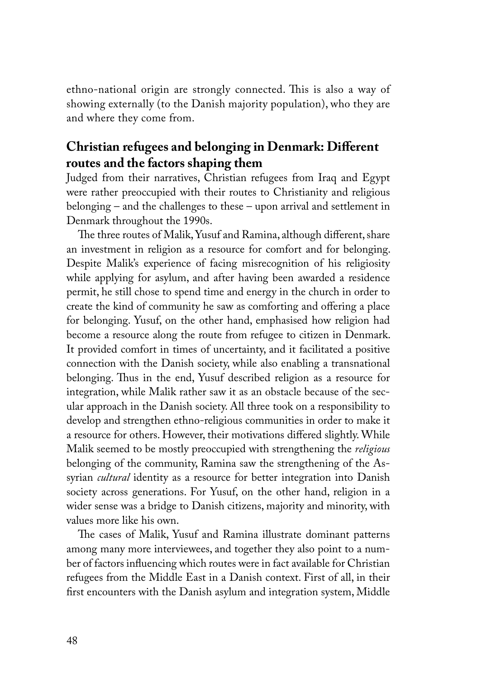ethno-national origin are strongly connected. This is also a way of showing externally (to the Danish majority population), who they are and where they come from.

# **Christian refugees and belonging in Denmark: Different routes and the factors shaping them**

Judged from their narratives, Christian refugees from Iraq and Egypt were rather preoccupied with their routes to Christianity and religious belonging – and the challenges to these – upon arrival and settlement in Denmark throughout the 1990s.

The three routes of Malik, Yusuf and Ramina, although different, share an investment in religion as a resource for comfort and for belonging. Despite Malik's experience of facing misrecognition of his religiosity while applying for asylum, and after having been awarded a residence permit, he still chose to spend time and energy in the church in order to create the kind of community he saw as comforting and offering a place for belonging. Yusuf, on the other hand, emphasised how religion had become a resource along the route from refugee to citizen in Denmark. It provided comfort in times of uncertainty, and it facilitated a positive connection with the Danish society, while also enabling a transnational belonging. Thus in the end, Yusuf described religion as a resource for integration, while Malik rather saw it as an obstacle because of the secular approach in the Danish society. All three took on a responsibility to develop and strengthen ethno-religious communities in order to make it a resource for others. However, their motivations differed slightly. While Malik seemed to be mostly preoccupied with strengthening the *religious* belonging of the community, Ramina saw the strengthening of the Assyrian *cultural* identity as a resource for better integration into Danish society across generations. For Yusuf, on the other hand, religion in a wider sense was a bridge to Danish citizens, majority and minority, with values more like his own.

The cases of Malik, Yusuf and Ramina illustrate dominant patterns among many more interviewees, and together they also point to a number of factors influencing which routes were in fact available for Christian refugees from the Middle East in a Danish context. First of all, in their first encounters with the Danish asylum and integration system, Middle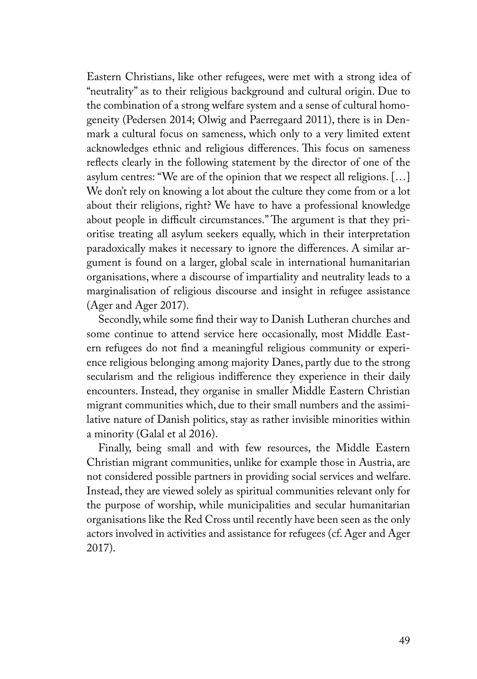Eastern Christians, like other refugees, were met with a strong idea of "neutrality" as to their religious background and cultural origin. Due to the combination of a strong welfare system and a sense of cultural homogeneity (Pedersen 2014; Olwig and Paerregaard 2011), there is in Denmark a cultural focus on sameness, which only to a very limited extent acknowledges ethnic and religious differences. This focus on sameness reflects clearly in the following statement by the director of one of the asylum centres: "We are of the opinion that we respect all religions. […] We don't rely on knowing a lot about the culture they come from or a lot about their religions, right? We have to have a professional knowledge about people in difficult circumstances." The argument is that they prioritise treating all asylum seekers equally, which in their interpretation paradoxically makes it necessary to ignore the differences. A similar argument is found on a larger, global scale in international humanitarian organisations, where a discourse of impartiality and neutrality leads to a marginalisation of religious discourse and insight in refugee assistance (Ager and Ager 2017).

Secondly, while some find their way to Danish Lutheran churches and some continue to attend service here occasionally, most Middle Eastern refugees do not find a meaningful religious community or experience religious belonging among majority Danes, partly due to the strong secularism and the religious indifference they experience in their daily encounters. Instead, they organise in smaller Middle Eastern Christian migrant communities which, due to their small numbers and the assimilative nature of Danish politics, stay as rather invisible minorities within a minority (Galal et al 2016).

Finally, being small and with few resources, the Middle Eastern Christian migrant communities, unlike for example those in Austria, are not considered possible partners in providing social services and welfare. Instead, they are viewed solely as spiritual communities relevant only for the purpose of worship, while municipalities and secular humanitarian organisations like the Red Cross until recently have been seen as the only actors involved in activities and assistance for refugees (cf. Ager and Ager 2017).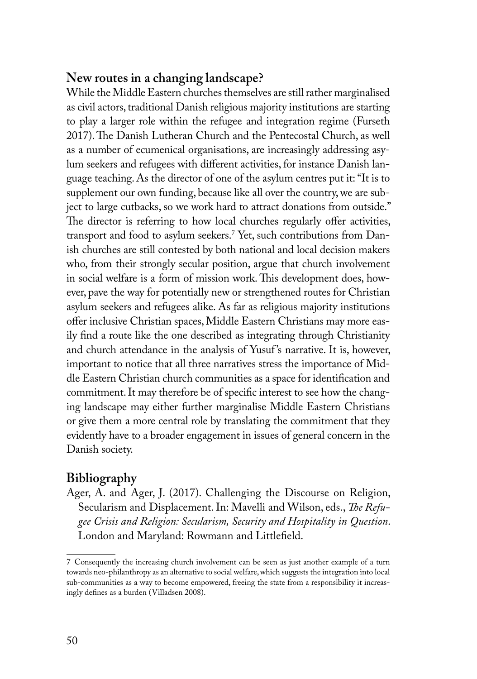# **New routes in a changing landscape?**

While the Middle Eastern churches themselves are still rather marginalised as civil actors, traditional Danish religious majority institutions are starting to play a larger role within the refugee and integration regime (Furseth 2017). The Danish Lutheran Church and the Pentecostal Church, as well as a number of ecumenical organisations, are increasingly addressing asylum seekers and refugees with different activities, for instance Danish language teaching. As the director of one of the asylum centres put it: "It is to supplement our own funding, because like all over the country, we are subject to large cutbacks, so we work hard to attract donations from outside." The director is referring to how local churches regularly offer activities, transport and food to asylum seekers.7 Yet, such contributions from Danish churches are still contested by both national and local decision makers who, from their strongly secular position, argue that church involvement in social welfare is a form of mission work. This development does, however, pave the way for potentially new or strengthened routes for Christian asylum seekers and refugees alike. As far as religious majority institutions offer inclusive Christian spaces, Middle Eastern Christians may more easily find a route like the one described as integrating through Christianity and church attendance in the analysis of Yusuf's narrative. It is, however, important to notice that all three narratives stress the importance of Middle Eastern Christian church communities as a space for identification and commitment. It may therefore be of specific interest to see how the changing landscape may either further marginalise Middle Eastern Christians or give them a more central role by translating the commitment that they evidently have to a broader engagement in issues of general concern in the Danish society.

# **Bibliography**

Ager, A. and Ager, J. (2017). Challenging the Discourse on Religion, Secularism and Displacement. In: Mavelli and Wilson, eds., *The Refugee Crisis and Religion: Secularism, Security and Hospitality in Question*. London and Maryland: Rowmann and Littlefield.

<sup>7</sup> Consequently the increasing church involvement can be seen as just another example of a turn towards neo-philanthropy as an alternative to social welfare, which suggests the integration into local sub-communities as a way to become empowered, freeing the state from a responsibility it increasingly defines as a burden (Villadsen 2008).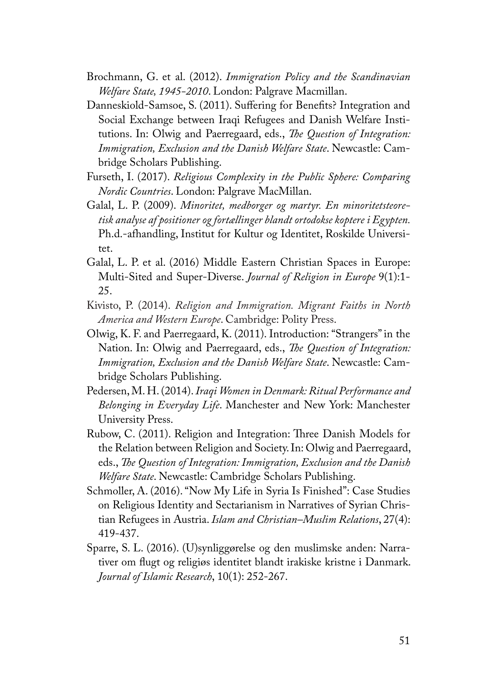- Brochmann, G. et al. (2012). *Immigration Policy and the Scandinavian Welfare State, 1945-2010*. London: Palgrave Macmillan.
- Danneskiold-Samsoe, S. (2011). Suffering for Benefits? Integration and Social Exchange between Iraqi Refugees and Danish Welfare Institutions. In: Olwig and Paerregaard, eds., *The Question of Integration: Immigration, Exclusion and the Danish Welfare State*. Newcastle: Cambridge Scholars Publishing.
- Furseth, I. (2017). *Religious Complexity in the Public Sphere: Comparing Nordic Countries*. London: Palgrave MacMillan.
- Galal, L. P. (2009). *Minoritet, medborger og martyr. En minoritetsteoretisk analyse af positioner og fortællinger blandt ortodokse koptere i Egypten.*  Ph.d.-afhandling, Institut for Kultur og Identitet, Roskilde Universitet.
- Galal, L. P. et al. (2016) Middle Eastern Christian Spaces in Europe: Multi-Sited and Super-Diverse. *Journal of Religion in Europe* 9(1):1- 25.
- Kivisto, P. (2014). *Religion and Immigration. Migrant Faiths in North America and Western Europe*. Cambridge: Polity Press.
- Olwig, K. F. and Paerregaard, K. (2011). Introduction: "Strangers" in the Nation. In: Olwig and Paerregaard, eds., *The Question of Integration: Immigration, Exclusion and the Danish Welfare State*. Newcastle: Cambridge Scholars Publishing.
- Pedersen, M. H. (2014). *Iraqi Women in Denmark: Ritual Performance and Belonging in Everyday Life*. Manchester and New York: Manchester University Press.
- Rubow, C. (2011). Religion and Integration: Three Danish Models for the Relation between Religion and Society. In: Olwig and Paerregaard, eds., *The Question of Integration: Immigration, Exclusion and the Danish Welfare State*. Newcastle: Cambridge Scholars Publishing.
- Schmoller, A. (2016). "Now My Life in Syria Is Finished": Case Studies on Religious Identity and Sectarianism in Narratives of Syrian Christian Refugees in Austria. *Islam and Christian–Muslim Relations*, 27(4): 419-437.
- Sparre, S. L. (2016). (U)synliggørelse og den muslimske anden: Narrativer om flugt og religiøs identitet blandt irakiske kristne i Danmark. *Journal of Islamic Research*, 10(1): 252-267.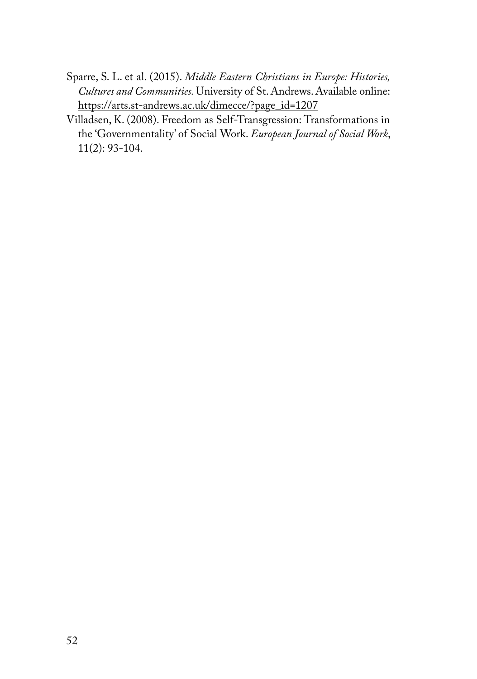- Sparre, S. L. et al. (2015). *Middle Eastern Christians in Europe: Histories, Cultures and Communities.* University of St. Andrews. Available online: https://arts.st-andrews.ac.uk/dimecce/?page\_id=1207
- Villadsen, K. (2008). Freedom as Self-Transgression: Transformations in the 'Governmentality' of Social Work. *European Journal of Social Work*, 11(2): 93-104.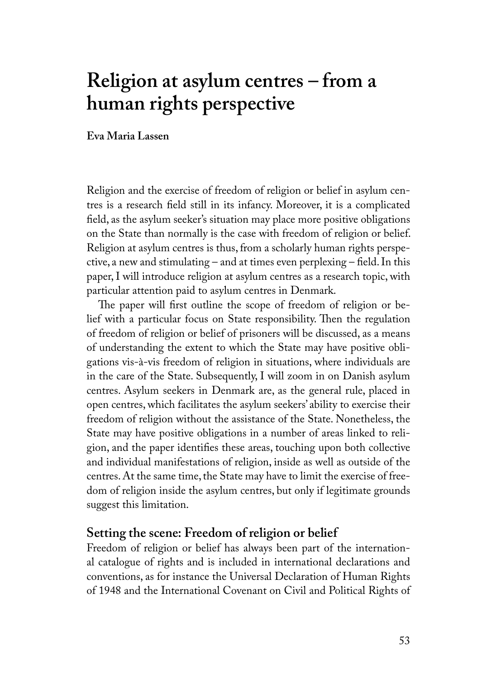# **Religion at asylum centres – from a human rights perspective**

**Eva Maria Lassen**

Religion and the exercise of freedom of religion or belief in asylum centres is a research field still in its infancy. Moreover, it is a complicated field, as the asylum seeker's situation may place more positive obligations on the State than normally is the case with freedom of religion or belief. Religion at asylum centres is thus, from a scholarly human rights perspective, a new and stimulating – and at times even perplexing – field. In this paper, I will introduce religion at asylum centres as a research topic, with particular attention paid to asylum centres in Denmark.

The paper will first outline the scope of freedom of religion or belief with a particular focus on State responsibility. Then the regulation of freedom of religion or belief of prisoners will be discussed, as a means of understanding the extent to which the State may have positive obligations vis-à-vis freedom of religion in situations, where individuals are in the care of the State. Subsequently, I will zoom in on Danish asylum centres. Asylum seekers in Denmark are, as the general rule, placed in open centres, which facilitates the asylum seekers' ability to exercise their freedom of religion without the assistance of the State. Nonetheless, the State may have positive obligations in a number of areas linked to religion, and the paper identifies these areas, touching upon both collective and individual manifestations of religion, inside as well as outside of the centres. At the same time, the State may have to limit the exercise of freedom of religion inside the asylum centres, but only if legitimate grounds suggest this limitation.

## **Setting the scene: Freedom of religion or belief**

Freedom of religion or belief has always been part of the international catalogue of rights and is included in international declarations and conventions, as for instance the Universal Declaration of Human Rights of 1948 and the International Covenant on Civil and Political Rights of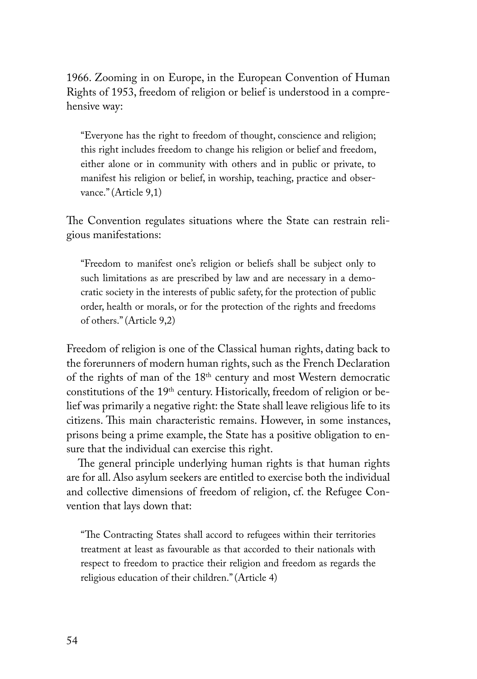1966. Zooming in on Europe, in the European Convention of Human Rights of 1953, freedom of religion or belief is understood in a comprehensive way:

"Everyone has the right to freedom of thought, conscience and religion; this right includes freedom to change his religion or belief and freedom, either alone or in community with others and in public or private, to manifest his religion or belief, in worship, teaching, practice and observance." (Article 9,1)

The Convention regulates situations where the State can restrain religious manifestations:

"Freedom to manifest one's religion or beliefs shall be subject only to such limitations as are prescribed by law and are necessary in a democratic society in the interests of public safety, for the protection of public order, health or morals, or for the protection of the rights and freedoms of others." (Article 9,2)

Freedom of religion is one of the Classical human rights, dating back to the forerunners of modern human rights, such as the French Declaration of the rights of man of the 18<sup>th</sup> century and most Western democratic constitutions of the 19<sup>th</sup> century. Historically, freedom of religion or belief was primarily a negative right: the State shall leave religious life to its citizens. This main characteristic remains. However, in some instances, prisons being a prime example, the State has a positive obligation to ensure that the individual can exercise this right.

The general principle underlying human rights is that human rights are for all. Also asylum seekers are entitled to exercise both the individual and collective dimensions of freedom of religion, cf. the Refugee Convention that lays down that:

"The Contracting States shall accord to refugees within their territories treatment at least as favourable as that accorded to their nationals with respect to freedom to practice their religion and freedom as regards the religious education of their children." (Article 4)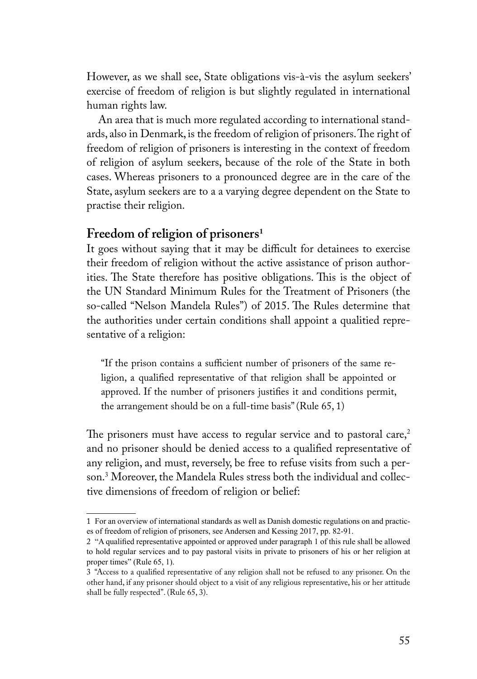However, as we shall see, State obligations vis-à-vis the asylum seekers' exercise of freedom of religion is but slightly regulated in international human rights law.

An area that is much more regulated according to international standards, also in Denmark, is the freedom of religion of prisoners. The right of freedom of religion of prisoners is interesting in the context of freedom of religion of asylum seekers, because of the role of the State in both cases. Whereas prisoners to a pronounced degree are in the care of the State, asylum seekers are to a a varying degree dependent on the State to practise their religion.

#### **Freedom of religion of prisoners<sup>1</sup>**

It goes without saying that it may be difficult for detainees to exercise their freedom of religion without the active assistance of prison authorities. The State therefore has positive obligations. This is the object of the UN Standard Minimum Rules for the Treatment of Prisoners (the so-called "Nelson Mandela Rules") of 2015. The Rules determine that the authorities under certain conditions shall appoint a qualitied representative of a religion:

"If the prison contains a sufficient number of prisoners of the same religion, a qualified representative of that religion shall be appointed or approved. If the number of prisoners justifies it and conditions permit, the arrangement should be on a full-time basis" (Rule 65, 1)

The prisoners must have access to regular service and to pastoral care, $2$ and no prisoner should be denied access to a qualified representative of any religion, and must, reversely, be free to refuse visits from such a person.3 Moreover, the Mandela Rules stress both the individual and collective dimensions of freedom of religion or belief:

<sup>1</sup> For an overview of international standards as well as Danish domestic regulations on and practices of freedom of religion of prisoners, see Andersen and Kessing 2017, pp. 82-91.

<sup>2</sup> "A qualified representative appointed or approved under paragraph 1 of this rule shall be allowed to hold regular services and to pay pastoral visits in private to prisoners of his or her religion at proper times" (Rule 65, 1).

<sup>3</sup> "Access to a qualified representative of any religion shall not be refused to any prisoner. On the other hand, if any prisoner should object to a visit of any religious representative, his or her attitude shall be fully respected". (Rule 65, 3).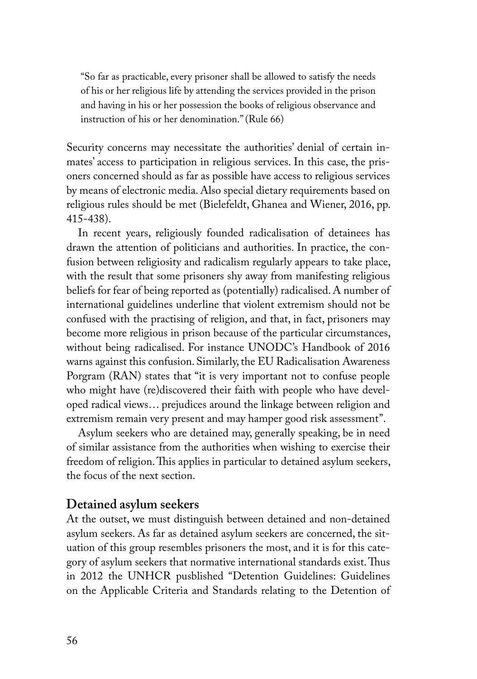"So far as practicable, every prisoner shall be allowed to satisfy the needs of his or her religious life by attending the services provided in the prison and having in his or her possession the books of religious observance and instruction of his or her denomination." (Rule 66)

Security concerns may necessitate the authorities' denial of certain inmates' access to participation in religious services. In this case, the prisoners concerned should as far as possible have access to religious services by means of electronic media. Also special dietary requirements based on religious rules should be met (Bielefeldt, Ghanea and Wiener, 2016, pp. 415-438).

In recent years, religiously founded radicalisation of detainees has drawn the attention of politicians and authorities. In practice, the confusion between religiosity and radicalism regularly appears to take place, with the result that some prisoners shy away from manifesting religious beliefs for fear of being reported as (potentially) radicalised. A number of international guidelines underline that violent extremism should not be confused with the practising of religion, and that, in fact, prisoners may become more religious in prison because of the particular circumstances, without being radicalised. For instance UNODC's Handbook of 2016 warns against this confusion. Similarly, the EU Radicalisation Awareness Porgram (RAN) states that "it is very important not to confuse people who might have (re)discovered their faith with people who have developed radical views… prejudices around the linkage between religion and extremism remain very present and may hamper good risk assessment".

Asylum seekers who are detained may, generally speaking, be in need of similar assistance from the authorities when wishing to exercise their freedom of religion. This applies in particular to detained asylum seekers, the focus of the next section.

## **Detained asylum seekers**

At the outset, we must distinguish between detained and non-detained asylum seekers. As far as detained asylum seekers are concerned, the situation of this group resembles prisoners the most, and it is for this category of asylum seekers that normative international standards exist. Thus in 2012 the UNHCR pusblished "Detention Guidelines: Guidelines on the Applicable Criteria and Standards relating to the Detention of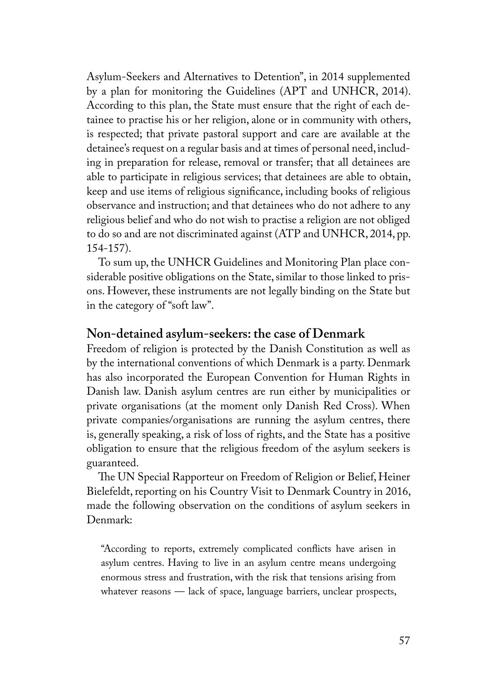Asylum-Seekers and Alternatives to Detention", in 2014 supplemented by a plan for monitoring the Guidelines (APT and UNHCR, 2014). According to this plan, the State must ensure that the right of each detainee to practise his or her religion, alone or in community with others, is respected; that private pastoral support and care are available at the detainee's request on a regular basis and at times of personal need, including in preparation for release, removal or transfer; that all detainees are able to participate in religious services; that detainees are able to obtain, keep and use items of religious significance, including books of religious observance and instruction; and that detainees who do not adhere to any religious belief and who do not wish to practise a religion are not obliged to do so and are not discriminated against (ATP and UNHCR, 2014, pp. 154-157).

To sum up, the UNHCR Guidelines and Monitoring Plan place considerable positive obligations on the State, similar to those linked to prisons. However, these instruments are not legally binding on the State but in the category of "soft law".

## **Non-detained asylum-seekers: the case of Denmark**

Freedom of religion is protected by the Danish Constitution as well as by the international conventions of which Denmark is a party. Denmark has also incorporated the European Convention for Human Rights in Danish law. Danish asylum centres are run either by municipalities or private organisations (at the moment only Danish Red Cross). When private companies/organisations are running the asylum centres, there is, generally speaking, a risk of loss of rights, and the State has a positive obligation to ensure that the religious freedom of the asylum seekers is guaranteed.

The UN Special Rapporteur on Freedom of Religion or Belief, Heiner Bielefeldt, reporting on his Country Visit to Denmark Country in 2016, made the following observation on the conditions of asylum seekers in Denmark:

"According to reports, extremely complicated conflicts have arisen in asylum centres. Having to live in an asylum centre means undergoing enormous stress and frustration, with the risk that tensions arising from whatever reasons — lack of space, language barriers, unclear prospects,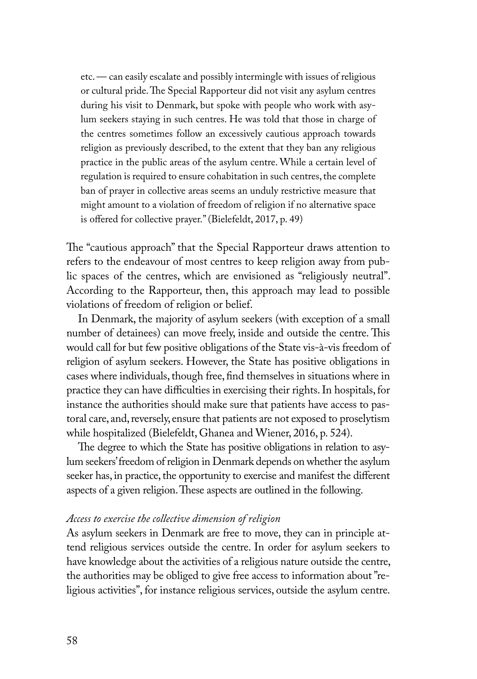etc. — can easily escalate and possibly intermingle with issues of religious or cultural pride. The Special Rapporteur did not visit any asylum centres during his visit to Denmark, but spoke with people who work with asylum seekers staying in such centres. He was told that those in charge of the centres sometimes follow an excessively cautious approach towards religion as previously described, to the extent that they ban any religious practice in the public areas of the asylum centre. While a certain level of regulation is required to ensure cohabitation in such centres, the complete ban of prayer in collective areas seems an unduly restrictive measure that might amount to a violation of freedom of religion if no alternative space is offered for collective prayer." (Bielefeldt, 2017, p. 49)

The "cautious approach" that the Special Rapporteur draws attention to refers to the endeavour of most centres to keep religion away from public spaces of the centres, which are envisioned as "religiously neutral". According to the Rapporteur, then, this approach may lead to possible violations of freedom of religion or belief.

In Denmark, the majority of asylum seekers (with exception of a small number of detainees) can move freely, inside and outside the centre. This would call for but few positive obligations of the State vis-à-vis freedom of religion of asylum seekers. However, the State has positive obligations in cases where individuals, though free, find themselves in situations where in practice they can have difficulties in exercising their rights. In hospitals, for instance the authorities should make sure that patients have access to pastoral care, and, reversely, ensure that patients are not exposed to proselytism while hospitalized (Bielefeldt, Ghanea and Wiener, 2016, p. 524).

The degree to which the State has positive obligations in relation to asylum seekers' freedom of religion in Denmark depends on whether the asylum seeker has, in practice, the opportunity to exercise and manifest the different aspects of a given religion. These aspects are outlined in the following.

#### *Access to exercise the collective dimension of religion*

As asylum seekers in Denmark are free to move, they can in principle attend religious services outside the centre. In order for asylum seekers to have knowledge about the activities of a religious nature outside the centre, the authorities may be obliged to give free access to information about "religious activities", for instance religious services, outside the asylum centre.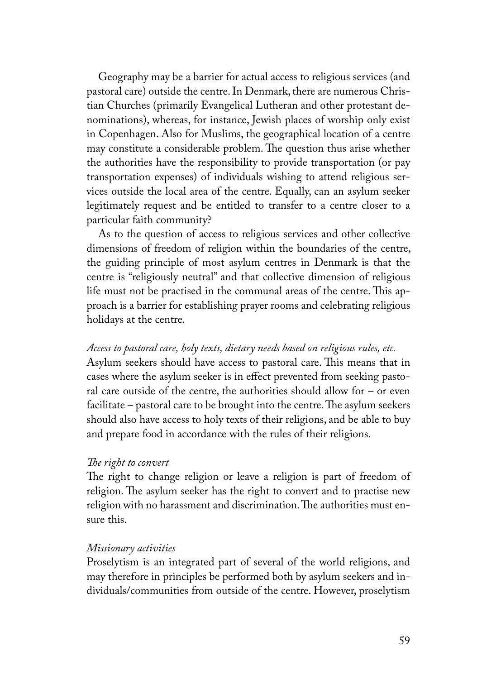Geography may be a barrier for actual access to religious services (and pastoral care) outside the centre. In Denmark, there are numerous Christian Churches (primarily Evangelical Lutheran and other protestant denominations), whereas, for instance, Jewish places of worship only exist in Copenhagen. Also for Muslims, the geographical location of a centre may constitute a considerable problem. The question thus arise whether the authorities have the responsibility to provide transportation (or pay transportation expenses) of individuals wishing to attend religious services outside the local area of the centre. Equally, can an asylum seeker legitimately request and be entitled to transfer to a centre closer to a particular faith community?

As to the question of access to religious services and other collective dimensions of freedom of religion within the boundaries of the centre, the guiding principle of most asylum centres in Denmark is that the centre is "religiously neutral" and that collective dimension of religious life must not be practised in the communal areas of the centre. This approach is a barrier for establishing prayer rooms and celebrating religious holidays at the centre.

#### *Access to pastoral care, holy texts, dietary needs based on religious rules, etc.*

Asylum seekers should have access to pastoral care. This means that in cases where the asylum seeker is in effect prevented from seeking pastoral care outside of the centre, the authorities should allow for  $-$  or even facilitate – pastoral care to be brought into the centre. The asylum seekers should also have access to holy texts of their religions, and be able to buy and prepare food in accordance with the rules of their religions.

#### *The right to convert*

The right to change religion or leave a religion is part of freedom of religion. The asylum seeker has the right to convert and to practise new religion with no harassment and discrimination. The authorities must ensure this.

#### *Missionary activities*

Proselytism is an integrated part of several of the world religions, and may therefore in principles be performed both by asylum seekers and individuals/communities from outside of the centre. However, proselytism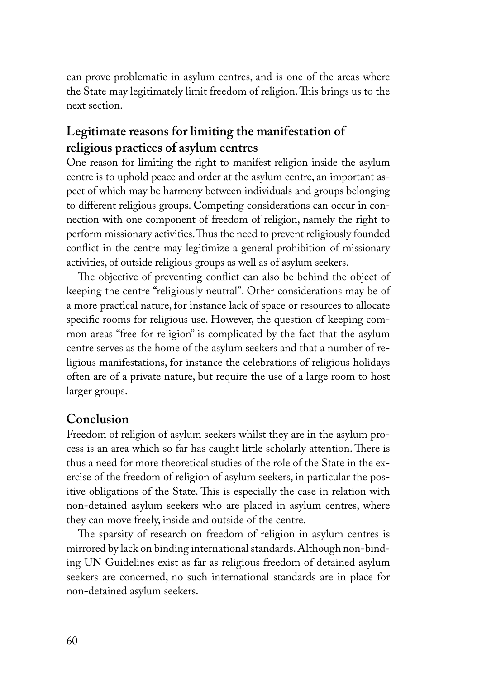can prove problematic in asylum centres, and is one of the areas where the State may legitimately limit freedom of religion. This brings us to the next section.

# **Legitimate reasons for limiting the manifestation of religious practices of asylum centres**

One reason for limiting the right to manifest religion inside the asylum centre is to uphold peace and order at the asylum centre, an important aspect of which may be harmony between individuals and groups belonging to different religious groups. Competing considerations can occur in connection with one component of freedom of religion, namely the right to perform missionary activities. Thus the need to prevent religiously founded conflict in the centre may legitimize a general prohibition of missionary activities, of outside religious groups as well as of asylum seekers.

The objective of preventing conflict can also be behind the object of keeping the centre "religiously neutral". Other considerations may be of a more practical nature, for instance lack of space or resources to allocate specific rooms for religious use. However, the question of keeping common areas "free for religion" is complicated by the fact that the asylum centre serves as the home of the asylum seekers and that a number of religious manifestations, for instance the celebrations of religious holidays often are of a private nature, but require the use of a large room to host larger groups.

# **Conclusion**

Freedom of religion of asylum seekers whilst they are in the asylum process is an area which so far has caught little scholarly attention. There is thus a need for more theoretical studies of the role of the State in the exercise of the freedom of religion of asylum seekers, in particular the positive obligations of the State. This is especially the case in relation with non-detained asylum seekers who are placed in asylum centres, where they can move freely, inside and outside of the centre.

The sparsity of research on freedom of religion in asylum centres is mirrored by lack on binding international standards. Although non-binding UN Guidelines exist as far as religious freedom of detained asylum seekers are concerned, no such international standards are in place for non-detained asylum seekers.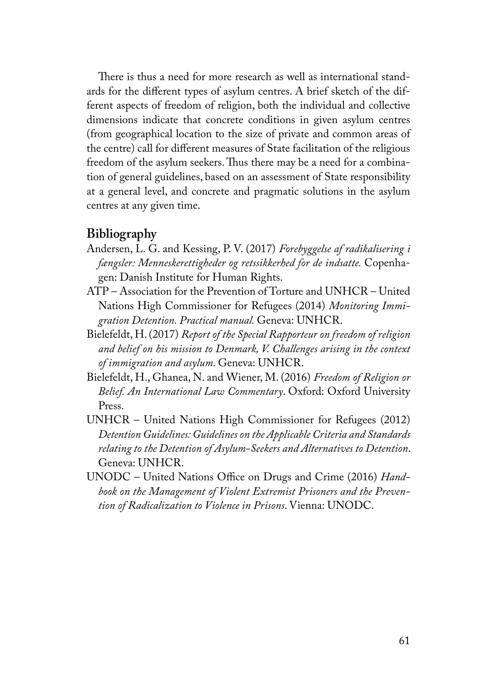There is thus a need for more research as well as international standards for the different types of asylum centres. A brief sketch of the different aspects of freedom of religion, both the individual and collective dimensions indicate that concrete conditions in given asylum centres (from geographical location to the size of private and common areas of the centre) call for different measures of State facilitation of the religious freedom of the asylum seekers. Thus there may be a need for a combination of general guidelines, based on an assessment of State responsibility at a general level, and concrete and pragmatic solutions in the asylum centres at any given time.

#### **Bibliography**

- Andersen, L. G. and Kessing, P. V. (2017) *Forebyggelse af radikalisering i fængsler: Menneskerettigheder og retssikkerhed for de indsatte.* Copenhagen: Danish Institute for Human Rights.
- ATP Association for the Prevention of Torture and UNHCR United Nations High Commissioner for Refugees (2014) *Monitoring Immigration Detention. Practical manual.* Geneva: UNHCR.
- Bielefeldt, H. (2017) *Report of the Special Rapporteur on freedom of religion and belief on his mission to Denmark, V. Challenges arising in the context of immigration and asylum.* Geneva: UNHCR.
- Bielefeldt, H., Ghanea, N. and Wiener, M. (2016) *Freedom of Religion or Belief. An International Law Commentary*. Oxford: Oxford University Press.
- UNHCR United Nations High Commissioner for Refugees (2012) *Detention Guidelines: Guidelines on the Applicable Criteria and Standards relating to the Detention of Asylum-Seekers and Alternatives to Detention*. Geneva: UNHCR.
- UNODC United Nations Office on Drugs and Crime (2016) *Handbook on the Management of Violent Extremist Prisoners and the Prevention of Radicalization to Violence in Prisons*. Vienna: UNODC.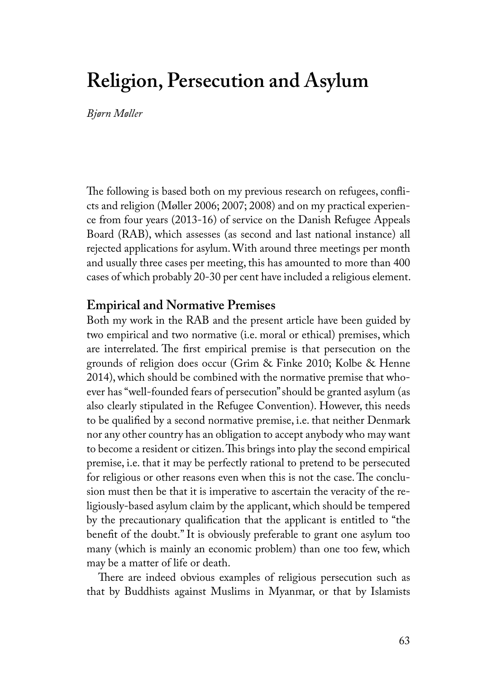# **Religion, Persecution and Asylum**

*Bjørn Møller*

The following is based both on my previous research on refugees, conflicts and religion (Møller 2006; 2007; 2008) and on my practical experience from four years (2013-16) of service on the Danish Refugee Appeals Board (RAB), which assesses (as second and last national instance) all rejected applications for asylum. With around three meetings per month and usually three cases per meeting, this has amounted to more than 400 cases of which probably 20-30 per cent have included a religious element.

#### **Empirical and Normative Premises**

Both my work in the RAB and the present article have been guided by two empirical and two normative (i.e. moral or ethical) premises, which are interrelated. The first empirical premise is that persecution on the grounds of religion does occur (Grim & Finke 2010; Kolbe & Henne 2014), which should be combined with the normative premise that whoever has "well-founded fears of persecution" should be granted asylum (as also clearly stipulated in the Refugee Convention). However, this needs to be qualified by a second normative premise, i.e. that neither Denmark nor any other country has an obligation to accept anybody who may want to become a resident or citizen. This brings into play the second empirical premise, i.e. that it may be perfectly rational to pretend to be persecuted for religious or other reasons even when this is not the case. The conclusion must then be that it is imperative to ascertain the veracity of the religiously-based asylum claim by the applicant, which should be tempered by the precautionary qualification that the applicant is entitled to "the benefit of the doubt." It is obviously preferable to grant one asylum too many (which is mainly an economic problem) than one too few, which may be a matter of life or death.

There are indeed obvious examples of religious persecution such as that by Buddhists against Muslims in Myanmar, or that by Islamists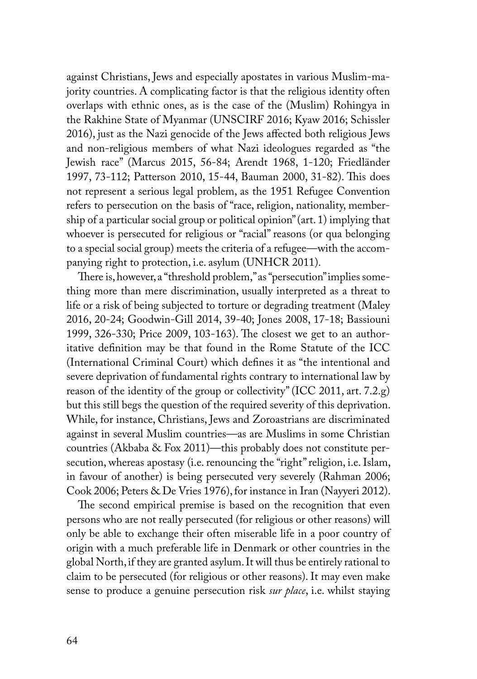against Christians, Jews and especially apostates in various Muslim-majority countries. A complicating factor is that the religious identity often overlaps with ethnic ones, as is the case of the (Muslim) Rohingya in the Rakhine State of Myanmar (UNSCIRF 2016; Kyaw 2016; Schissler 2016), just as the Nazi genocide of the Jews affected both religious Jews and non-religious members of what Nazi ideologues regarded as "the Jewish race" (Marcus 2015, 56-84; Arendt 1968, 1-120; Friedländer 1997, 73-112; Patterson 2010, 15-44, Bauman 2000, 31-82). This does not represent a serious legal problem, as the 1951 Refugee Convention refers to persecution on the basis of "race, religion, nationality, membership of a particular social group or political opinion" (art. 1) implying that whoever is persecuted for religious or "racial" reasons (or qua belonging to a special social group) meets the criteria of a refugee—with the accompanying right to protection, i.e. asylum (UNHCR 2011).

There is, however, a "threshold problem," as "persecution" implies something more than mere discrimination, usually interpreted as a threat to life or a risk of being subjected to torture or degrading treatment (Maley 2016, 20-24; Goodwin-Gill 2014, 39-40; Jones 2008, 17-18; Bassiouni 1999, 326-330; Price 2009, 103-163). The closest we get to an authoritative definition may be that found in the Rome Statute of the ICC (International Criminal Court) which defines it as "the intentional and severe deprivation of fundamental rights contrary to international law by reason of the identity of the group or collectivity" (ICC 2011, art. 7.2.g) but this still begs the question of the required severity of this deprivation. While, for instance, Christians, Jews and Zoroastrians are discriminated against in several Muslim countries—as are Muslims in some Christian countries (Akbaba & Fox 2011)—this probably does not constitute persecution, whereas apostasy (i.e. renouncing the "right" religion, i.e. Islam, in favour of another) is being persecuted very severely (Rahman 2006; Cook 2006; Peters & De Vries 1976), for instance in Iran (Nayyeri 2012).

The second empirical premise is based on the recognition that even persons who are not really persecuted (for religious or other reasons) will only be able to exchange their often miserable life in a poor country of origin with a much preferable life in Denmark or other countries in the global North, if they are granted asylum. It will thus be entirely rational to claim to be persecuted (for religious or other reasons). It may even make sense to produce a genuine persecution risk *sur place*, i.e. whilst staying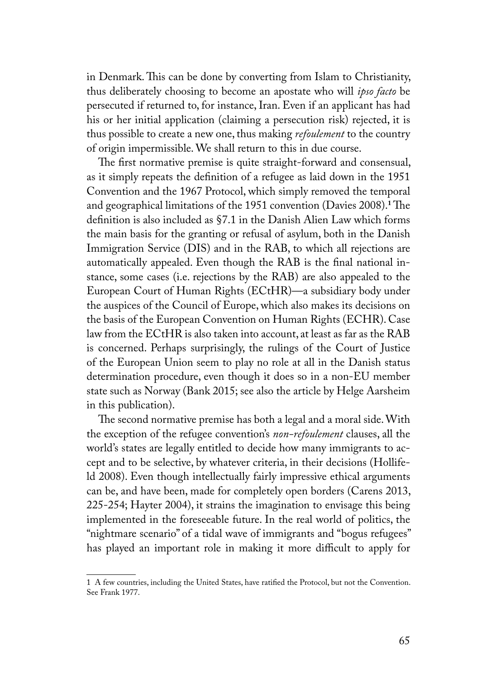in Denmark. This can be done by converting from Islam to Christianity, thus deliberately choosing to become an apostate who will *ipso facto* be persecuted if returned to, for instance, Iran. Even if an applicant has had his or her initial application (claiming a persecution risk) rejected, it is thus possible to create a new one, thus making *refoulement* to the country of origin impermissible. We shall return to this in due course.

The first normative premise is quite straight-forward and consensual, as it simply repeats the definition of a refugee as laid down in the 1951 Convention and the 1967 Protocol, which simply removed the temporal and geographical limitations of the 1951 convention (Davies 2008).<sup>1</sup>The definition is also included as §7.1 in the Danish Alien Law which forms the main basis for the granting or refusal of asylum, both in the Danish Immigration Service (DIS) and in the RAB, to which all rejections are automatically appealed. Even though the RAB is the final national instance, some cases (i.e. rejections by the RAB) are also appealed to the European Court of Human Rights (ECtHR)—a subsidiary body under the auspices of the Council of Europe, which also makes its decisions on the basis of the European Convention on Human Rights (ECHR). Case law from the ECtHR is also taken into account, at least as far as the RAB is concerned. Perhaps surprisingly, the rulings of the Court of Justice of the European Union seem to play no role at all in the Danish status determination procedure, even though it does so in a non-EU member state such as Norway (Bank 2015; see also the article by Helge Aarsheim in this publication).

The second normative premise has both a legal and a moral side. With the exception of the refugee convention's *non-refoulement* clauses, all the world's states are legally entitled to decide how many immigrants to accept and to be selective, by whatever criteria, in their decisions (Hollifeld 2008). Even though intellectually fairly impressive ethical arguments can be, and have been, made for completely open borders (Carens 2013, 225-254; Hayter 2004), it strains the imagination to envisage this being implemented in the foreseeable future. In the real world of politics, the "nightmare scenario" of a tidal wave of immigrants and "bogus refugees" has played an important role in making it more difficult to apply for

<sup>1</sup> A few countries, including the United States, have ratified the Protocol, but not the Convention. See Frank 1977.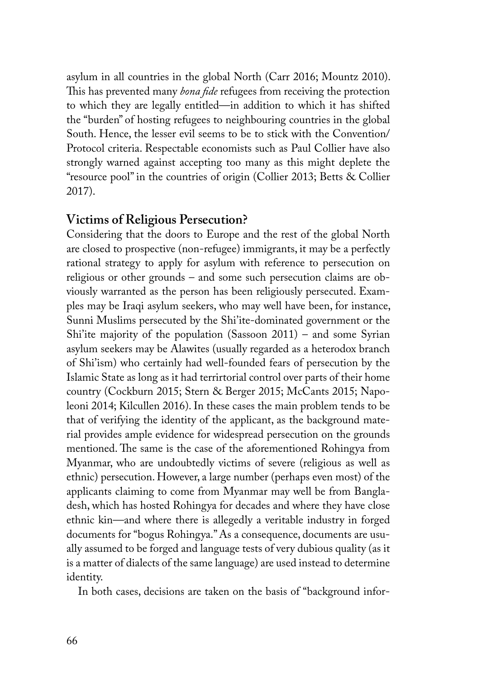asylum in all countries in the global North (Carr 2016; Mountz 2010). This has prevented many *bona fide* refugees from receiving the protection to which they are legally entitled—in addition to which it has shifted the "burden" of hosting refugees to neighbouring countries in the global South. Hence, the lesser evil seems to be to stick with the Convention/ Protocol criteria. Respectable economists such as Paul Collier have also strongly warned against accepting too many as this might deplete the "resource pool" in the countries of origin (Collier 2013; Betts & Collier 2017).

## **Victims of Religious Persecution?**

Considering that the doors to Europe and the rest of the global North are closed to prospective (non-refugee) immigrants, it may be a perfectly rational strategy to apply for asylum with reference to persecution on religious or other grounds – and some such persecution claims are obviously warranted as the person has been religiously persecuted. Examples may be Iraqi asylum seekers, who may well have been, for instance, Sunni Muslims persecuted by the Shi'ite-dominated government or the Shi'ite majority of the population (Sassoon 2011) – and some Syrian asylum seekers may be Alawites (usually regarded as a heterodox branch of Shi'ism) who certainly had well-founded fears of persecution by the Islamic State as long as it had terrirtorial control over parts of their home country (Cockburn 2015; Stern & Berger 2015; McCants 2015; Napoleoni 2014; Kilcullen 2016). In these cases the main problem tends to be that of verifying the identity of the applicant, as the background material provides ample evidence for widespread persecution on the grounds mentioned. The same is the case of the aforementioned Rohingya from Myanmar, who are undoubtedly victims of severe (religious as well as ethnic) persecution. However, a large number (perhaps even most) of the applicants claiming to come from Myanmar may well be from Bangladesh, which has hosted Rohingya for decades and where they have close ethnic kin—and where there is allegedly a veritable industry in forged documents for "bogus Rohingya." As a consequence, documents are usually assumed to be forged and language tests of very dubious quality (as it is a matter of dialects of the same language) are used instead to determine identity.

In both cases, decisions are taken on the basis of "background infor-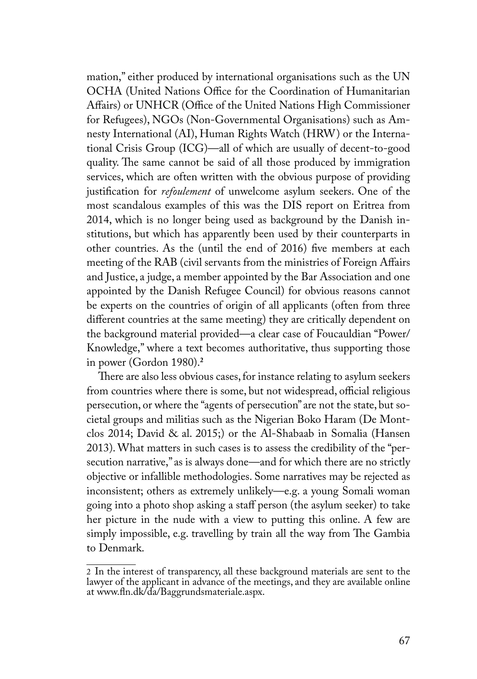mation," either produced by international organisations such as the UN OCHA (United Nations Office for the Coordination of Humanitarian Affairs) or UNHCR (Office of the United Nations High Commissioner for Refugees), NGOs (Non-Governmental Organisations) such as Amnesty International (AI), Human Rights Watch (HRW) or the International Crisis Group (ICG)—all of which are usually of decent-to-good quality. The same cannot be said of all those produced by immigration services, which are often written with the obvious purpose of providing justification for *refoulement* of unwelcome asylum seekers. One of the most scandalous examples of this was the DIS report on Eritrea from 2014, which is no longer being used as background by the Danish institutions, but which has apparently been used by their counterparts in other countries. As the (until the end of 2016) five members at each meeting of the RAB (civil servants from the ministries of Foreign Affairs and Justice, a judge, a member appointed by the Bar Association and one appointed by the Danish Refugee Council) for obvious reasons cannot be experts on the countries of origin of all applicants (often from three different countries at the same meeting) they are critically dependent on the background material provided—a clear case of Foucauldian "Power/ Knowledge," where a text becomes authoritative, thus supporting those in power (Gordon 1980).**<sup>2</sup>**

There are also less obvious cases, for instance relating to asylum seekers from countries where there is some, but not widespread, official religious persecution, or where the "agents of persecution" are not the state, but societal groups and militias such as the Nigerian Boko Haram (De Montclos 2014; David & al. 2015;) or the Al-Shabaab in Somalia (Hansen 2013). What matters in such cases is to assess the credibility of the "persecution narrative," as is always done—and for which there are no strictly objective or infallible methodologies. Some narratives may be rejected as inconsistent; others as extremely unlikely—e.g. a young Somali woman going into a photo shop asking a staff person (the asylum seeker) to take her picture in the nude with a view to putting this online. A few are simply impossible, e.g. travelling by train all the way from The Gambia to Denmark.

<sup>2</sup> In the interest of transparency, all these background materials are sent to the lawyer of the applicant in advance of the meetings, and they are available online at www.fln.dk/da/Baggrundsmateriale.aspx.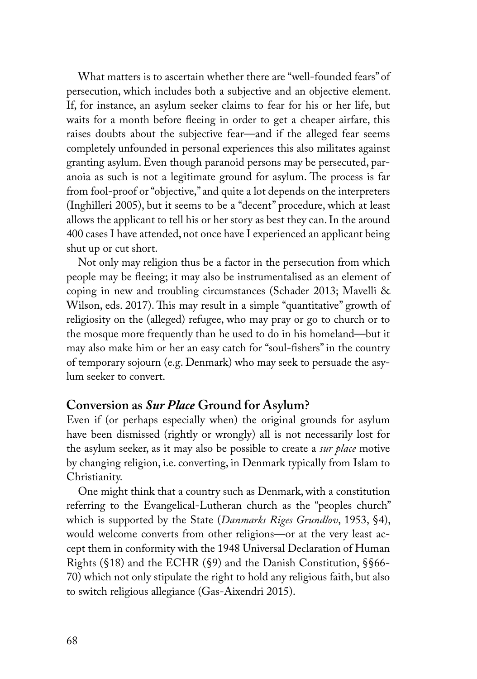What matters is to ascertain whether there are "well-founded fears" of persecution, which includes both a subjective and an objective element. If, for instance, an asylum seeker claims to fear for his or her life, but waits for a month before fleeing in order to get a cheaper airfare, this raises doubts about the subjective fear—and if the alleged fear seems completely unfounded in personal experiences this also militates against granting asylum. Even though paranoid persons may be persecuted, paranoia as such is not a legitimate ground for asylum. The process is far from fool-proof or "objective," and quite a lot depends on the interpreters (Inghilleri 2005), but it seems to be a "decent" procedure, which at least allows the applicant to tell his or her story as best they can. In the around 400 cases I have attended, not once have I experienced an applicant being shut up or cut short.

Not only may religion thus be a factor in the persecution from which people may be fleeing; it may also be instrumentalised as an element of coping in new and troubling circumstances (Schader 2013; Mavelli & Wilson, eds. 2017). This may result in a simple "quantitative" growth of religiosity on the (alleged) refugee, who may pray or go to church or to the mosque more frequently than he used to do in his homeland—but it may also make him or her an easy catch for "soul-fishers" in the country of temporary sojourn (e.g. Denmark) who may seek to persuade the asylum seeker to convert.

## **Conversion as** *Sur Place* **Ground for Asylum?**

Even if (or perhaps especially when) the original grounds for asylum have been dismissed (rightly or wrongly) all is not necessarily lost for the asylum seeker, as it may also be possible to create a *sur place* motive by changing religion, i.e. converting, in Denmark typically from Islam to Christianity.

One might think that a country such as Denmark, with a constitution referring to the Evangelical-Lutheran church as the "peoples church" which is supported by the State (*Danmarks Riges Grundlov*, 1953, §4), would welcome converts from other religions—or at the very least accept them in conformity with the 1948 Universal Declaration of Human Rights (§18) and the ECHR (§9) and the Danish Constitution, §§66- 70) which not only stipulate the right to hold any religious faith, but also to switch religious allegiance (Gas-Aixendri 2015).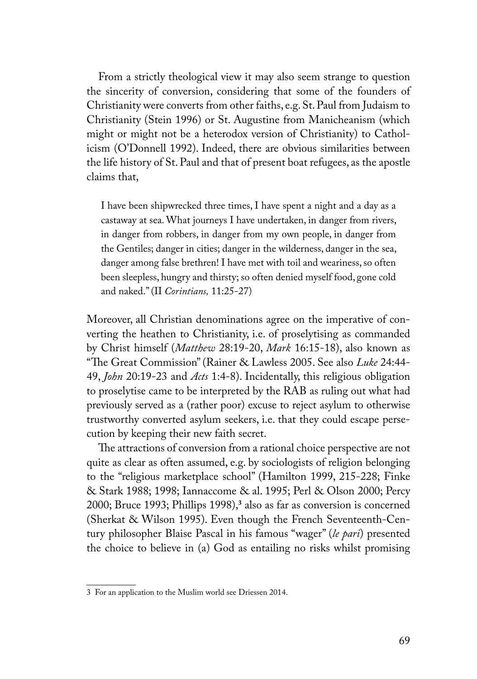From a strictly theological view it may also seem strange to question the sincerity of conversion, considering that some of the founders of Christianity were converts from other faiths, e.g. St. Paul from Judaism to Christianity (Stein 1996) or St. Augustine from Manicheanism (which might or might not be a heterodox version of Christianity) to Catholicism (O'Donnell 1992). Indeed, there are obvious similarities between the life history of St. Paul and that of present boat refugees, as the apostle claims that,

I have been shipwrecked three times, I have spent a night and a day as a castaway at sea. What journeys I have undertaken, in danger from rivers, in danger from robbers, in danger from my own people, in danger from the Gentiles; danger in cities; danger in the wilderness, danger in the sea, danger among false brethren! I have met with toil and weariness, so often been sleepless, hungry and thirsty; so often denied myself food, gone cold and naked." (II *Corintians,* 11:25-27)

Moreover, all Christian denominations agree on the imperative of converting the heathen to Christianity, i.e. of proselytising as commanded by Christ himself (*Matthew* 28:19-20, *Mark* 16:15-18), also known as "The Great Commission" (Rainer & Lawless 2005. See also *Luke* 24:44- 49, *John* 20:19-23 and *Acts* 1:4-8). Incidentally, this religious obligation to proselytise came to be interpreted by the RAB as ruling out what had previously served as a (rather poor) excuse to reject asylum to otherwise trustworthy converted asylum seekers, i.e. that they could escape persecution by keeping their new faith secret.

The attractions of conversion from a rational choice perspective are not quite as clear as often assumed, e.g. by sociologists of religion belonging to the "religious marketplace school" (Hamilton 1999, 215-228; Finke & Stark 1988; 1998; Iannaccome & al. 1995; Perl & Olson 2000; Percy 2000; Bruce 1993; Phillips 1998),**<sup>3</sup>** also as far as conversion is concerned (Sherkat & Wilson 1995). Even though the French Seventeenth-Century philosopher Blaise Pascal in his famous "wager" (*le pari*) presented the choice to believe in (a) God as entailing no risks whilst promising

<sup>3</sup> For an application to the Muslim world see Driessen 2014.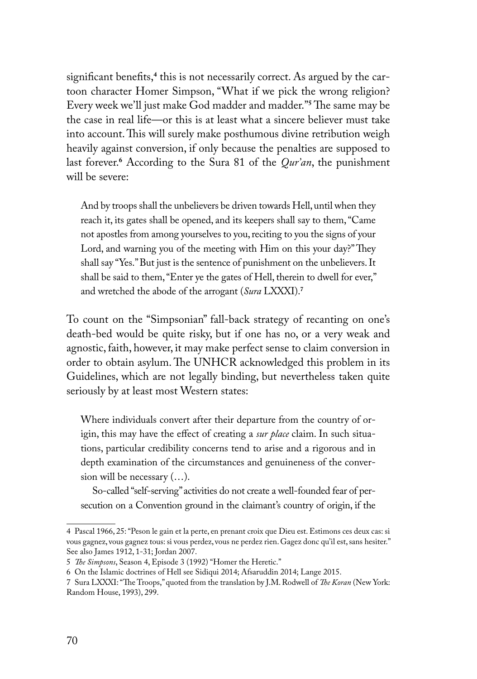significant benefits,**<sup>4</sup>** this is not necessarily correct. As argued by the cartoon character Homer Simpson, "What if we pick the wrong religion? Every week we'll just make God madder and madder."**<sup>5</sup>** The same may be the case in real life—or this is at least what a sincere believer must take into account. This will surely make posthumous divine retribution weigh heavily against conversion, if only because the penalties are supposed to last forever.**<sup>6</sup>** According to the Sura 81 of the *Qur'an*, the punishment will be severe:

And by troops shall the unbelievers be driven towards Hell, until when they reach it, its gates shall be opened, and its keepers shall say to them, "Came not apostles from among yourselves to you, reciting to you the signs of your Lord, and warning you of the meeting with Him on this your day?" They shall say "Yes." But just is the sentence of punishment on the unbelievers. It shall be said to them, "Enter ye the gates of Hell, therein to dwell for ever," and wretched the abode of the arrogant (*Sura* LXXXI).**<sup>7</sup>**

To count on the "Simpsonian" fall-back strategy of recanting on one's death-bed would be quite risky, but if one has no, or a very weak and agnostic, faith, however, it may make perfect sense to claim conversion in order to obtain asylum. The UNHCR acknowledged this problem in its Guidelines, which are not legally binding, but nevertheless taken quite seriously by at least most Western states:

Where individuals convert after their departure from the country of origin, this may have the effect of creating a *sur place* claim. In such situations, particular credibility concerns tend to arise and a rigorous and in depth examination of the circumstances and genuineness of the conversion will be necessary (…).

So-called "self-serving" activities do not create a well-founded fear of persecution on a Convention ground in the claimant's country of origin, if the

<sup>4</sup> Pascal 1966, 25: "Peson le gain et la perte, en prenant croix que Dieu est. Estimons ces deux cas: si vous gagnez, vous gagnez tous: si vous perdez, vous ne perdez rien. Gagez donc qu'il est, sans hesiter." See also James 1912, 1-31; Jordan 2007.

<sup>5</sup> *The Simpsons*, Season 4, Episode 3 (1992) "Homer the Heretic."

<sup>6</sup> On the Islamic doctrines of Hell see Sidiqui 2014; Afsaruddin 2014; Lange 2015.

<sup>7</sup> Sura LXXXI: "The Troops," quoted from the translation by J.M. Rodwell of *The Koran* (New York: Random House, 1993), 299.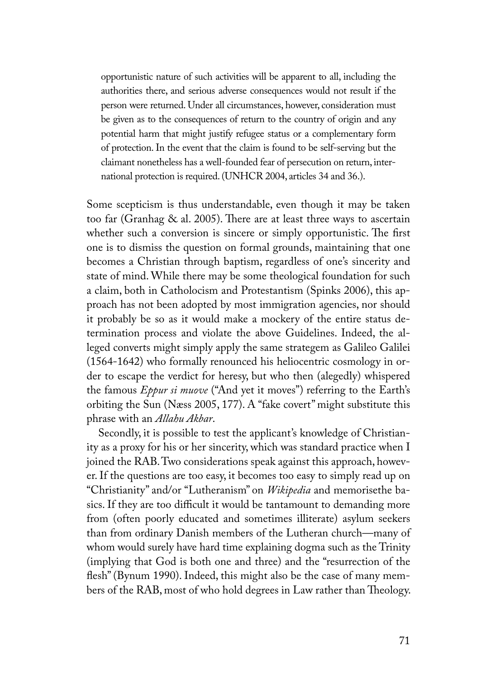opportunistic nature of such activities will be apparent to all, including the authorities there, and serious adverse consequences would not result if the person were returned. Under all circumstances, however, consideration must be given as to the consequences of return to the country of origin and any potential harm that might justify refugee status or a complementary form of protection. In the event that the claim is found to be self-serving but the claimant nonetheless has a well-founded fear of persecution on return, international protection is required. (UNHCR 2004, articles 34 and 36.).

Some scepticism is thus understandable, even though it may be taken too far (Granhag & al. 2005). There are at least three ways to ascertain whether such a conversion is sincere or simply opportunistic. The first one is to dismiss the question on formal grounds, maintaining that one becomes a Christian through baptism, regardless of one's sincerity and state of mind. While there may be some theological foundation for such a claim, both in Catholocism and Protestantism (Spinks 2006), this approach has not been adopted by most immigration agencies, nor should it probably be so as it would make a mockery of the entire status determination process and violate the above Guidelines. Indeed, the alleged converts might simply apply the same strategem as Galileo Galilei (1564-1642) who formally renounced his heliocentric cosmology in order to escape the verdict for heresy, but who then (alegedly) whispered the famous *Eppur si muove* ("And yet it moves") referring to the Earth's orbiting the Sun (Næss 2005, 177). A "fake covert" might substitute this phrase with an *Allahu Akbar*.

Secondly, it is possible to test the applicant's knowledge of Christianity as a proxy for his or her sincerity, which was standard practice when I joined the RAB. Two considerations speak against this approach, however. If the questions are too easy, it becomes too easy to simply read up on "Christianity" and/or "Lutheranism" on *Wikipedia* and memorisethe basics. If they are too difficult it would be tantamount to demanding more from (often poorly educated and sometimes illiterate) asylum seekers than from ordinary Danish members of the Lutheran church—many of whom would surely have hard time explaining dogma such as the Trinity (implying that God is both one and three) and the "resurrection of the flesh" (Bynum 1990). Indeed, this might also be the case of many members of the RAB, most of who hold degrees in Law rather than Theology.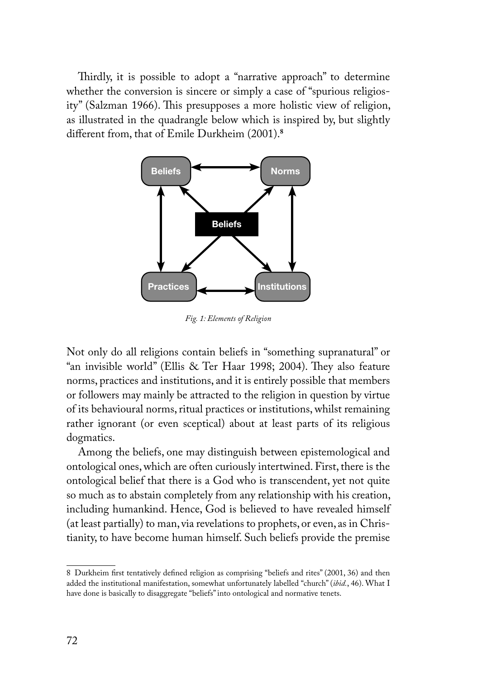Thirdly, it is possible to adopt a "narrative approach" to determine whether the conversion is sincere or simply a case of "spurious religiosity" (Salzman 1966). This presupposes a more holistic view of religion, as illustrated in the quadrangle below which is inspired by, but slightly different from, that of Emile Durkheim (2001).**<sup>8</sup>**



*Fig. 1: Elements of Religion*

Not only do all religions contain beliefs in "something supranatural" or "an invisible world" (Ellis & Ter Haar 1998; 2004). They also feature norms, practices and institutions, and it is entirely possible that members or followers may mainly be attracted to the religion in question by virtue of its behavioural norms, ritual practices or institutions, whilst remaining rather ignorant (or even sceptical) about at least parts of its religious dogmatics.

Among the beliefs, one may distinguish between epistemological and ontological ones, which are often curiously intertwined. First, there is the ontological belief that there is a God who is transcendent, yet not quite so much as to abstain completely from any relationship with his creation, including humankind. Hence, God is believed to have revealed himself (at least partially) to man, via revelations to prophets, or even, as in Christianity, to have become human himself. Such beliefs provide the premise

<sup>8</sup> Durkheim first tentatively defined religion as comprising "beliefs and rites" (2001, 36) and then added the institutional manifestation, somewhat unfortunately labelled "church" (*ibid.*, 46). What I have done is basically to disaggregate "beliefs" into ontological and normative tenets.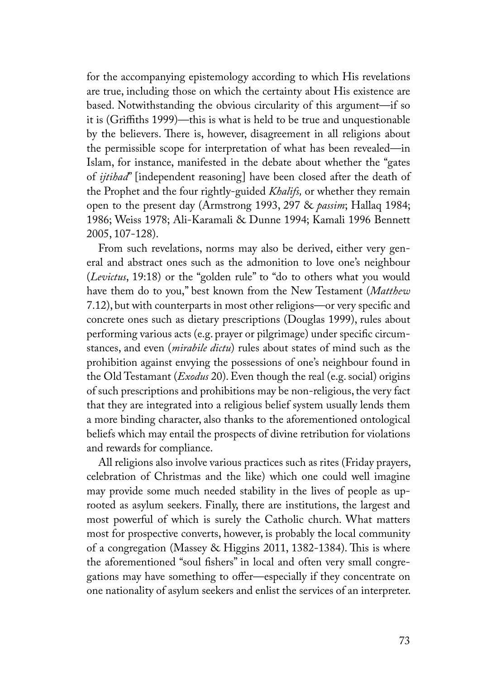for the accompanying epistemology according to which His revelations are true, including those on which the certainty about His existence are based. Notwithstanding the obvious circularity of this argument—if so it is (Griffiths 1999)—this is what is held to be true and unquestionable by the believers. There is, however, disagreement in all religions about the permissible scope for interpretation of what has been revealed—in Islam, for instance, manifested in the debate about whether the "gates of *ijtihad*" [independent reasoning] have been closed after the death of the Prophet and the four rightly-guided *Khalifs,* or whether they remain open to the present day (Armstrong 1993, 297 & *passim*; Hallaq 1984; 1986; Weiss 1978; Ali-Karamali & Dunne 1994; Kamali 1996 Bennett 2005, 107-128).

From such revelations, norms may also be derived, either very general and abstract ones such as the admonition to love one's neighbour (*Levictus*, 19:18) or the "golden rule" to "do to others what you would have them do to you," best known from the New Testament (*Matthew* 7.12), but with counterparts in most other religions—or very specific and concrete ones such as dietary prescriptions (Douglas 1999), rules about performing various acts (e.g. prayer or pilgrimage) under specific circumstances, and even (*mirabile dictu*) rules about states of mind such as the prohibition against envying the possessions of one's neighbour found in the Old Testamant (*Exodus* 20). Even though the real (e.g. social) origins of such prescriptions and prohibitions may be non-religious, the very fact that they are integrated into a religious belief system usually lends them a more binding character, also thanks to the aforementioned ontological beliefs which may entail the prospects of divine retribution for violations and rewards for compliance.

All religions also involve various practices such as rites (Friday prayers, celebration of Christmas and the like) which one could well imagine may provide some much needed stability in the lives of people as uprooted as asylum seekers. Finally, there are institutions, the largest and most powerful of which is surely the Catholic church. What matters most for prospective converts, however, is probably the local community of a congregation (Massey & Higgins 2011, 1382-1384). This is where the aforementioned "soul fishers" in local and often very small congregations may have something to offer—especially if they concentrate on one nationality of asylum seekers and enlist the services of an interpreter.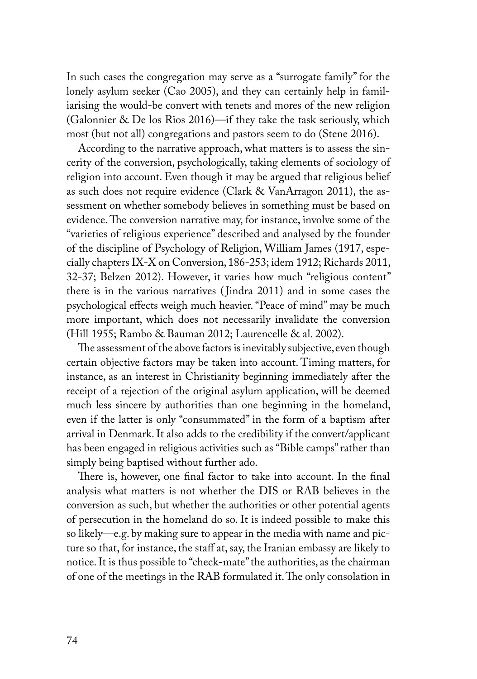In such cases the congregation may serve as a "surrogate family" for the lonely asylum seeker (Cao 2005), and they can certainly help in familiarising the would-be convert with tenets and mores of the new religion (Galonnier & De los Rios 2016)—if they take the task seriously, which most (but not all) congregations and pastors seem to do (Stene 2016).

According to the narrative approach, what matters is to assess the sincerity of the conversion, psychologically, taking elements of sociology of religion into account. Even though it may be argued that religious belief as such does not require evidence (Clark & VanArragon 2011), the assessment on whether somebody believes in something must be based on evidence. The conversion narrative may, for instance, involve some of the "varieties of religious experience" described and analysed by the founder of the discipline of Psychology of Religion, William James (1917, especially chapters IX-X on Conversion, 186-253; idem 1912; Richards 2011, 32-37; Belzen 2012). However, it varies how much "religious content" there is in the various narratives ( Jindra 2011) and in some cases the psychological effects weigh much heavier. "Peace of mind" may be much more important, which does not necessarily invalidate the conversion (Hill 1955; Rambo & Bauman 2012; Laurencelle & al. 2002).

The assessment of the above factors is inevitably subjective, even though certain objective factors may be taken into account. Timing matters, for instance, as an interest in Christianity beginning immediately after the receipt of a rejection of the original asylum application, will be deemed much less sincere by authorities than one beginning in the homeland, even if the latter is only "consummated" in the form of a baptism after arrival in Denmark. It also adds to the credibility if the convert/applicant has been engaged in religious activities such as "Bible camps" rather than simply being baptised without further ado.

There is, however, one final factor to take into account. In the final analysis what matters is not whether the DIS or RAB believes in the conversion as such, but whether the authorities or other potential agents of persecution in the homeland do so. It is indeed possible to make this so likely—e.g. by making sure to appear in the media with name and picture so that, for instance, the staff at, say, the Iranian embassy are likely to notice. It is thus possible to "check-mate" the authorities, as the chairman of one of the meetings in the RAB formulated it. The only consolation in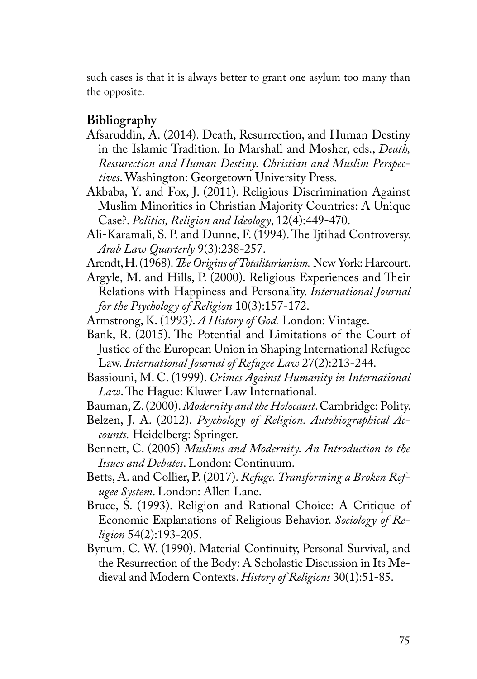such cases is that it is always better to grant one asylum too many than the opposite.

## **Bibliography**

- Afsaruddin, A. (2014). Death, Resurrection, and Human Destiny in the Islamic Tradition. In Marshall and Mosher, eds., *Death, Ressurection and Human Destiny. Christian and Muslim Perspectives*. Washington: Georgetown University Press.
- Akbaba, Y. and Fox, J. (2011). Religious Discrimination Against Muslim Minorities in Christian Majority Countries: A Unique Case?. *Politics, Religion and Ideology*, 12(4):449-470.
- Ali-Karamali, S. P. and Dunne, F. (1994). The Ijtihad Controversy. *Arab Law Quarterly* 9(3):238-257.
- Arendt, H. (1968). *The Origins of Totalitarianism.* New York: Harcourt.
- Argyle, M. and Hills, P. (2000). Religious Experiences and Their Relations with Happiness and Personality. *International Journal for the Psychology of Religion* 10(3):157-172.
- Armstrong, K. (1993). *A History of God.* London: Vintage.
- Bank, R. (2015). The Potential and Limitations of the Court of Justice of the European Union in Shaping International Refugee Law. *International Journal of Refugee Law* 27(2):213-244.
- Bassiouni, M. C. (1999). *Crimes Against Humanity in International Law*. The Hague: Kluwer Law International.
- Bauman, Z. (2000). *Modernity and the Holocaust*. Cambridge: Polity.
- Belzen, J. A. (2012). *Psychology of Religion. Autobiographical Accounts.* Heidelberg: Springer.
- Bennett, C. (2005) *Muslims and Modernity. An Introduction to the Issues and Debates*. London: Continuum.
- Betts, A. and Collier, P. (2017). *Refuge. Transforming a Broken Refugee System*. London: Allen Lane.
- Bruce, S. (1993). Religion and Rational Choice: A Critique of Economic Explanations of Religious Behavior. *Sociology of Religion* 54(2):193-205.
- Bynum, C. W. (1990). Material Continuity, Personal Survival, and the Resurrection of the Body: A Scholastic Discussion in Its Medieval and Modern Contexts. *History of Religions* 30(1):51-85.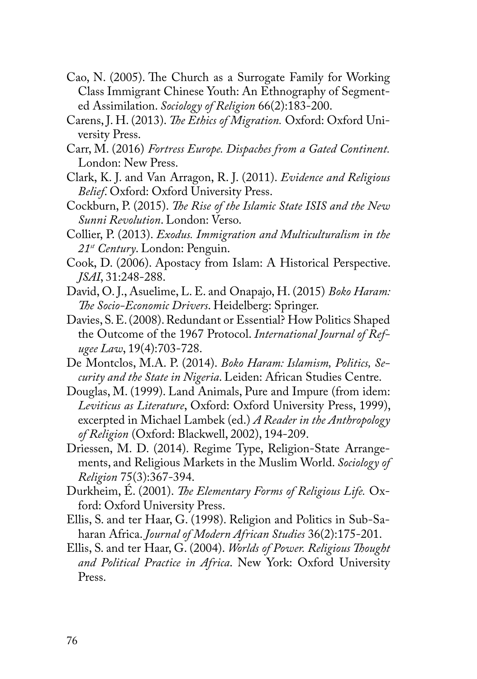- Cao, N. (2005). The Church as a Surrogate Family for Working Class Immigrant Chinese Youth: An Ethnography of Segmented Assimilation. *Sociology of Religion* 66(2):183-200.
- Carens, J. H. (2013). *The Ethics of Migration.* Oxford: Oxford University Press.
- Carr, M. (2016) *Fortress Europe. Dispaches from a Gated Continent.* London: New Press.
- Clark, K. J. and Van Arragon, R. J. (2011). *Evidence and Religious Belief*. Oxford: Oxford University Press.
- Cockburn, P. (2015). *The Rise of the Islamic State ISIS and the New Sunni Revolution*. London: Verso.
- Collier, P. (2013). *Exodus. Immigration and Multiculturalism in the 21st Century*. London: Penguin.
- Cook, D. (2006). Apostacy from Islam: A Historical Perspective. *JSAI*, 31:248-288.
- David, O. J., Asuelime, L. E. and Onapajo, H. (2015) *Boko Haram: The Socio-Economic Drivers*. Heidelberg: Springer.
- Davies, S. E. (2008). Redundant or Essential? How Politics Shaped the Outcome of the 1967 Protocol. *International Journal of Refugee Law*, 19(4):703-728.
- De Montclos, M.A. P. (2014). *Boko Haram: Islamism, Politics, Security and the State in Nigeria*. Leiden: African Studies Centre.
- Douglas, M. (1999). Land Animals, Pure and Impure (from idem: *Leviticus as Literature*, Oxford: Oxford University Press, 1999), excerpted in Michael Lambek (ed.) *A Reader in the Anthropology of Religion* (Oxford: Blackwell, 2002), 194-209.
- Driessen, M. D. (2014). Regime Type, Religion-State Arrangements, and Religious Markets in the Muslim World. *Sociology of Religion* 75(3):367-394.
- Durkheim, É. (2001). *The Elementary Forms of Religious Life.* Oxford: Oxford University Press.
- Ellis, S. and ter Haar, G. (1998). Religion and Politics in Sub-Saharan Africa. *Journal of Modern African Studies* 36(2):175-201.
- Ellis, S. and ter Haar, G. (2004). *Worlds of Power. Religious Thought and Political Practice in Africa*. New York: Oxford University Press.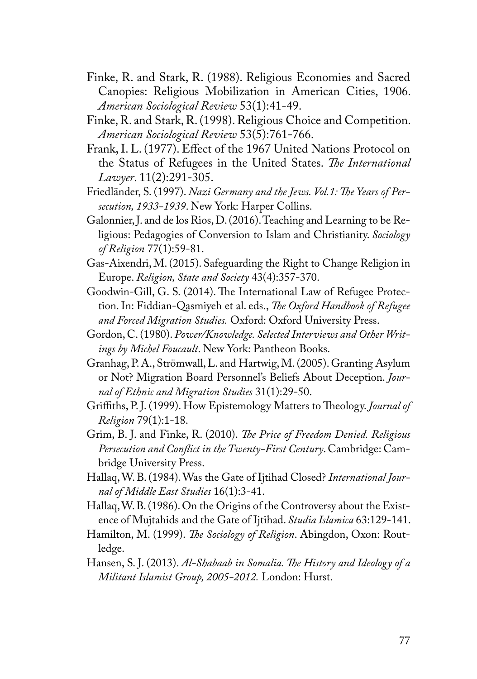- Finke, R. and Stark, R. (1988). Religious Economies and Sacred Canopies: Religious Mobilization in American Cities, 1906. *American Sociological Review* 53(1):41-49.
- Finke, R. and Stark, R. (1998). Religious Choice and Competition. *American Sociological Review* 53(5):761-766.
- Frank, I. L. (1977). Effect of the 1967 United Nations Protocol on the Status of Refugees in the United States. *The International Lawyer*. 11(2):291-305.
- Friedländer, S. (1997). *Nazi Germany and the Jews. Vol.1: The Years of Persecution, 1933-1939*. New York: Harper Collins.
- Galonnier, J. and de los Rios, D. (2016). Teaching and Learning to be Religious: Pedagogies of Conversion to Islam and Christianity. *Sociology of Religion* 77(1):59-81.
- Gas-Aixendri, M. (2015). Safeguarding the Right to Change Religion in Europe. *Religion, State and Society* 43(4):357-370.
- Goodwin-Gill, G. S. (2014). The International Law of Refugee Protection. In: Fiddian-Qasmiyeh et al. eds., *The Oxford Handbook of Refugee and Forced Migration Studies.* Oxford: Oxford University Press.
- Gordon, C. (1980). *Power/Knowledge. Selected Interviews and Other Writings by Michel Foucault*. New York: Pantheon Books.
- Granhag, P. A., Strömwall, L. and Hartwig, M. (2005). Granting Asylum or Not? Migration Board Personnel's Beliefs About Deception. *Journal of Ethnic and Migration Studies* 31(1):29-50.
- Griffiths, P. J. (1999). How Epistemology Matters to Theology. *Journal of Religion* 79(1):1-18.
- Grim, B. J. and Finke, R. (2010). *The Price of Freedom Denied. Religious Persecution and Conflict in the Twenty-First Century*. Cambridge: Cambridge University Press.
- Hallaq, W. B. (1984). Was the Gate of Ijtihad Closed? *International Journal of Middle East Studies* 16(1):3-41.
- Hallaq, W. B. (1986). On the Origins of the Controversy about the Existence of Mujtahids and the Gate of Ijtihad. *Studia Islamica* 63:129-141.
- Hamilton, M. (1999). *The Sociology of Religion*. Abingdon, Oxon: Routledge.
- Hansen, S. J. (2013). *Al-Shabaab in Somalia. The History and Ideology of a Militant Islamist Group, 2005-2012.* London: Hurst.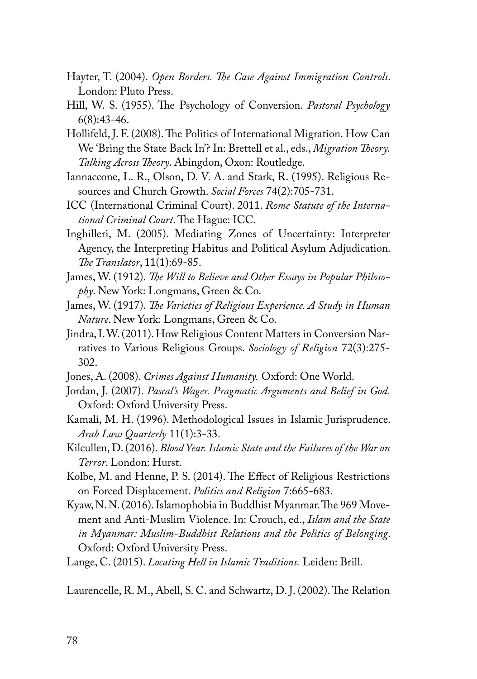- Hayter, T. (2004). *Open Borders. The Case Against Immigration Controls*. London: Pluto Press.
- Hill, W. S. (1955). The Psychology of Conversion. *Pastoral Psychology* 6(8):43-46.
- Hollifeld, J. F. (2008). The Politics of International Migration. How Can We 'Bring the State Back In'? In: Brettell et al., eds., *Migration Theory. Talking Across Theory*. Abingdon, Oxon: Routledge.
- Iannaccone, L. R., Olson, D. V. A. and Stark, R. (1995). Religious Resources and Church Growth. *Social Forces* 74(2):705-731.
- ICC (International Criminal Court). 2011. *Rome Statute of the International Criminal Court*. The Hague: ICC.
- Inghilleri, M. (2005). Mediating Zones of Uncertainty: Interpreter Agency, the Interpreting Habitus and Political Asylum Adjudication. *The Translator*, 11(1):69-85.
- James, W. (1912). *The Will to Believe and Other Essays in Popular Philosophy*. New York: Longmans, Green & Co.
- James, W. (1917). *The Varieties of Religious Experience. A Study in Human Nature*. New York: Longmans, Green & Co.
- Jindra, I. W. (2011). How Religious Content Matters in Conversion Narratives to Various Religious Groups. *Sociology of Religion* 72(3):275- 302.
- Jones, A. (2008). *Crimes Against Humanity.* Oxford: One World.
- Jordan, J. (2007). *Pascal's Wager. Pragmatic Arguments and Belief in God.* Oxford: Oxford University Press.
- Kamali, M. H. (1996). Methodological Issues in Islamic Jurisprudence. *Arab Law Quarterly* 11(1):3-33.
- Kilcullen, D. (2016). *Blood Year. Islamic State and the Failures of the War on Terror*. London: Hurst.
- Kolbe, M. and Henne, P. S. (2014). The Effect of Religious Restrictions on Forced Displacement. *Politics and Religion* 7:665-683.
- Kyaw, N. N. (2016). Islamophobia in Buddhist Myanmar. The 969 Movement and Anti-Muslim Violence. In: Crouch, ed., *Islam and the State in Myanmar: Muslim-Buddhist Relations and the Politics of Belonging*. Oxford: Oxford University Press.
- Lange, C. (2015). *Locating Hell in Islamic Traditions.* Leiden: Brill.

Laurencelle, R. M., Abell, S. C. and Schwartz, D. J. (2002). The Relation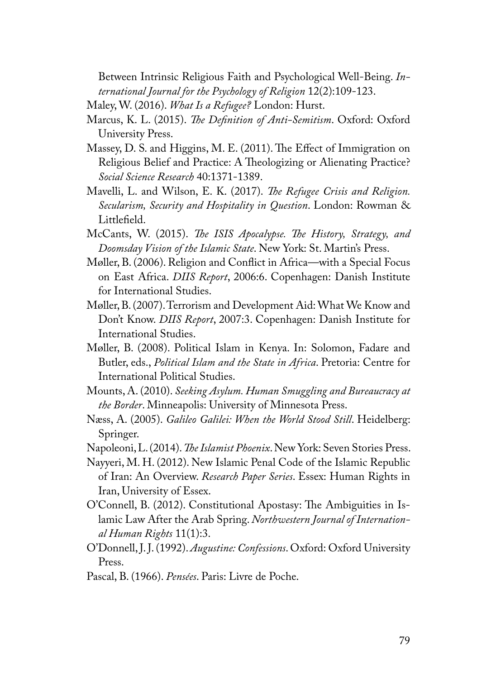Between Intrinsic Religious Faith and Psychological Well-Being. *International Journal for the Psychology of Religion* 12(2):109-123.

Maley, W. (2016). *What Is a Refugee?* London: Hurst.

- Marcus, K. L. (2015). *The Definition of Anti-Semitism*. Oxford: Oxford University Press.
- Massey, D. S. and Higgins, M. E. (2011). The Effect of Immigration on Religious Belief and Practice: A Theologizing or Alienating Practice? *Social Science Research* 40:1371-1389.
- Mavelli, L. and Wilson, E. K. (2017). *The Refugee Crisis and Religion. Secularism, Security and Hospitality in Question*. London: Rowman & Littlefield.
- McCants, W. (2015). *The ISIS Apocalypse. The History, Strategy, and Doomsday Vision of the Islamic State*. New York: St. Martin's Press.
- Møller, B. (2006). Religion and Conflict in Africa—with a Special Focus on East Africa. *DIIS Report*, 2006:6. Copenhagen: Danish Institute for International Studies.
- Møller, B. (2007). Terrorism and Development Aid: What We Know and Don't Know. *DIIS Report*, 2007:3. Copenhagen: Danish Institute for International Studies.
- Møller, B. (2008). Political Islam in Kenya. In: Solomon, Fadare and Butler, eds., *Political Islam and the State in Africa*. Pretoria: Centre for International Political Studies.
- Mounts, A. (2010). *Seeking Asylum. Human Smuggling and Bureaucracy at the Border*. Minneapolis: University of Minnesota Press.
- Næss, A. (2005). *Galileo Galilei: When the World Stood Still*. Heidelberg: Springer.
- Napoleoni, L. (2014). *The Islamist Phoenix*. New York: Seven Stories Press.
- Nayyeri, M. H. (2012). New Islamic Penal Code of the Islamic Republic of Iran: An Overview. *Research Paper Series*. Essex: Human Rights in Iran, University of Essex.
- O'Connell, B. (2012). Constitutional Apostasy: The Ambiguities in Islamic Law After the Arab Spring. *Northwestern Journal of International Human Rights* 11(1):3.
- O'Donnell, J. J. (1992). *Augustine: Confessions*. Oxford: Oxford University Press.
- Pascal, B. (1966). *Pensées*. Paris: Livre de Poche.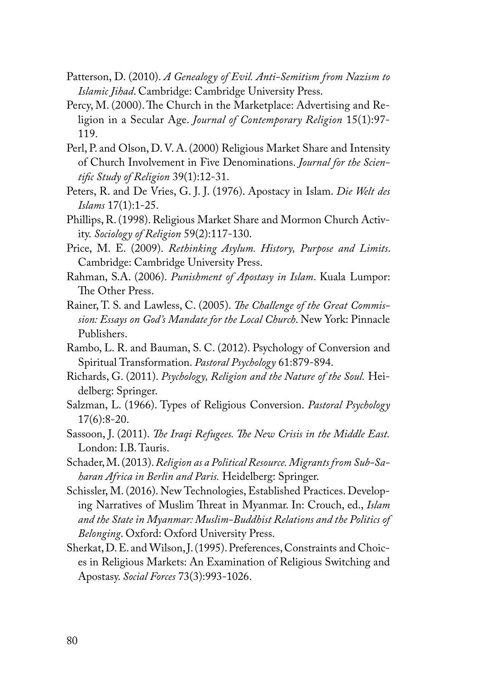- Patterson, D. (2010). *A Genealogy of Evil. Anti-Semitism from Nazism to Islamic Jihad*. Cambridge: Cambridge University Press.
- Percy, M. (2000). The Church in the Marketplace: Advertising and Religion in a Secular Age. *Journal of Contemporary Religion* 15(1):97- 119.
- Perl, P. and Olson, D. V. A. (2000) Religious Market Share and Intensity of Church Involvement in Five Denominations. *Journal for the Scientific Study of Religion* 39(1):12-31.
- Peters, R. and De Vries, G. J. J. (1976). Apostacy in Islam. *Die Welt des Islams* 17(1):1-25.
- Phillips, R. (1998). Religious Market Share and Mormon Church Activity. *Sociology of Religion* 59(2):117-130.
- Price, M. E. (2009). *Rethinking Asylum. History, Purpose and Limits*. Cambridge: Cambridge University Press.
- Rahman, S.A. (2006). *Punishment of Apostasy in Islam*. Kuala Lumpor: The Other Press.
- Rainer, T. S. and Lawless, C. (2005). *The Challenge of the Great Commission: Essays on God's Mandate for the Local Church*. New York: Pinnacle Publishers.
- Rambo, L. R. and Bauman, S. C. (2012). Psychology of Conversion and Spiritual Transformation. *Pastoral Psychology* 61:879-894.
- Richards, G. (2011). *Psychology, Religion and the Nature of the Soul.* Heidelberg: Springer.
- Salzman, L. (1966). Types of Religious Conversion. *Pastoral Psychology* 17(6):8-20.
- Sassoon, J. (2011). *The Iraqi Refugees. The New Crisis in the Middle East.* London: I.B. Tauris.
- Schader, M. (2013). *Religion as a Political Resource. Migrants from Sub-Saharan Africa in Berlin and Paris.* Heidelberg: Springer.
- Schissler, M. (2016). New Technologies, Established Practices. Developing Narratives of Muslim Threat in Myanmar. In: Crouch, ed., *Islam and the State in Myanmar: Muslim-Buddhist Relations and the Politics of Belonging*. Oxford: Oxford University Press.
- Sherkat, D. E. and Wilson, J. (1995). Preferences, Constraints and Choices in Religious Markets: An Examination of Religious Switching and Apostasy. *Social Forces* 73(3):993-1026.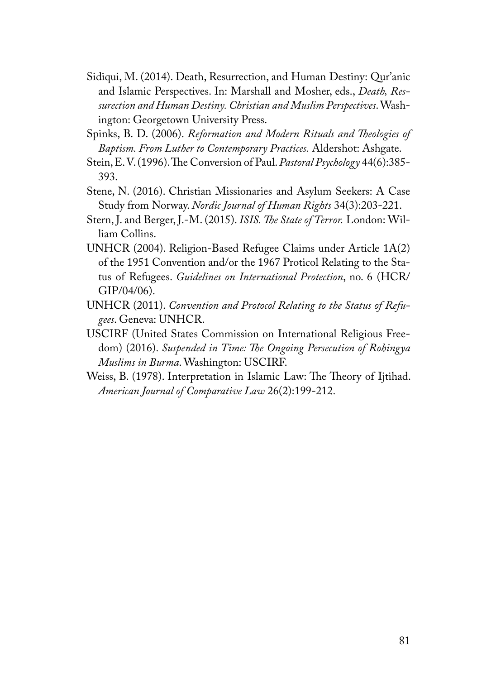- Sidiqui, M. (2014). Death, Resurrection, and Human Destiny: Qur'anic and Islamic Perspectives. In: Marshall and Mosher, eds., *Death, Ressurection and Human Destiny. Christian and Muslim Perspectives*. Washington: Georgetown University Press.
- Spinks, B. D. (2006). *Reformation and Modern Rituals and Theologies of Baptism. From Luther to Contemporary Practices.* Aldershot: Ashgate.
- Stein, E. V. (1996). The Conversion of Paul. *Pastoral Psychology* 44(6):385- 393.
- Stene, N. (2016). Christian Missionaries and Asylum Seekers: A Case Study from Norway. *Nordic Journal of Human Rights* 34(3):203-221.
- Stern, J. and Berger, J.-M. (2015). *ISIS. The State of Terror.* London: William Collins.
- UNHCR (2004). Religion-Based Refugee Claims under Article 1A(2) of the 1951 Convention and/or the 1967 Proticol Relating to the Status of Refugees. *Guidelines on International Protection*, no. 6 (HCR/ GIP/04/06).
- UNHCR (2011). *Convention and Protocol Relating to the Status of Refugees*. Geneva: UNHCR.
- USCIRF (United States Commission on International Religious Freedom) (2016). *Suspended in Time: The Ongoing Persecution of Rohingya Muslims in Burma*. Washington: USCIRF.
- Weiss, B. (1978). Interpretation in Islamic Law: The Theory of Ijtihad. *American Journal of Comparative Law* 26(2):199-212.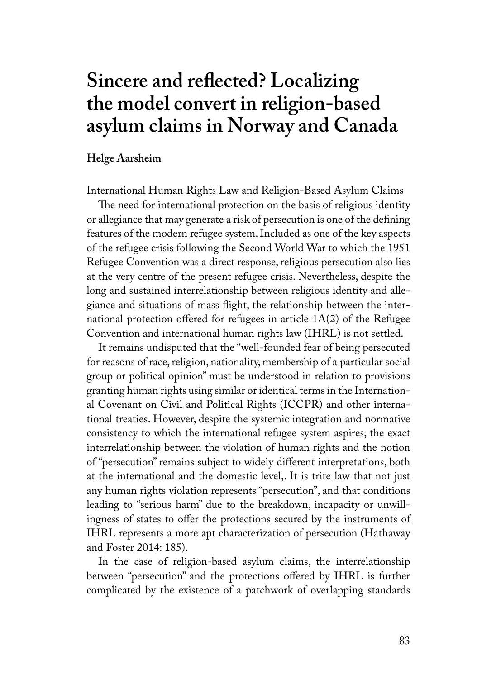# **Sincere and reflected? Localizing the model convert in religion-based asylum claims in Norway and Canada**

#### **Helge Aarsheim**

International Human Rights Law and Religion-Based Asylum Claims

The need for international protection on the basis of religious identity or allegiance that may generate a risk of persecution is one of the defining features of the modern refugee system. Included as one of the key aspects of the refugee crisis following the Second World War to which the 1951 Refugee Convention was a direct response, religious persecution also lies at the very centre of the present refugee crisis. Nevertheless, despite the long and sustained interrelationship between religious identity and allegiance and situations of mass flight, the relationship between the international protection offered for refugees in article  $1A(2)$  of the Refugee Convention and international human rights law (IHRL) is not settled.

It remains undisputed that the "well-founded fear of being persecuted for reasons of race, religion, nationality, membership of a particular social group or political opinion" must be understood in relation to provisions granting human rights using similar or identical terms in the International Covenant on Civil and Political Rights (ICCPR) and other international treaties. However, despite the systemic integration and normative consistency to which the international refugee system aspires, the exact interrelationship between the violation of human rights and the notion of "persecution" remains subject to widely different interpretations, both at the international and the domestic level,. It is trite law that not just any human rights violation represents "persecution", and that conditions leading to "serious harm" due to the breakdown, incapacity or unwillingness of states to offer the protections secured by the instruments of IHRL represents a more apt characterization of persecution (Hathaway and Foster 2014: 185).

In the case of religion-based asylum claims, the interrelationship between "persecution" and the protections offered by IHRL is further complicated by the existence of a patchwork of overlapping standards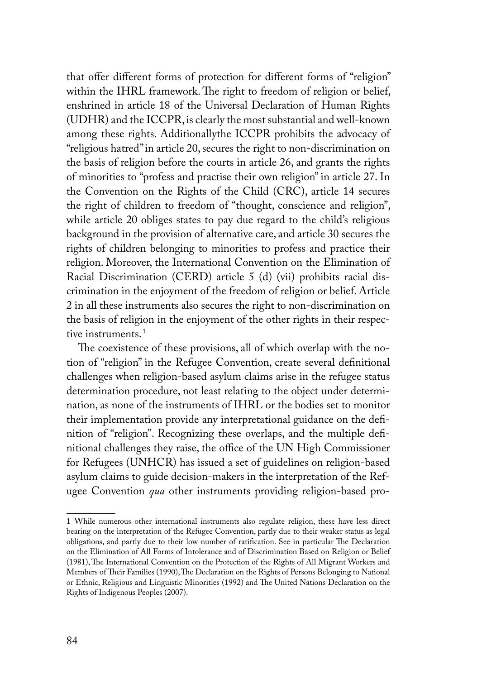that offer different forms of protection for different forms of "religion" within the IHRL framework. The right to freedom of religion or belief, enshrined in article 18 of the Universal Declaration of Human Rights (UDHR) and the ICCPR, is clearly the most substantial and well-known among these rights. Additionallythe ICCPR prohibits the advocacy of "religious hatred" in article 20, secures the right to non-discrimination on the basis of religion before the courts in article 26, and grants the rights of minorities to "profess and practise their own religion" in article 27. In the Convention on the Rights of the Child (CRC), article 14 secures the right of children to freedom of "thought, conscience and religion", while article 20 obliges states to pay due regard to the child's religious background in the provision of alternative care, and article 30 secures the rights of children belonging to minorities to profess and practice their religion. Moreover, the International Convention on the Elimination of Racial Discrimination (CERD) article 5 (d) (vii) prohibits racial discrimination in the enjoyment of the freedom of religion or belief. Article 2 in all these instruments also secures the right to non-discrimination on the basis of religion in the enjoyment of the other rights in their respective instruments.<sup>1</sup>

The coexistence of these provisions, all of which overlap with the notion of "religion" in the Refugee Convention, create several definitional challenges when religion-based asylum claims arise in the refugee status determination procedure, not least relating to the object under determination, as none of the instruments of IHRL or the bodies set to monitor their implementation provide any interpretational guidance on the definition of "religion". Recognizing these overlaps, and the multiple definitional challenges they raise, the office of the UN High Commissioner for Refugees (UNHCR) has issued a set of guidelines on religion-based asylum claims to guide decision-makers in the interpretation of the Refugee Convention *qua* other instruments providing religion-based pro-

<sup>1</sup> While numerous other international instruments also regulate religion, these have less direct bearing on the interpretation of the Refugee Convention, partly due to their weaker status as legal obligations, and partly due to their low number of ratification. See in particular The Declaration on the Elimination of All Forms of Intolerance and of Discrimination Based on Religion or Belief (1981), The International Convention on the Protection of the Rights of All Migrant Workers and Members of Their Families (1990), The Declaration on the Rights of Persons Belonging to National or Ethnic, Religious and Linguistic Minorities (1992) and The United Nations Declaration on the Rights of Indigenous Peoples (2007).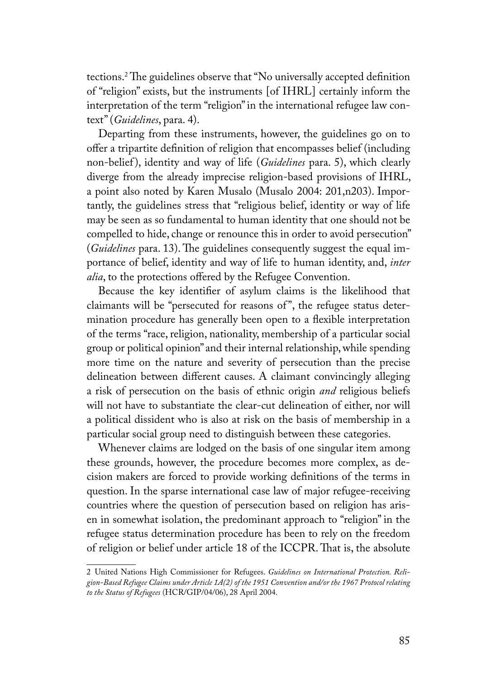tections.2 The guidelines observe that "No universally accepted definition of "religion" exists, but the instruments [of IHRL] certainly inform the interpretation of the term "religion" in the international refugee law context" (*Guidelines*, para. 4).

Departing from these instruments, however, the guidelines go on to offer a tripartite definition of religion that encompasses belief (including non-belief ), identity and way of life (*Guidelines* para. 5), which clearly diverge from the already imprecise religion-based provisions of IHRL, a point also noted by Karen Musalo (Musalo 2004: 201,n203). Importantly, the guidelines stress that "religious belief, identity or way of life may be seen as so fundamental to human identity that one should not be compelled to hide, change or renounce this in order to avoid persecution" (*Guidelines* para. 13). The guidelines consequently suggest the equal importance of belief, identity and way of life to human identity, and, *inter alia*, to the protections offered by the Refugee Convention.

Because the key identifier of asylum claims is the likelihood that claimants will be "persecuted for reasons of ", the refugee status determination procedure has generally been open to a flexible interpretation of the terms "race, religion, nationality, membership of a particular social group or political opinion" and their internal relationship, while spending more time on the nature and severity of persecution than the precise delineation between different causes. A claimant convincingly alleging a risk of persecution on the basis of ethnic origin *and* religious beliefs will not have to substantiate the clear-cut delineation of either, nor will a political dissident who is also at risk on the basis of membership in a particular social group need to distinguish between these categories.

Whenever claims are lodged on the basis of one singular item among these grounds, however, the procedure becomes more complex, as decision makers are forced to provide working definitions of the terms in question. In the sparse international case law of major refugee-receiving countries where the question of persecution based on religion has arisen in somewhat isolation, the predominant approach to "religion" in the refugee status determination procedure has been to rely on the freedom of religion or belief under article 18 of the ICCPR. That is, the absolute

<sup>2</sup> United Nations High Commissioner for Refugees. *Guidelines on International Protection. Religion-Based Refugee Claims under Article 1A(2) of the 1951 Convention and/or the 1967 Protocol relating to the Status of Refugees* (HCR/GIP/04/06), 28 April 2004.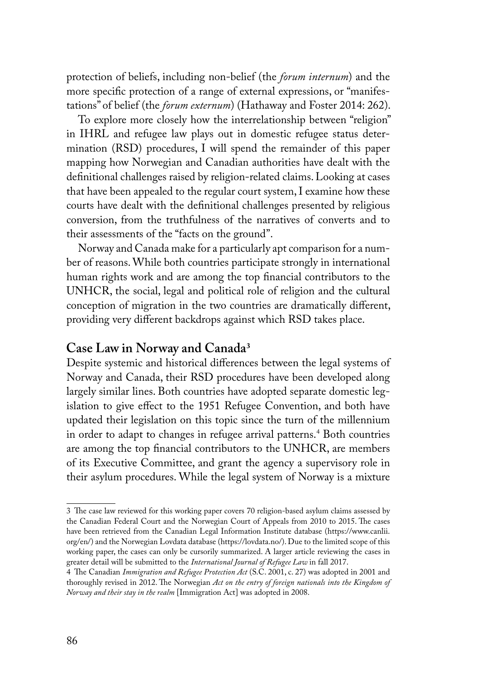protection of beliefs, including non-belief (the *forum internum*) and the more specific protection of a range of external expressions, or "manifestations" of belief (the *forum externum*) (Hathaway and Foster 2014: 262).

To explore more closely how the interrelationship between "religion" in IHRL and refugee law plays out in domestic refugee status determination (RSD) procedures, I will spend the remainder of this paper mapping how Norwegian and Canadian authorities have dealt with the definitional challenges raised by religion-related claims. Looking at cases that have been appealed to the regular court system, I examine how these courts have dealt with the definitional challenges presented by religious conversion, from the truthfulness of the narratives of converts and to their assessments of the "facts on the ground".

Norway and Canada make for a particularly apt comparison for a number of reasons. While both countries participate strongly in international human rights work and are among the top financial contributors to the UNHCR, the social, legal and political role of religion and the cultural conception of migration in the two countries are dramatically different, providing very different backdrops against which RSD takes place.

## **Case Law in Norway and Canada<sup>3</sup>**

Despite systemic and historical differences between the legal systems of Norway and Canada, their RSD procedures have been developed along largely similar lines. Both countries have adopted separate domestic legislation to give effect to the 1951 Refugee Convention, and both have updated their legislation on this topic since the turn of the millennium in order to adapt to changes in refugee arrival patterns.4 Both countries are among the top financial contributors to the UNHCR, are members of its Executive Committee, and grant the agency a supervisory role in their asylum procedures. While the legal system of Norway is a mixture

<sup>3</sup> The case law reviewed for this working paper covers 70 religion-based asylum claims assessed by the Canadian Federal Court and the Norwegian Court of Appeals from 2010 to 2015. The cases have been retrieved from the Canadian Legal Information Institute database (https://www.canlii. org/en/) and the Norwegian Lovdata database (https://lovdata.no/). Due to the limited scope of this working paper, the cases can only be cursorily summarized. A larger article reviewing the cases in greater detail will be submitted to the *International Journal of Refugee Law* in fall 2017.

<sup>4</sup> The Canadian *Immigration and Refugee Protection Act* (S.C. 2001, c. 27) was adopted in 2001 and thoroughly revised in 2012. The Norwegian *Act on the entry of foreign nationals into the Kingdom of Norway and their stay in the realm* [Immigration Act] was adopted in 2008.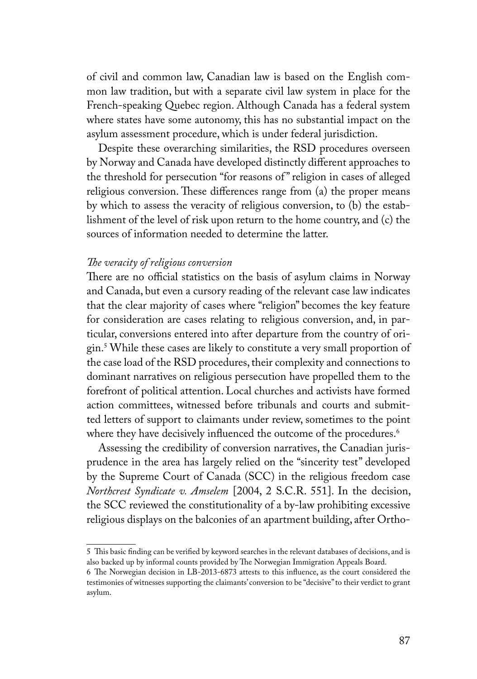of civil and common law, Canadian law is based on the English common law tradition, but with a separate civil law system in place for the French-speaking Quebec region. Although Canada has a federal system where states have some autonomy, this has no substantial impact on the asylum assessment procedure, which is under federal jurisdiction.

Despite these overarching similarities, the RSD procedures overseen by Norway and Canada have developed distinctly different approaches to the threshold for persecution "for reasons of " religion in cases of alleged religious conversion. These differences range from (a) the proper means by which to assess the veracity of religious conversion, to (b) the establishment of the level of risk upon return to the home country, and (c) the sources of information needed to determine the latter.

#### *The veracity of religious conversion*

There are no official statistics on the basis of asylum claims in Norway and Canada, but even a cursory reading of the relevant case law indicates that the clear majority of cases where "religion" becomes the key feature for consideration are cases relating to religious conversion, and, in particular, conversions entered into after departure from the country of origin.5 While these cases are likely to constitute a very small proportion of the case load of the RSD procedures, their complexity and connections to dominant narratives on religious persecution have propelled them to the forefront of political attention. Local churches and activists have formed action committees, witnessed before tribunals and courts and submitted letters of support to claimants under review, sometimes to the point where they have decisively influenced the outcome of the procedures.<sup>6</sup>

Assessing the credibility of conversion narratives, the Canadian jurisprudence in the area has largely relied on the "sincerity test" developed by the Supreme Court of Canada (SCC) in the religious freedom case *Northcrest Syndicate v. Amselem* [2004, 2 S.C.R. 551]. In the decision, the SCC reviewed the constitutionality of a by-law prohibiting excessive religious displays on the balconies of an apartment building, after Ortho-

<sup>5</sup> This basic finding can be verified by keyword searches in the relevant databases of decisions, and is also backed up by informal counts provided by The Norwegian Immigration Appeals Board.

<sup>6</sup> The Norwegian decision in LB-2013-6873 attests to this influence, as the court considered the testimonies of witnesses supporting the claimants' conversion to be "decisive" to their verdict to grant asylum.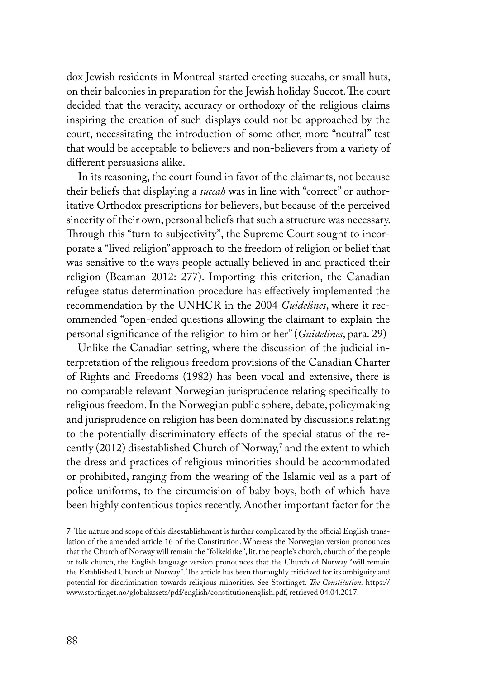dox Jewish residents in Montreal started erecting succahs, or small huts, on their balconies in preparation for the Jewish holiday Succot. The court decided that the veracity, accuracy or orthodoxy of the religious claims inspiring the creation of such displays could not be approached by the court, necessitating the introduction of some other, more "neutral" test that would be acceptable to believers and non-believers from a variety of different persuasions alike.

In its reasoning, the court found in favor of the claimants, not because their beliefs that displaying a *succah* was in line with "correct" or authoritative Orthodox prescriptions for believers, but because of the perceived sincerity of their own, personal beliefs that such a structure was necessary. Through this "turn to subjectivity", the Supreme Court sought to incorporate a "lived religion" approach to the freedom of religion or belief that was sensitive to the ways people actually believed in and practiced their religion (Beaman 2012: 277). Importing this criterion, the Canadian refugee status determination procedure has effectively implemented the recommendation by the UNHCR in the 2004 *Guidelines*, where it recommended "open-ended questions allowing the claimant to explain the personal significance of the religion to him or her" (*Guidelines*, para. 29)

Unlike the Canadian setting, where the discussion of the judicial interpretation of the religious freedom provisions of the Canadian Charter of Rights and Freedoms (1982) has been vocal and extensive, there is no comparable relevant Norwegian jurisprudence relating specifically to religious freedom. In the Norwegian public sphere, debate, policymaking and jurisprudence on religion has been dominated by discussions relating to the potentially discriminatory effects of the special status of the recently (2012) disestablished Church of Norway, $\ell$  and the extent to which the dress and practices of religious minorities should be accommodated or prohibited, ranging from the wearing of the Islamic veil as a part of police uniforms, to the circumcision of baby boys, both of which have been highly contentious topics recently. Another important factor for the

<sup>7</sup> The nature and scope of this disestablishment is further complicated by the official English translation of the amended article 16 of the Constitution. Whereas the Norwegian version pronounces that the Church of Norway will remain the "folkekirke", lit. the people's church, church of the people or folk church, the English language version pronounces that the Church of Norway "will remain the Established Church of Norway". The article has been thoroughly criticized for its ambiguity and potential for discrimination towards religious minorities. See Stortinget. *The Constitution.* https:// www.stortinget.no/globalassets/pdf/english/constitutionenglish.pdf, retrieved 04.04.2017.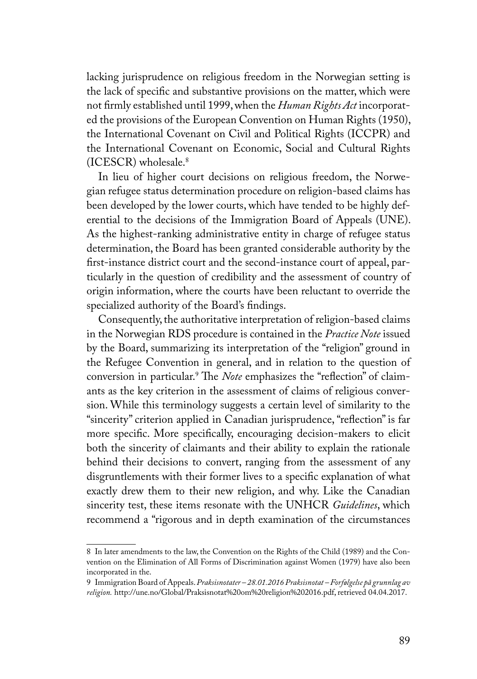lacking jurisprudence on religious freedom in the Norwegian setting is the lack of specific and substantive provisions on the matter, which were not firmly established until 1999, when the *Human Rights Act* incorporated the provisions of the European Convention on Human Rights (1950), the International Covenant on Civil and Political Rights (ICCPR) and the International Covenant on Economic, Social and Cultural Rights (ICESCR) wholesale.8

In lieu of higher court decisions on religious freedom, the Norwegian refugee status determination procedure on religion-based claims has been developed by the lower courts, which have tended to be highly deferential to the decisions of the Immigration Board of Appeals (UNE). As the highest-ranking administrative entity in charge of refugee status determination, the Board has been granted considerable authority by the first-instance district court and the second-instance court of appeal, particularly in the question of credibility and the assessment of country of origin information, where the courts have been reluctant to override the specialized authority of the Board's findings.

Consequently, the authoritative interpretation of religion-based claims in the Norwegian RDS procedure is contained in the *Practice Note* issued by the Board, summarizing its interpretation of the "religion" ground in the Refugee Convention in general, and in relation to the question of conversion in particular.<sup>9</sup> The *Note* emphasizes the "reflection" of claimants as the key criterion in the assessment of claims of religious conversion. While this terminology suggests a certain level of similarity to the "sincerity" criterion applied in Canadian jurisprudence, "reflection" is far more specific. More specifically, encouraging decision-makers to elicit both the sincerity of claimants and their ability to explain the rationale behind their decisions to convert, ranging from the assessment of any disgruntlements with their former lives to a specific explanation of what exactly drew them to their new religion, and why. Like the Canadian sincerity test, these items resonate with the UNHCR *Guidelines*, which recommend a "rigorous and in depth examination of the circumstances

<sup>8</sup> In later amendments to the law, the Convention on the Rights of the Child (1989) and the Convention on the Elimination of All Forms of Discrimination against Women (1979) have also been incorporated in the.

<sup>9</sup> Immigration Board of Appeals. *Praksisnotater – 28.01.2016 Praksisnotat – Forfølgelse på grunnlag av religion.* http://une.no/Global/Praksisnotat%20om%20religion%202016.pdf, retrieved 04.04.2017.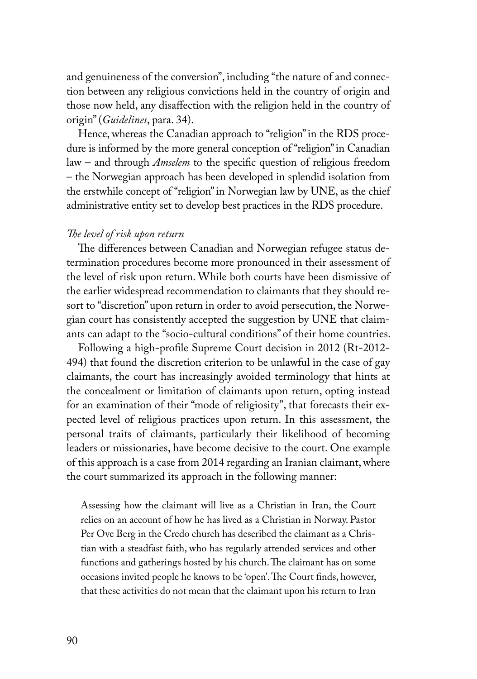and genuineness of the conversion", including "the nature of and connection between any religious convictions held in the country of origin and those now held, any disaffection with the religion held in the country of origin" (*Guidelines*, para. 34).

Hence, whereas the Canadian approach to "religion" in the RDS procedure is informed by the more general conception of "religion" in Canadian law – and through *Amselem* to the specific question of religious freedom – the Norwegian approach has been developed in splendid isolation from the erstwhile concept of "religion" in Norwegian law by UNE, as the chief administrative entity set to develop best practices in the RDS procedure.

#### *The level of risk upon return*

The differences between Canadian and Norwegian refugee status determination procedures become more pronounced in their assessment of the level of risk upon return. While both courts have been dismissive of the earlier widespread recommendation to claimants that they should resort to "discretion" upon return in order to avoid persecution, the Norwegian court has consistently accepted the suggestion by UNE that claimants can adapt to the "socio-cultural conditions" of their home countries.

Following a high-profile Supreme Court decision in 2012 (Rt-2012- 494) that found the discretion criterion to be unlawful in the case of gay claimants, the court has increasingly avoided terminology that hints at the concealment or limitation of claimants upon return, opting instead for an examination of their "mode of religiosity", that forecasts their expected level of religious practices upon return. In this assessment, the personal traits of claimants, particularly their likelihood of becoming leaders or missionaries, have become decisive to the court. One example of this approach is a case from 2014 regarding an Iranian claimant, where the court summarized its approach in the following manner:

Assessing how the claimant will live as a Christian in Iran, the Court relies on an account of how he has lived as a Christian in Norway. Pastor Per Ove Berg in the Credo church has described the claimant as a Christian with a steadfast faith, who has regularly attended services and other functions and gatherings hosted by his church. The claimant has on some occasions invited people he knows to be 'open'. The Court finds, however, that these activities do not mean that the claimant upon his return to Iran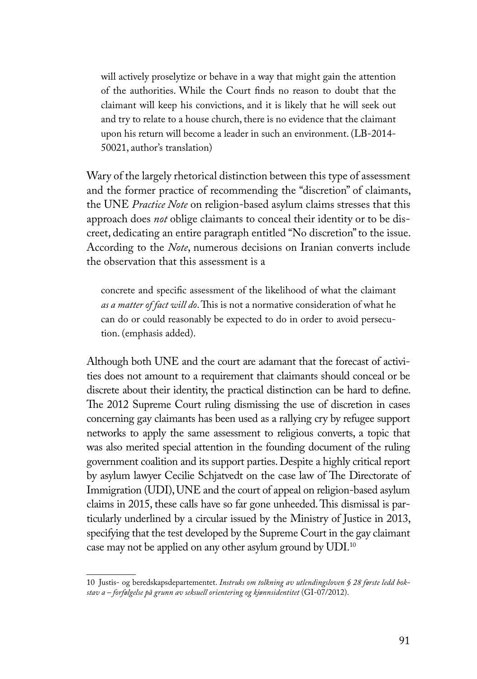will actively proselytize or behave in a way that might gain the attention of the authorities. While the Court finds no reason to doubt that the claimant will keep his convictions, and it is likely that he will seek out and try to relate to a house church, there is no evidence that the claimant upon his return will become a leader in such an environment. (LB-2014- 50021, author's translation)

Wary of the largely rhetorical distinction between this type of assessment and the former practice of recommending the "discretion" of claimants, the UNE *Practice Note* on religion-based asylum claims stresses that this approach does *not* oblige claimants to conceal their identity or to be discreet, dedicating an entire paragraph entitled "No discretion" to the issue. According to the *Note*, numerous decisions on Iranian converts include the observation that this assessment is a

concrete and specific assessment of the likelihood of what the claimant *as a matter of fact will do*. This is not a normative consideration of what he can do or could reasonably be expected to do in order to avoid persecution. (emphasis added).

Although both UNE and the court are adamant that the forecast of activities does not amount to a requirement that claimants should conceal or be discrete about their identity, the practical distinction can be hard to define. The 2012 Supreme Court ruling dismissing the use of discretion in cases concerning gay claimants has been used as a rallying cry by refugee support networks to apply the same assessment to religious converts, a topic that was also merited special attention in the founding document of the ruling government coalition and its support parties. Despite a highly critical report by asylum lawyer Cecilie Schjatvedt on the case law of The Directorate of Immigration (UDI), UNE and the court of appeal on religion-based asylum claims in 2015, these calls have so far gone unheeded. This dismissal is particularly underlined by a circular issued by the Ministry of Justice in 2013, specifying that the test developed by the Supreme Court in the gay claimant case may not be applied on any other asylum ground by UDI.10

<sup>10</sup> Justis- og beredskapsdepartementet. *Instruks om tolkning av utlendingsloven § 28 første ledd bokstav a – forfølgelse på grunn av seksuell orientering og kjønnsidentitet* (GI-07/2012).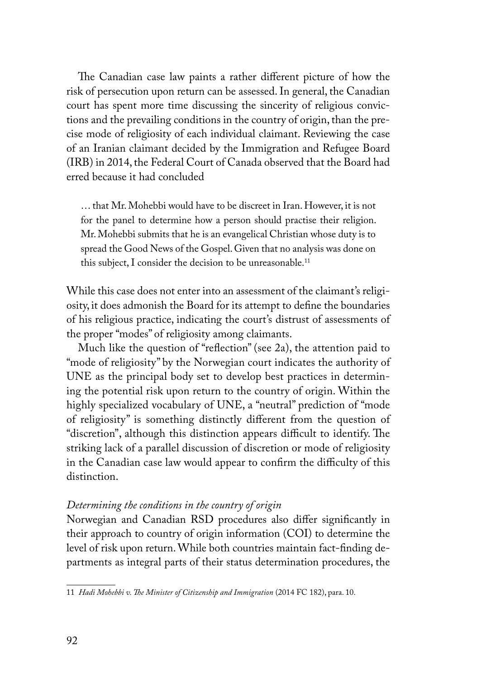The Canadian case law paints a rather different picture of how the risk of persecution upon return can be assessed. In general, the Canadian court has spent more time discussing the sincerity of religious convictions and the prevailing conditions in the country of origin, than the precise mode of religiosity of each individual claimant. Reviewing the case of an Iranian claimant decided by the Immigration and Refugee Board (IRB) in 2014, the Federal Court of Canada observed that the Board had erred because it had concluded

… that Mr. Mohebbi would have to be discreet in Iran. However, it is not for the panel to determine how a person should practise their religion. Mr. Mohebbi submits that he is an evangelical Christian whose duty is to spread the Good News of the Gospel. Given that no analysis was done on this subject, I consider the decision to be unreasonable.<sup>11</sup>

While this case does not enter into an assessment of the claimant's religiosity, it does admonish the Board for its attempt to define the boundaries of his religious practice, indicating the court's distrust of assessments of the proper "modes" of religiosity among claimants.

Much like the question of "reflection" (see 2a), the attention paid to "mode of religiosity" by the Norwegian court indicates the authority of UNE as the principal body set to develop best practices in determining the potential risk upon return to the country of origin. Within the highly specialized vocabulary of UNE, a "neutral" prediction of "mode of religiosity" is something distinctly different from the question of "discretion", although this distinction appears difficult to identify. The striking lack of a parallel discussion of discretion or mode of religiosity in the Canadian case law would appear to confirm the difficulty of this distinction.

#### *Determining the conditions in the country of origin*

Norwegian and Canadian RSD procedures also differ significantly in their approach to country of origin information (COI) to determine the level of risk upon return. While both countries maintain fact-finding departments as integral parts of their status determination procedures, the

<sup>11</sup> *Hadi Mohebbi v. The Minister of Citizenship and Immigration* (2014 FC 182), para. 10.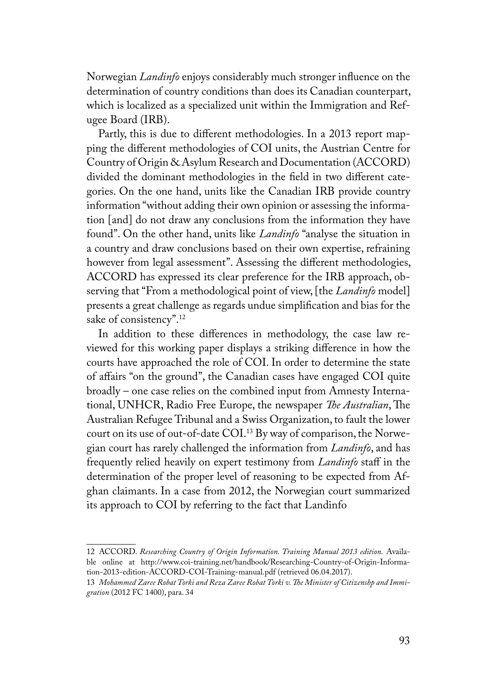Norwegian *Landinfo* enjoys considerably much stronger influence on the determination of country conditions than does its Canadian counterpart, which is localized as a specialized unit within the Immigration and Refugee Board (IRB).

Partly, this is due to different methodologies. In a 2013 report mapping the different methodologies of COI units, the Austrian Centre for Country of Origin & Asylum Research and Documentation (ACCORD) divided the dominant methodologies in the field in two different categories. On the one hand, units like the Canadian IRB provide country information "without adding their own opinion or assessing the information [and] do not draw any conclusions from the information they have found". On the other hand, units like *Landinfo* "analyse the situation in a country and draw conclusions based on their own expertise, refraining however from legal assessment". Assessing the different methodologies, ACCORD has expressed its clear preference for the IRB approach, observing that "From a methodological point of view, [the *Landinfo* model] presents a great challenge as regards undue simplification and bias for the sake of consistency".12

In addition to these differences in methodology, the case law reviewed for this working paper displays a striking difference in how the courts have approached the role of COI. In order to determine the state of affairs "on the ground", the Canadian cases have engaged COI quite broadly – one case relies on the combined input from Amnesty International, UNHCR, Radio Free Europe, the newspaper *The Australian*, The Australian Refugee Tribunal and a Swiss Organization, to fault the lower court on its use of out-of-date COI.<sup>13</sup> By way of comparison, the Norwegian court has rarely challenged the information from *Landinfo*, and has frequently relied heavily on expert testimony from *Landinfo* staff in the determination of the proper level of reasoning to be expected from Afghan claimants. In a case from 2012, the Norwegian court summarized its approach to COI by referring to the fact that Landinfo

<sup>12</sup> ACCORD. *Researching Country of Origin Information. Training Manual 2013 edition.* Available online at http://www.coi-training.net/handbook/Researching-Country-of-Origin-Information-2013-edition-ACCORD-COI-Training-manual.pdf (retrieved 06.04.2017).

<sup>13</sup> *Mohammed Zaree Robat Torki and Reza Zaree Robat Torki v. The Minister of Citizenshp and Immigration* (2012 FC 1400), para. 34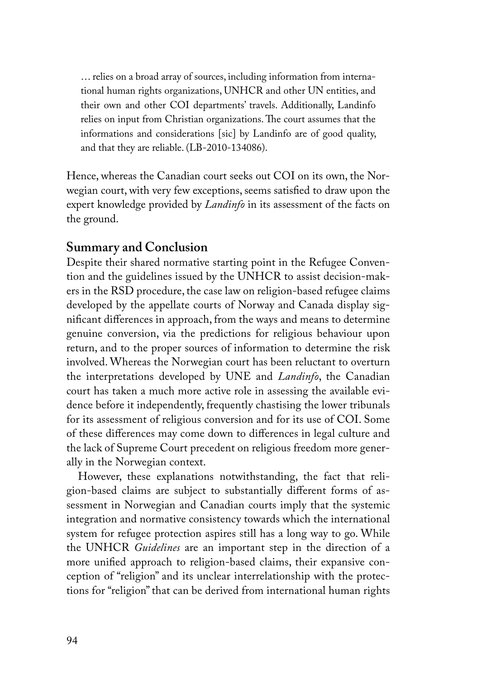… relies on a broad array of sources, including information from international human rights organizations, UNHCR and other UN entities, and their own and other COI departments' travels. Additionally, Landinfo relies on input from Christian organizations. The court assumes that the informations and considerations [sic] by Landinfo are of good quality, and that they are reliable. (LB-2010-134086).

Hence, whereas the Canadian court seeks out COI on its own, the Norwegian court, with very few exceptions, seems satisfied to draw upon the expert knowledge provided by *Landinfo* in its assessment of the facts on the ground.

### **Summary and Conclusion**

Despite their shared normative starting point in the Refugee Convention and the guidelines issued by the UNHCR to assist decision-makers in the RSD procedure, the case law on religion-based refugee claims developed by the appellate courts of Norway and Canada display significant differences in approach, from the ways and means to determine genuine conversion, via the predictions for religious behaviour upon return, and to the proper sources of information to determine the risk involved. Whereas the Norwegian court has been reluctant to overturn the interpretations developed by UNE and *Landinfo*, the Canadian court has taken a much more active role in assessing the available evidence before it independently, frequently chastising the lower tribunals for its assessment of religious conversion and for its use of COI. Some of these differences may come down to differences in legal culture and the lack of Supreme Court precedent on religious freedom more generally in the Norwegian context.

However, these explanations notwithstanding, the fact that religion-based claims are subject to substantially different forms of assessment in Norwegian and Canadian courts imply that the systemic integration and normative consistency towards which the international system for refugee protection aspires still has a long way to go. While the UNHCR *Guidelines* are an important step in the direction of a more unified approach to religion-based claims, their expansive conception of "religion" and its unclear interrelationship with the protections for "religion" that can be derived from international human rights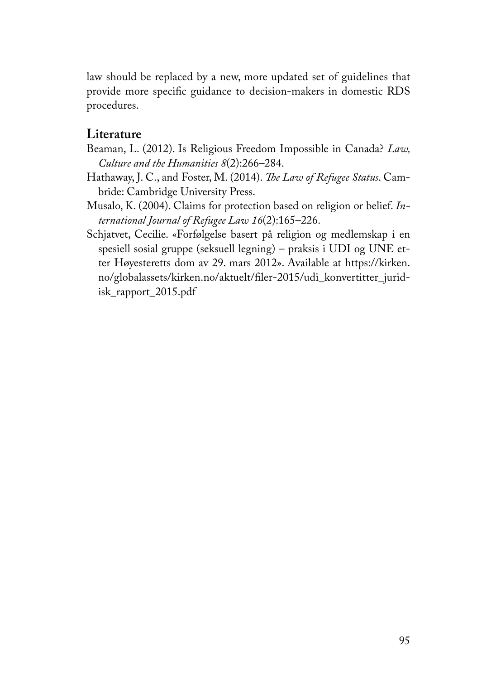law should be replaced by a new, more updated set of guidelines that provide more specific guidance to decision-makers in domestic RDS procedures.

## **Literature**

- Beaman, L. (2012). Is Religious Freedom Impossible in Canada? *Law, Culture and the Humanities 8*(2):266–284.
- Hathaway, J. C., and Foster, M. (2014). *The Law of Refugee Status*. Cambride: Cambridge University Press.
- Musalo, K. (2004). Claims for protection based on religion or belief. *International Journal of Refugee Law 16*(2):165–226.
- Schjatvet, Cecilie. «Forfølgelse basert på religion og medlemskap i en spesiell sosial gruppe (seksuell legning) – praksis i UDI og UNE etter Høyesteretts dom av 29. mars 2012». Available at https://kirken. no/globalassets/kirken.no/aktuelt/filer-2015/udi\_konvertitter\_juridisk\_rapport\_2015.pdf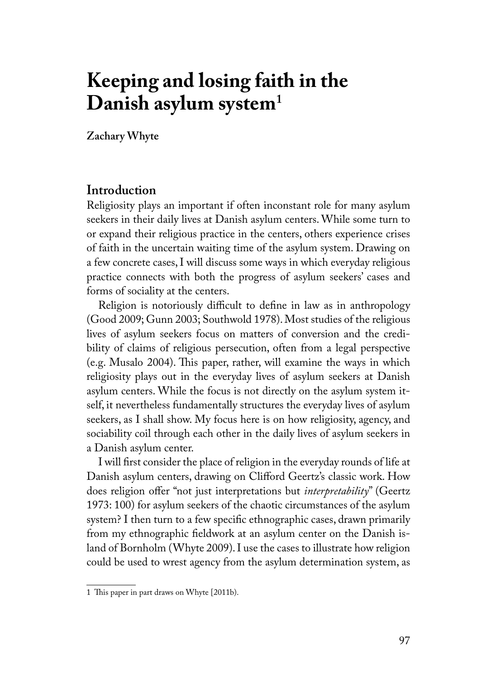# **Keeping and losing faith in the Danish asylum system<sup>1</sup>**

**Zachary Whyte**

## **Introduction**

Religiosity plays an important if often inconstant role for many asylum seekers in their daily lives at Danish asylum centers. While some turn to or expand their religious practice in the centers, others experience crises of faith in the uncertain waiting time of the asylum system. Drawing on a few concrete cases, I will discuss some ways in which everyday religious practice connects with both the progress of asylum seekers' cases and forms of sociality at the centers.

Religion is notoriously difficult to define in law as in anthropology (Good 2009; Gunn 2003; Southwold 1978). Most studies of the religious lives of asylum seekers focus on matters of conversion and the credibility of claims of religious persecution, often from a legal perspective (e.g. Musalo 2004). This paper, rather, will examine the ways in which religiosity plays out in the everyday lives of asylum seekers at Danish asylum centers. While the focus is not directly on the asylum system itself, it nevertheless fundamentally structures the everyday lives of asylum seekers, as I shall show. My focus here is on how religiosity, agency, and sociability coil through each other in the daily lives of asylum seekers in a Danish asylum center.

I will first consider the place of religion in the everyday rounds of life at Danish asylum centers, drawing on Clifford Geertz's classic work. How does religion offer "not just interpretations but *interpretability*" (Geertz 1973: 100) for asylum seekers of the chaotic circumstances of the asylum system? I then turn to a few specific ethnographic cases, drawn primarily from my ethnographic fieldwork at an asylum center on the Danish island of Bornholm (Whyte 2009). I use the cases to illustrate how religion could be used to wrest agency from the asylum determination system, as

<sup>1</sup> This paper in part draws on Whyte [2011b).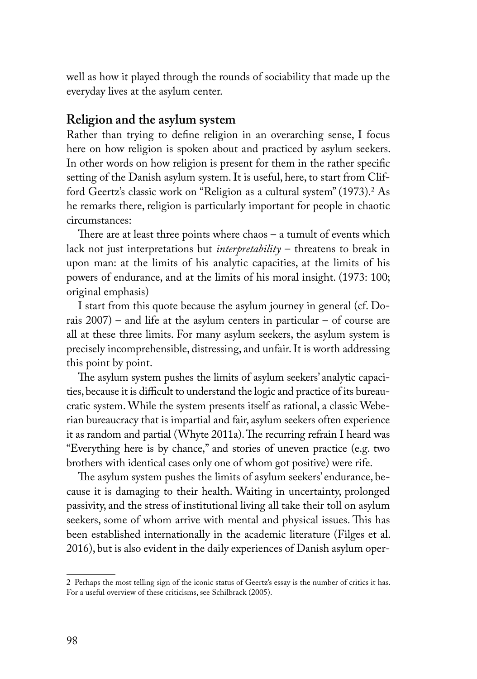well as how it played through the rounds of sociability that made up the everyday lives at the asylum center.

#### **Religion and the asylum system**

Rather than trying to define religion in an overarching sense, I focus here on how religion is spoken about and practiced by asylum seekers. In other words on how religion is present for them in the rather specific setting of the Danish asylum system. It is useful, here, to start from Clifford Geertz's classic work on "Religion as a cultural system" (1973).<sup>2</sup> As he remarks there, religion is particularly important for people in chaotic circumstances:

There are at least three points where chaos – a tumult of events which lack not just interpretations but *interpretability* – threatens to break in upon man: at the limits of his analytic capacities, at the limits of his powers of endurance, and at the limits of his moral insight. (1973: 100; original emphasis)

I start from this quote because the asylum journey in general (cf. Dorais 2007) – and life at the asylum centers in particular – of course are all at these three limits. For many asylum seekers, the asylum system is precisely incomprehensible, distressing, and unfair. It is worth addressing this point by point.

The asylum system pushes the limits of asylum seekers' analytic capacities, because it is difficult to understand the logic and practice of its bureaucratic system. While the system presents itself as rational, a classic Weberian bureaucracy that is impartial and fair, asylum seekers often experience it as random and partial (Whyte 2011a). The recurring refrain I heard was "Everything here is by chance," and stories of uneven practice (e.g. two brothers with identical cases only one of whom got positive) were rife.

The asylum system pushes the limits of asylum seekers' endurance, because it is damaging to their health. Waiting in uncertainty, prolonged passivity, and the stress of institutional living all take their toll on asylum seekers, some of whom arrive with mental and physical issues. This has been established internationally in the academic literature (Filges et al. 2016), but is also evident in the daily experiences of Danish asylum oper-

<sup>2</sup> Perhaps the most telling sign of the iconic status of Geertz's essay is the number of critics it has. For a useful overview of these criticisms, see Schilbrack (2005).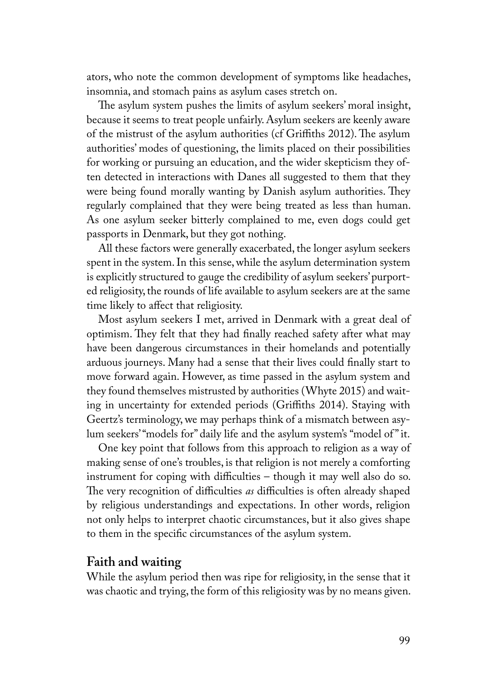ators, who note the common development of symptoms like headaches, insomnia, and stomach pains as asylum cases stretch on.

The asylum system pushes the limits of asylum seekers' moral insight, because it seems to treat people unfairly. Asylum seekers are keenly aware of the mistrust of the asylum authorities (cf Griffiths 2012). The asylum authorities' modes of questioning, the limits placed on their possibilities for working or pursuing an education, and the wider skepticism they often detected in interactions with Danes all suggested to them that they were being found morally wanting by Danish asylum authorities. They regularly complained that they were being treated as less than human. As one asylum seeker bitterly complained to me, even dogs could get passports in Denmark, but they got nothing.

All these factors were generally exacerbated, the longer asylum seekers spent in the system. In this sense, while the asylum determination system is explicitly structured to gauge the credibility of asylum seekers' purported religiosity, the rounds of life available to asylum seekers are at the same time likely to affect that religiosity.

Most asylum seekers I met, arrived in Denmark with a great deal of optimism. They felt that they had finally reached safety after what may have been dangerous circumstances in their homelands and potentially arduous journeys. Many had a sense that their lives could finally start to move forward again. However, as time passed in the asylum system and they found themselves mistrusted by authorities (Whyte 2015) and waiting in uncertainty for extended periods (Griffiths 2014). Staying with Geertz's terminology, we may perhaps think of a mismatch between asylum seekers' "models for" daily life and the asylum system's "model of " it.

One key point that follows from this approach to religion as a way of making sense of one's troubles, is that religion is not merely a comforting instrument for coping with difficulties – though it may well also do so. The very recognition of difficulties *as* difficulties is often already shaped by religious understandings and expectations. In other words, religion not only helps to interpret chaotic circumstances, but it also gives shape to them in the specific circumstances of the asylum system.

#### **Faith and waiting**

While the asylum period then was ripe for religiosity, in the sense that it was chaotic and trying, the form of this religiosity was by no means given.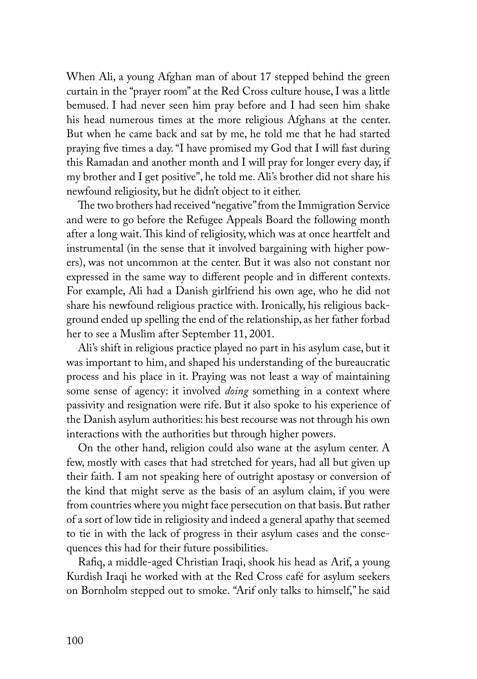When Ali, a young Afghan man of about 17 stepped behind the green curtain in the "prayer room" at the Red Cross culture house, I was a little bemused. I had never seen him pray before and I had seen him shake his head numerous times at the more religious Afghans at the center. But when he came back and sat by me, he told me that he had started praying five times a day. "I have promised my God that I will fast during this Ramadan and another month and I will pray for longer every day, if my brother and I get positive", he told me. Ali's brother did not share his newfound religiosity, but he didn't object to it either.

The two brothers had received "negative" from the Immigration Service and were to go before the Refugee Appeals Board the following month after a long wait. This kind of religiosity, which was at once heartfelt and instrumental (in the sense that it involved bargaining with higher powers), was not uncommon at the center. But it was also not constant nor expressed in the same way to different people and in different contexts. For example, Ali had a Danish girlfriend his own age, who he did not share his newfound religious practice with. Ironically, his religious background ended up spelling the end of the relationship, as her father forbad her to see a Muslim after September 11, 2001.

Ali's shift in religious practice played no part in his asylum case, but it was important to him, and shaped his understanding of the bureaucratic process and his place in it. Praying was not least a way of maintaining some sense of agency: it involved *doing* something in a context where passivity and resignation were rife. But it also spoke to his experience of the Danish asylum authorities: his best recourse was not through his own interactions with the authorities but through higher powers.

On the other hand, religion could also wane at the asylum center. A few, mostly with cases that had stretched for years, had all but given up their faith. I am not speaking here of outright apostasy or conversion of the kind that might serve as the basis of an asylum claim, if you were from countries where you might face persecution on that basis. But rather of a sort of low tide in religiosity and indeed a general apathy that seemed to tie in with the lack of progress in their asylum cases and the consequences this had for their future possibilities.

Rafiq, a middle-aged Christian Iraqi, shook his head as Arif, a young Kurdish Iraqi he worked with at the Red Cross café for asylum seekers on Bornholm stepped out to smoke. "Arif only talks to himself," he said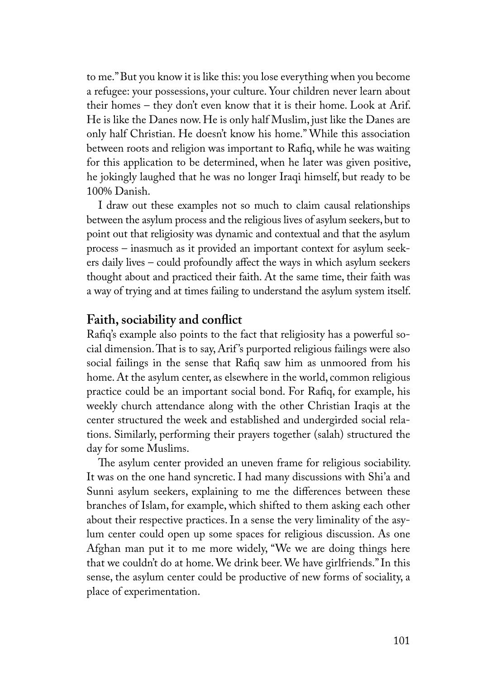to me." But you know it is like this: you lose everything when you become a refugee: your possessions, your culture. Your children never learn about their homes – they don't even know that it is their home. Look at Arif. He is like the Danes now. He is only half Muslim, just like the Danes are only half Christian. He doesn't know his home." While this association between roots and religion was important to Rafiq, while he was waiting for this application to be determined, when he later was given positive, he jokingly laughed that he was no longer Iraqi himself, but ready to be 100% Danish.

I draw out these examples not so much to claim causal relationships between the asylum process and the religious lives of asylum seekers, but to point out that religiosity was dynamic and contextual and that the asylum process – inasmuch as it provided an important context for asylum seekers daily lives – could profoundly affect the ways in which asylum seekers thought about and practiced their faith. At the same time, their faith was a way of trying and at times failing to understand the asylum system itself.

#### **Faith, sociability and conflict**

Rafiq's example also points to the fact that religiosity has a powerful social dimension. That is to say, Arif 's purported religious failings were also social failings in the sense that Rafiq saw him as unmoored from his home. At the asylum center, as elsewhere in the world, common religious practice could be an important social bond. For Rafiq, for example, his weekly church attendance along with the other Christian Iraqis at the center structured the week and established and undergirded social relations. Similarly, performing their prayers together (salah) structured the day for some Muslims.

The asylum center provided an uneven frame for religious sociability. It was on the one hand syncretic. I had many discussions with Shi'a and Sunni asylum seekers, explaining to me the differences between these branches of Islam, for example, which shifted to them asking each other about their respective practices. In a sense the very liminality of the asylum center could open up some spaces for religious discussion. As one Afghan man put it to me more widely, "We we are doing things here that we couldn't do at home. We drink beer. We have girlfriends." In this sense, the asylum center could be productive of new forms of sociality, a place of experimentation.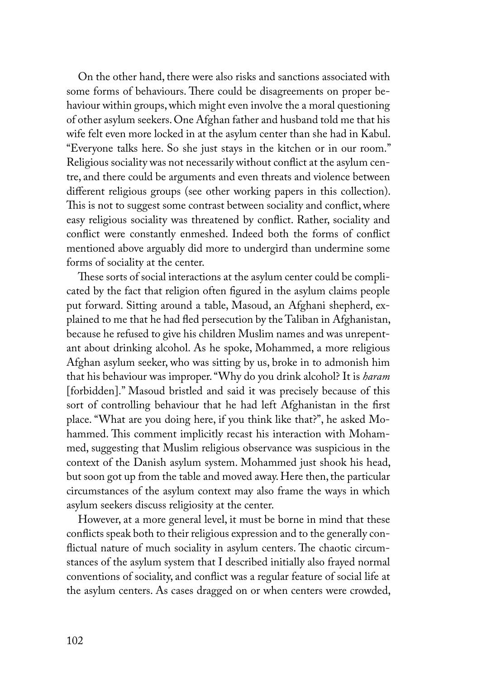On the other hand, there were also risks and sanctions associated with some forms of behaviours. There could be disagreements on proper behaviour within groups, which might even involve the a moral questioning of other asylum seekers. One Afghan father and husband told me that his wife felt even more locked in at the asylum center than she had in Kabul. "Everyone talks here. So she just stays in the kitchen or in our room." Religious sociality was not necessarily without conflict at the asylum centre, and there could be arguments and even threats and violence between different religious groups (see other working papers in this collection). This is not to suggest some contrast between sociality and conflict, where easy religious sociality was threatened by conflict. Rather, sociality and conflict were constantly enmeshed. Indeed both the forms of conflict mentioned above arguably did more to undergird than undermine some forms of sociality at the center.

These sorts of social interactions at the asylum center could be complicated by the fact that religion often figured in the asylum claims people put forward. Sitting around a table, Masoud, an Afghani shepherd, explained to me that he had fled persecution by the Taliban in Afghanistan, because he refused to give his children Muslim names and was unrepentant about drinking alcohol. As he spoke, Mohammed, a more religious Afghan asylum seeker, who was sitting by us, broke in to admonish him that his behaviour was improper. "Why do you drink alcohol? It is *haram*  [forbidden]." Masoud bristled and said it was precisely because of this sort of controlling behaviour that he had left Afghanistan in the first place. "What are you doing here, if you think like that?", he asked Mohammed. This comment implicitly recast his interaction with Mohammed, suggesting that Muslim religious observance was suspicious in the context of the Danish asylum system. Mohammed just shook his head, but soon got up from the table and moved away. Here then, the particular circumstances of the asylum context may also frame the ways in which asylum seekers discuss religiosity at the center.

However, at a more general level, it must be borne in mind that these conflicts speak both to their religious expression and to the generally conflictual nature of much sociality in asylum centers. The chaotic circumstances of the asylum system that I described initially also frayed normal conventions of sociality, and conflict was a regular feature of social life at the asylum centers. As cases dragged on or when centers were crowded,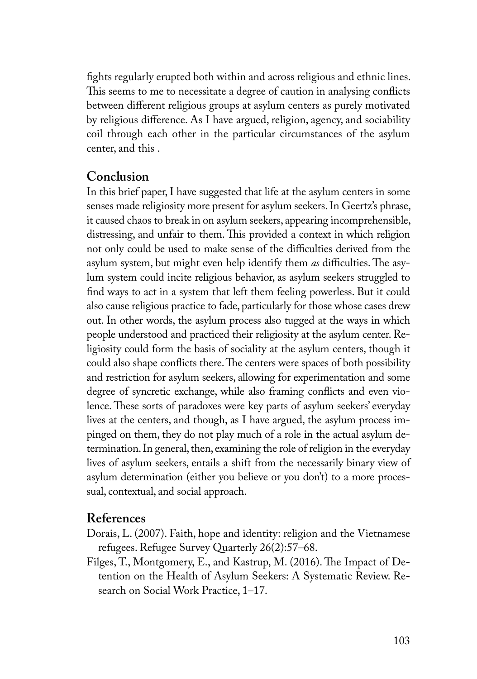fights regularly erupted both within and across religious and ethnic lines. This seems to me to necessitate a degree of caution in analysing conflicts between different religious groups at asylum centers as purely motivated by religious difference. As I have argued, religion, agency, and sociability coil through each other in the particular circumstances of the asylum center, and this .

### **Conclusion**

In this brief paper, I have suggested that life at the asylum centers in some senses made religiosity more present for asylum seekers. In Geertz's phrase, it caused chaos to break in on asylum seekers, appearing incomprehensible, distressing, and unfair to them. This provided a context in which religion not only could be used to make sense of the difficulties derived from the asylum system, but might even help identify them *as* difficulties. The asylum system could incite religious behavior, as asylum seekers struggled to find ways to act in a system that left them feeling powerless. But it could also cause religious practice to fade, particularly for those whose cases drew out. In other words, the asylum process also tugged at the ways in which people understood and practiced their religiosity at the asylum center. Religiosity could form the basis of sociality at the asylum centers, though it could also shape conflicts there. The centers were spaces of both possibility and restriction for asylum seekers, allowing for experimentation and some degree of syncretic exchange, while also framing conflicts and even violence. These sorts of paradoxes were key parts of asylum seekers' everyday lives at the centers, and though, as I have argued, the asylum process impinged on them, they do not play much of a role in the actual asylum determination. In general, then, examining the role of religion in the everyday lives of asylum seekers, entails a shift from the necessarily binary view of asylum determination (either you believe or you don't) to a more processual, contextual, and social approach.

#### **References**

- Dorais, L. (2007). Faith, hope and identity: religion and the Vietnamese refugees. Refugee Survey Quarterly 26(2):57–68.
- Filges, T., Montgomery, E., and Kastrup, M. (2016). The Impact of Detention on the Health of Asylum Seekers: A Systematic Review. Research on Social Work Practice, 1–17.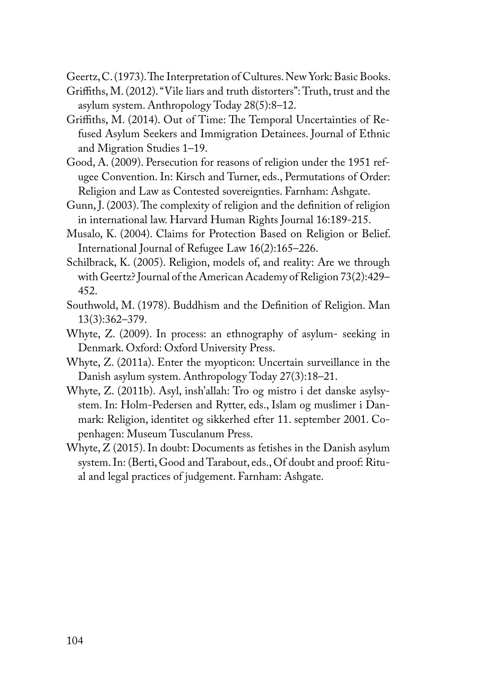Geertz, C. (1973). The Interpretation of Cultures. New York: Basic Books.

- Griffiths, M. (2012). "Vile liars and truth distorters": Truth, trust and the asylum system. Anthropology Today 28(5):8–12.
- Griffiths, M. (2014). Out of Time: The Temporal Uncertainties of Refused Asylum Seekers and Immigration Detainees. Journal of Ethnic and Migration Studies 1–19.
- Good, A. (2009). Persecution for reasons of religion under the 1951 refugee Convention. In: Kirsch and Turner, eds., Permutations of Order: Religion and Law as Contested sovereignties. Farnham: Ashgate.
- Gunn, J. (2003). The complexity of religion and the definition of religion in international law. Harvard Human Rights Journal 16:189-215.
- Musalo, K. (2004). Claims for Protection Based on Religion or Belief. International Journal of Refugee Law 16(2):165–226.
- Schilbrack, K. (2005). Religion, models of, and reality: Are we through with Geertz? Journal of the American Academy of Religion 73(2):429– 452.
- Southwold, M. (1978). Buddhism and the Definition of Religion. Man 13(3):362–379.
- Whyte, Z. (2009). In process: an ethnography of asylum- seeking in Denmark. Oxford: Oxford University Press.
- Whyte, Z. (2011a). Enter the myopticon: Uncertain surveillance in the Danish asylum system. Anthropology Today 27(3):18–21.
- Whyte, Z. (2011b). Asyl, insh'allah: Tro og mistro i det danske asylsystem. In: Holm-Pedersen and Rytter, eds., Islam og muslimer i Danmark: Religion, identitet og sikkerhed efter 11. september 2001. Copenhagen: Museum Tusculanum Press.
- Whyte, Z (2015). In doubt: Documents as fetishes in the Danish asylum system. In: (Berti, Good and Tarabout, eds., Of doubt and proof: Ritual and legal practices of judgement. Farnham: Ashgate.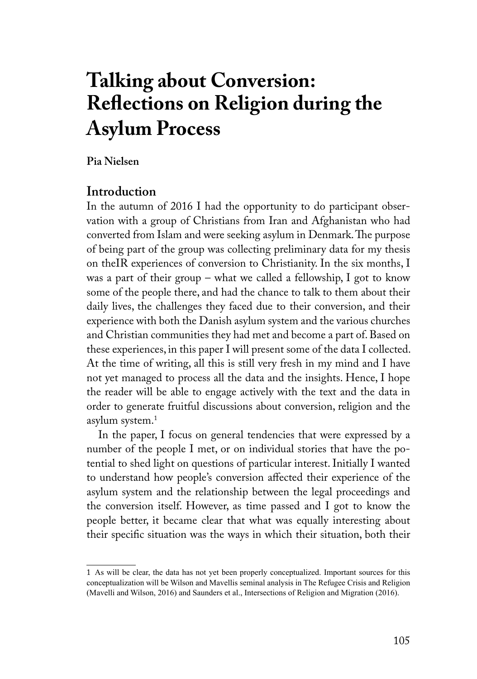# **Talking about Conversion: Reflections on Religion during the Asylum Process**

**Pia Nielsen**

### **Introduction**

In the autumn of 2016 I had the opportunity to do participant observation with a group of Christians from Iran and Afghanistan who had converted from Islam and were seeking asylum in Denmark. The purpose of being part of the group was collecting preliminary data for my thesis on theIR experiences of conversion to Christianity. In the six months, I was a part of their group – what we called a fellowship, I got to know some of the people there, and had the chance to talk to them about their daily lives, the challenges they faced due to their conversion, and their experience with both the Danish asylum system and the various churches and Christian communities they had met and become a part of. Based on these experiences, in this paper I will present some of the data I collected. At the time of writing, all this is still very fresh in my mind and I have not yet managed to process all the data and the insights. Hence, I hope the reader will be able to engage actively with the text and the data in order to generate fruitful discussions about conversion, religion and the asylum system.1

In the paper, I focus on general tendencies that were expressed by a number of the people I met, or on individual stories that have the potential to shed light on questions of particular interest. Initially I wanted to understand how people's conversion affected their experience of the asylum system and the relationship between the legal proceedings and the conversion itself. However, as time passed and I got to know the people better, it became clear that what was equally interesting about their specific situation was the ways in which their situation, both their

<sup>1</sup> As will be clear, the data has not yet been properly conceptualized. Important sources for this conceptualization will be Wilson and Mavellis seminal analysis in The Refugee Crisis and Religion (Mavelli and Wilson, 2016) and Saunders et al., Intersections of Religion and Migration (2016).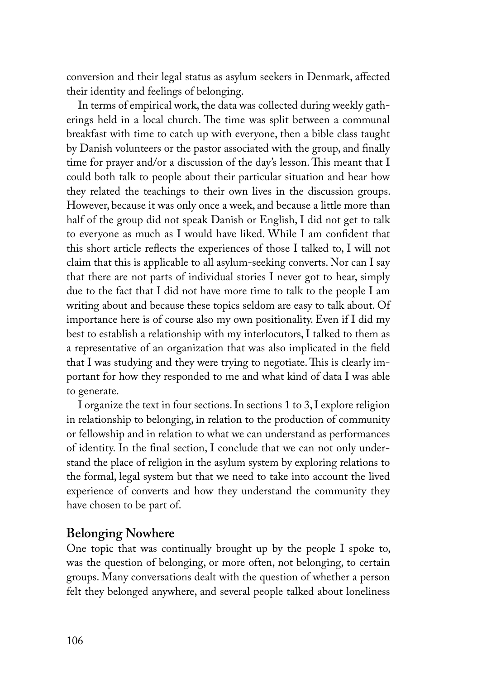conversion and their legal status as asylum seekers in Denmark, affected their identity and feelings of belonging.

In terms of empirical work, the data was collected during weekly gatherings held in a local church. The time was split between a communal breakfast with time to catch up with everyone, then a bible class taught by Danish volunteers or the pastor associated with the group, and finally time for prayer and/or a discussion of the day's lesson. This meant that I could both talk to people about their particular situation and hear how they related the teachings to their own lives in the discussion groups. However, because it was only once a week, and because a little more than half of the group did not speak Danish or English, I did not get to talk to everyone as much as I would have liked. While I am confident that this short article reflects the experiences of those I talked to, I will not claim that this is applicable to all asylum-seeking converts. Nor can I say that there are not parts of individual stories I never got to hear, simply due to the fact that I did not have more time to talk to the people I am writing about and because these topics seldom are easy to talk about. Of importance here is of course also my own positionality. Even if I did my best to establish a relationship with my interlocutors, I talked to them as a representative of an organization that was also implicated in the field that I was studying and they were trying to negotiate. This is clearly important for how they responded to me and what kind of data I was able to generate.

I organize the text in four sections. In sections 1 to 3, I explore religion in relationship to belonging, in relation to the production of community or fellowship and in relation to what we can understand as performances of identity. In the final section, I conclude that we can not only understand the place of religion in the asylum system by exploring relations to the formal, legal system but that we need to take into account the lived experience of converts and how they understand the community they have chosen to be part of.

## **Belonging Nowhere**

One topic that was continually brought up by the people I spoke to, was the question of belonging, or more often, not belonging, to certain groups. Many conversations dealt with the question of whether a person felt they belonged anywhere, and several people talked about loneliness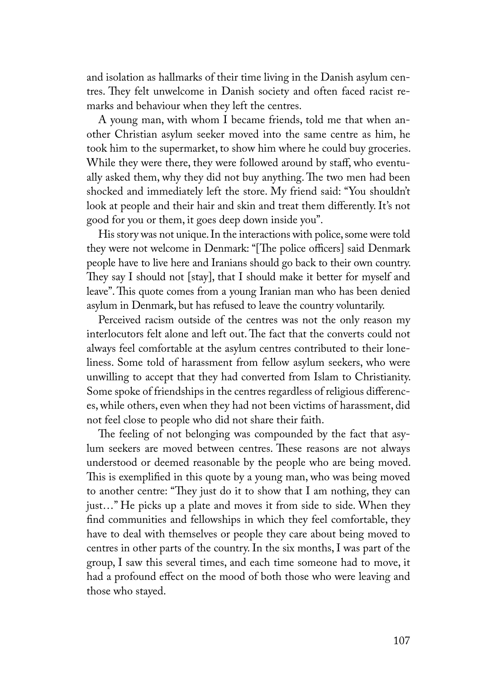and isolation as hallmarks of their time living in the Danish asylum centres. They felt unwelcome in Danish society and often faced racist remarks and behaviour when they left the centres.

A young man, with whom I became friends, told me that when another Christian asylum seeker moved into the same centre as him, he took him to the supermarket, to show him where he could buy groceries. While they were there, they were followed around by staff, who eventually asked them, why they did not buy anything. The two men had been shocked and immediately left the store. My friend said: "You shouldn't look at people and their hair and skin and treat them differently. It's not good for you or them, it goes deep down inside you".

His story was not unique. In the interactions with police, some were told they were not welcome in Denmark: "[The police officers] said Denmark people have to live here and Iranians should go back to their own country. They say I should not [stay], that I should make it better for myself and leave". This quote comes from a young Iranian man who has been denied asylum in Denmark, but has refused to leave the country voluntarily.

Perceived racism outside of the centres was not the only reason my interlocutors felt alone and left out. The fact that the converts could not always feel comfortable at the asylum centres contributed to their loneliness. Some told of harassment from fellow asylum seekers, who were unwilling to accept that they had converted from Islam to Christianity. Some spoke of friendships in the centres regardless of religious differences, while others, even when they had not been victims of harassment, did not feel close to people who did not share their faith.

The feeling of not belonging was compounded by the fact that asylum seekers are moved between centres. These reasons are not always understood or deemed reasonable by the people who are being moved. This is exemplified in this quote by a young man, who was being moved to another centre: "They just do it to show that I am nothing, they can just…" He picks up a plate and moves it from side to side. When they find communities and fellowships in which they feel comfortable, they have to deal with themselves or people they care about being moved to centres in other parts of the country. In the six months, I was part of the group, I saw this several times, and each time someone had to move, it had a profound effect on the mood of both those who were leaving and those who stayed.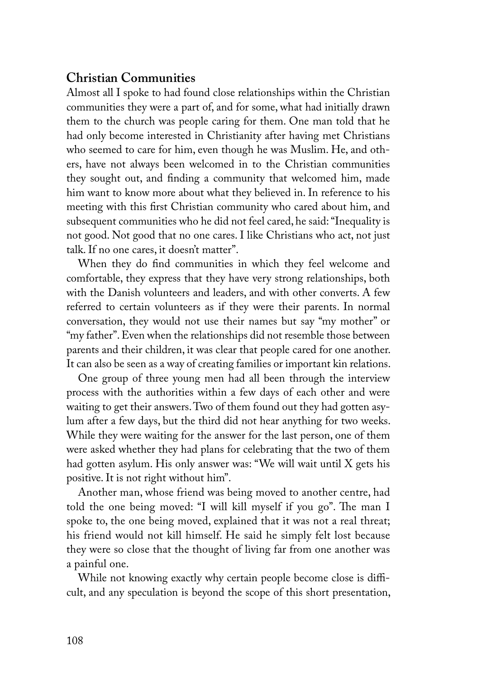### **Christian Communities**

Almost all I spoke to had found close relationships within the Christian communities they were a part of, and for some, what had initially drawn them to the church was people caring for them. One man told that he had only become interested in Christianity after having met Christians who seemed to care for him, even though he was Muslim. He, and others, have not always been welcomed in to the Christian communities they sought out, and finding a community that welcomed him, made him want to know more about what they believed in. In reference to his meeting with this first Christian community who cared about him, and subsequent communities who he did not feel cared, he said: "Inequality is not good. Not good that no one cares. I like Christians who act, not just talk. If no one cares, it doesn't matter".

When they do find communities in which they feel welcome and comfortable, they express that they have very strong relationships, both with the Danish volunteers and leaders, and with other converts. A few referred to certain volunteers as if they were their parents. In normal conversation, they would not use their names but say "my mother" or "my father". Even when the relationships did not resemble those between parents and their children, it was clear that people cared for one another. It can also be seen as a way of creating families or important kin relations.

One group of three young men had all been through the interview process with the authorities within a few days of each other and were waiting to get their answers. Two of them found out they had gotten asylum after a few days, but the third did not hear anything for two weeks. While they were waiting for the answer for the last person, one of them were asked whether they had plans for celebrating that the two of them had gotten asylum. His only answer was: "We will wait until X gets his positive. It is not right without him".

Another man, whose friend was being moved to another centre, had told the one being moved: "I will kill myself if you go". The man I spoke to, the one being moved, explained that it was not a real threat; his friend would not kill himself. He said he simply felt lost because they were so close that the thought of living far from one another was a painful one.

While not knowing exactly why certain people become close is difficult, and any speculation is beyond the scope of this short presentation,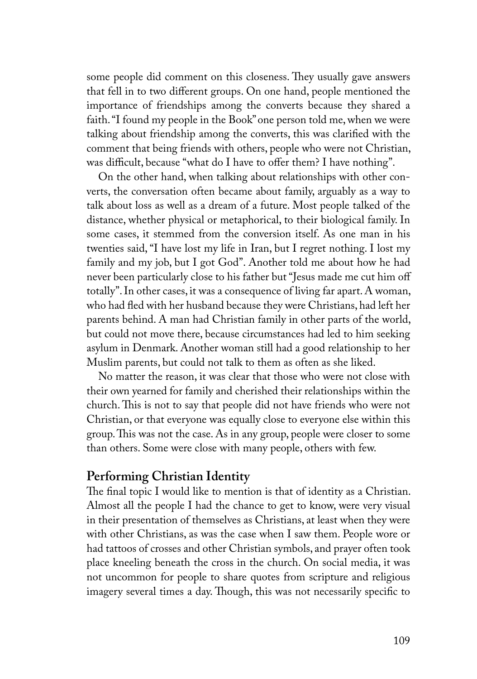some people did comment on this closeness. They usually gave answers that fell in to two different groups. On one hand, people mentioned the importance of friendships among the converts because they shared a faith. "I found my people in the Book" one person told me, when we were talking about friendship among the converts, this was clarified with the comment that being friends with others, people who were not Christian, was difficult, because "what do I have to offer them? I have nothing".

On the other hand, when talking about relationships with other converts, the conversation often became about family, arguably as a way to talk about loss as well as a dream of a future. Most people talked of the distance, whether physical or metaphorical, to their biological family. In some cases, it stemmed from the conversion itself. As one man in his twenties said, "I have lost my life in Iran, but I regret nothing. I lost my family and my job, but I got God". Another told me about how he had never been particularly close to his father but "Jesus made me cut him off totally". In other cases, it was a consequence of living far apart. A woman, who had fled with her husband because they were Christians, had left her parents behind. A man had Christian family in other parts of the world, but could not move there, because circumstances had led to him seeking asylum in Denmark. Another woman still had a good relationship to her Muslim parents, but could not talk to them as often as she liked.

No matter the reason, it was clear that those who were not close with their own yearned for family and cherished their relationships within the church. This is not to say that people did not have friends who were not Christian, or that everyone was equally close to everyone else within this group. This was not the case. As in any group, people were closer to some than others. Some were close with many people, others with few.

#### **Performing Christian Identity**

The final topic I would like to mention is that of identity as a Christian. Almost all the people I had the chance to get to know, were very visual in their presentation of themselves as Christians, at least when they were with other Christians, as was the case when I saw them. People wore or had tattoos of crosses and other Christian symbols, and prayer often took place kneeling beneath the cross in the church. On social media, it was not uncommon for people to share quotes from scripture and religious imagery several times a day. Though, this was not necessarily specific to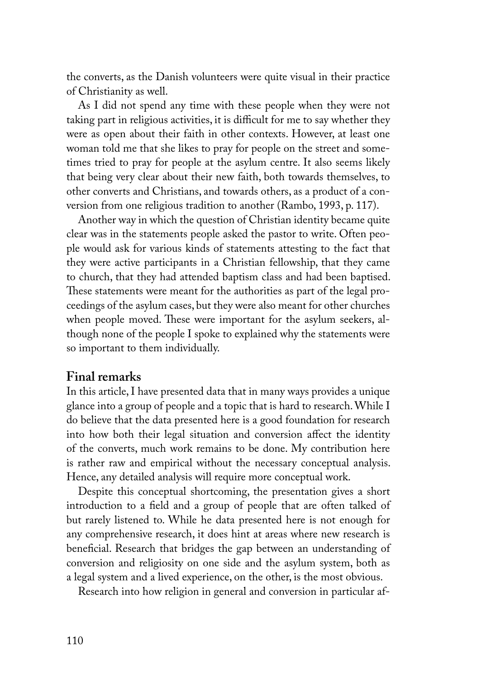the converts, as the Danish volunteers were quite visual in their practice of Christianity as well.

As I did not spend any time with these people when they were not taking part in religious activities, it is difficult for me to say whether they were as open about their faith in other contexts. However, at least one woman told me that she likes to pray for people on the street and sometimes tried to pray for people at the asylum centre. It also seems likely that being very clear about their new faith, both towards themselves, to other converts and Christians, and towards others, as a product of a conversion from one religious tradition to another (Rambo, 1993, p. 117).

Another way in which the question of Christian identity became quite clear was in the statements people asked the pastor to write. Often people would ask for various kinds of statements attesting to the fact that they were active participants in a Christian fellowship, that they came to church, that they had attended baptism class and had been baptised. These statements were meant for the authorities as part of the legal proceedings of the asylum cases, but they were also meant for other churches when people moved. These were important for the asylum seekers, although none of the people I spoke to explained why the statements were so important to them individually.

#### **Final remarks**

In this article, I have presented data that in many ways provides a unique glance into a group of people and a topic that is hard to research. While I do believe that the data presented here is a good foundation for research into how both their legal situation and conversion affect the identity of the converts, much work remains to be done. My contribution here is rather raw and empirical without the necessary conceptual analysis. Hence, any detailed analysis will require more conceptual work.

Despite this conceptual shortcoming, the presentation gives a short introduction to a field and a group of people that are often talked of but rarely listened to. While he data presented here is not enough for any comprehensive research, it does hint at areas where new research is beneficial. Research that bridges the gap between an understanding of conversion and religiosity on one side and the asylum system, both as a legal system and a lived experience, on the other, is the most obvious.

Research into how religion in general and conversion in particular af-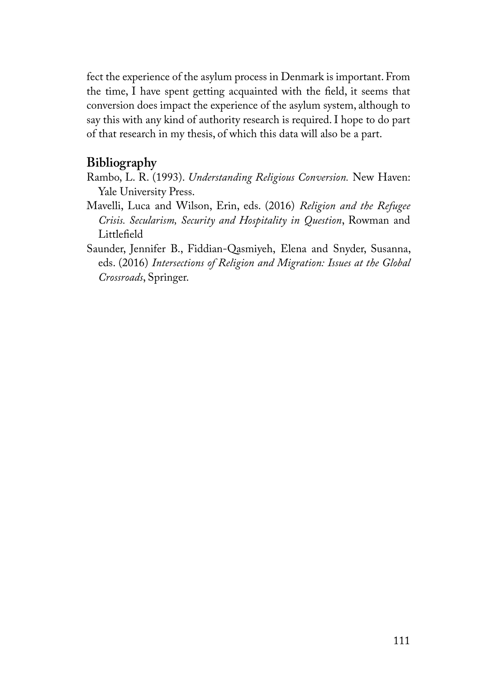fect the experience of the asylum process in Denmark is important. From the time, I have spent getting acquainted with the field, it seems that conversion does impact the experience of the asylum system, although to say this with any kind of authority research is required. I hope to do part of that research in my thesis, of which this data will also be a part.

## **Bibliography**

- Rambo, L. R. (1993). *Understanding Religious Conversion.* New Haven: Yale University Press.
- Mavelli, Luca and Wilson, Erin, eds. (2016) *Religion and the Refugee Crisis. Secularism, Security and Hospitality in Question*, Rowman and Littlefield
- Saunder, Jennifer B., Fiddian-Qasmiyeh, Elena and Snyder, Susanna, eds. (2016) *Intersections of Religion and Migration: Issues at the Global Crossroads*, Springer.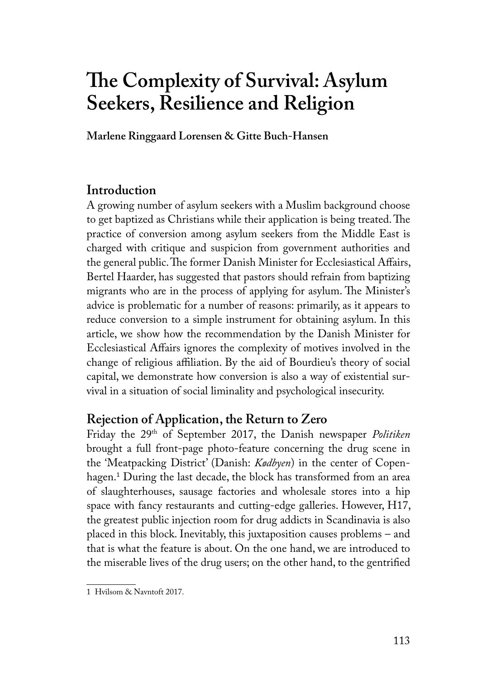# **The Complexity of Survival: Asylum Seekers, Resilience and Religion**

**Marlene Ringgaard Lorensen & Gitte Buch-Hansen**

## **Introduction**

A growing number of asylum seekers with a Muslim background choose to get baptized as Christians while their application is being treated. The practice of conversion among asylum seekers from the Middle East is charged with critique and suspicion from government authorities and the general public. The former Danish Minister for Ecclesiastical Affairs, Bertel Haarder, has suggested that pastors should refrain from baptizing migrants who are in the process of applying for asylum. The Minister's advice is problematic for a number of reasons: primarily, as it appears to reduce conversion to a simple instrument for obtaining asylum. In this article, we show how the recommendation by the Danish Minister for Ecclesiastical Affairs ignores the complexity of motives involved in the change of religious affiliation. By the aid of Bourdieu's theory of social capital, we demonstrate how conversion is also a way of existential survival in a situation of social liminality and psychological insecurity.

## **Rejection of Application, the Return to Zero**

Friday the 29<sup>th</sup> of September 2017, the Danish newspaper *Politiken* brought a full front-page photo-feature concerning the drug scene in the 'Meatpacking District' (Danish: *Kødbyen*) in the center of Copenhagen.<sup>1</sup> During the last decade, the block has transformed from an area of slaughterhouses, sausage factories and wholesale stores into a hip space with fancy restaurants and cutting-edge galleries. However, H17, the greatest public injection room for drug addicts in Scandinavia is also placed in this block. Inevitably, this juxtaposition causes problems – and that is what the feature is about. On the one hand, we are introduced to the miserable lives of the drug users; on the other hand, to the gentrified

<sup>1</sup> Hvilsom & Navntoft 2017.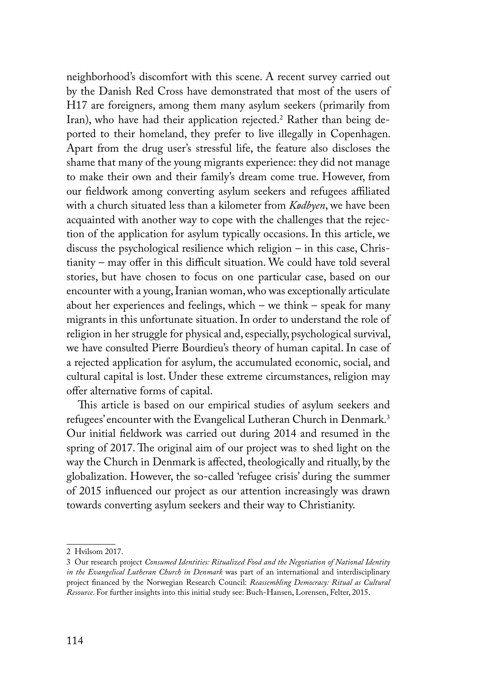neighborhood's discomfort with this scene. A recent survey carried out by the Danish Red Cross have demonstrated that most of the users of H17 are foreigners, among them many asylum seekers (primarily from Iran), who have had their application rejected.<sup>2</sup> Rather than being deported to their homeland, they prefer to live illegally in Copenhagen. Apart from the drug user's stressful life, the feature also discloses the shame that many of the young migrants experience: they did not manage to make their own and their family's dream come true. However, from our fieldwork among converting asylum seekers and refugees affiliated with a church situated less than a kilometer from *Kødbyen*, we have been acquainted with another way to cope with the challenges that the rejection of the application for asylum typically occasions. In this article, we discuss the psychological resilience which religion – in this case, Christianity – may offer in this difficult situation. We could have told several stories, but have chosen to focus on one particular case, based on our encounter with a young, Iranian woman, who was exceptionally articulate about her experiences and feelings, which – we think – speak for many migrants in this unfortunate situation. In order to understand the role of religion in her struggle for physical and, especially, psychological survival, we have consulted Pierre Bourdieu's theory of human capital. In case of a rejected application for asylum, the accumulated economic, social, and cultural capital is lost. Under these extreme circumstances, religion may offer alternative forms of capital.

This article is based on our empirical studies of asylum seekers and refugees' encounter with the Evangelical Lutheran Church in Denmark.<sup>3</sup> Our initial fieldwork was carried out during 2014 and resumed in the spring of 2017.The original aim of our project was to shed light on the way the Church in Denmark is affected, theologically and ritually, by the globalization. However, the so-called 'refugee crisis' during the summer of 2015 influenced our project as our attention increasingly was drawn towards converting asylum seekers and their way to Christianity.

<sup>2</sup> Hvilsom 2017.

<sup>3</sup> Our research project *Consumed Identities: Ritualized Food and the Negotiation of National Identity in the Evangelical Lutheran Church in Denmark* was part of an international and interdisciplinary project financed by the Norwegian Research Council: *Reassembling Democracy: Ritual as Cultural Resource*. For further insights into this initial study see: Buch-Hansen, Lorensen, Felter, 2015.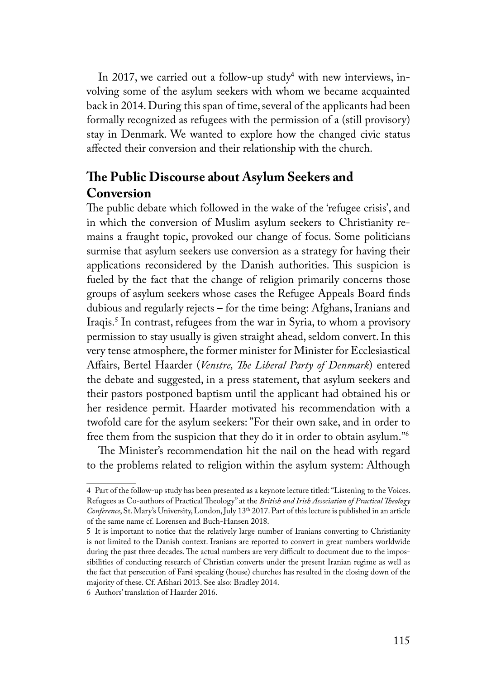In 2017, we carried out a follow-up study<sup>4</sup> with new interviews, involving some of the asylum seekers with whom we became acquainted back in 2014. During this span of time, several of the applicants had been formally recognized as refugees with the permission of a (still provisory) stay in Denmark. We wanted to explore how the changed civic status affected their conversion and their relationship with the church.

## **The Public Discourse about Asylum Seekers and Conversion**

The public debate which followed in the wake of the 'refugee crisis', and in which the conversion of Muslim asylum seekers to Christianity remains a fraught topic, provoked our change of focus. Some politicians surmise that asylum seekers use conversion as a strategy for having their applications reconsidered by the Danish authorities. This suspicion is fueled by the fact that the change of religion primarily concerns those groups of asylum seekers whose cases the Refugee Appeals Board finds dubious and regularly rejects – for the time being: Afghans, Iranians and Iraqis.5 In contrast, refugees from the war in Syria, to whom a provisory permission to stay usually is given straight ahead, seldom convert. In this very tense atmosphere, the former minister for Minister for Ecclesiastical Affairs, Bertel Haarder (*Venstre, The Liberal Party of Denmark*) entered the debate and suggested, in a press statement, that asylum seekers and their pastors postponed baptism until the applicant had obtained his or her residence permit. Haarder motivated his recommendation with a twofold care for the asylum seekers: "For their own sake, and in order to free them from the suspicion that they do it in order to obtain asylum."6

The Minister's recommendation hit the nail on the head with regard to the problems related to religion within the asylum system: Although

<sup>4</sup> Part of the follow-up study has been presented as a keynote lecture titled: "Listening to the Voices. Refugees as Co-authors of Practical Theology" at the *British and Irish Association of Practical Theology Conference*, St. Mary's University, London, July 13th 2017. Part of this lecture is published in an article of the same name cf. Lorensen and Buch-Hansen 2018.

<sup>5</sup> It is important to notice that the relatively large number of Iranians converting to Christianity is not limited to the Danish context. Iranians are reported to convert in great numbers worldwide during the past three decades. The actual numbers are very difficult to document due to the impossibilities of conducting research of Christian converts under the present Iranian regime as well as the fact that persecution of Farsi speaking (house) churches has resulted in the closing down of the majority of these. Cf. Afshari 2013. See also: Bradley 2014.

<sup>6</sup> Authors' translation of Haarder 2016.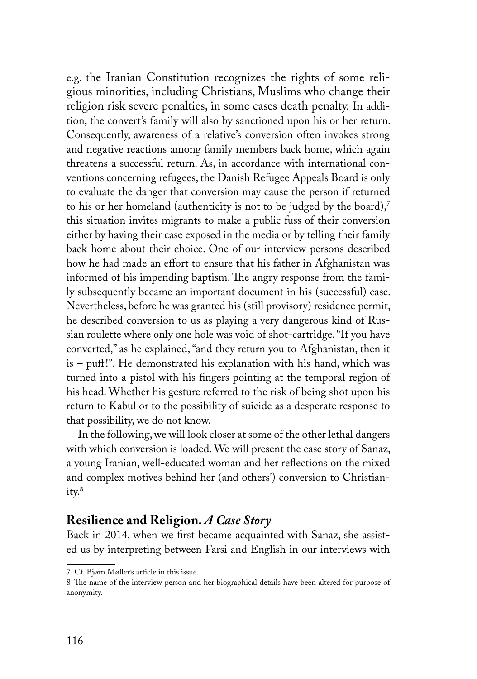e.g. the Iranian Constitution recognizes the rights of some religious minorities, including Christians, Muslims who change their religion risk severe penalties, in some cases death penalty. In addition, the convert's family will also by sanctioned upon his or her return. Consequently, awareness of a relative's conversion often invokes strong and negative reactions among family members back home, which again threatens a successful return. As, in accordance with international conventions concerning refugees, the Danish Refugee Appeals Board is only to evaluate the danger that conversion may cause the person if returned to his or her homeland (authenticity is not to be judged by the board), $7$ this situation invites migrants to make a public fuss of their conversion either by having their case exposed in the media or by telling their family back home about their choice. One of our interview persons described how he had made an effort to ensure that his father in Afghanistan was informed of his impending baptism. The angry response from the family subsequently became an important document in his (successful) case. Nevertheless, before he was granted his (still provisory) residence permit, he described conversion to us as playing a very dangerous kind of Russian roulette where only one hole was void of shot-cartridge. "If you have converted," as he explained, "and they return you to Afghanistan, then it is – puff!". He demonstrated his explanation with his hand, which was turned into a pistol with his fingers pointing at the temporal region of his head. Whether his gesture referred to the risk of being shot upon his return to Kabul or to the possibility of suicide as a desperate response to that possibility, we do not know.

In the following, we will look closer at some of the other lethal dangers with which conversion is loaded. We will present the case story of Sanaz, a young Iranian, well-educated woman and her reflections on the mixed and complex motives behind her (and others') conversion to Christianity.<sup>8</sup>

## **Resilience and Religion.** *A Case Story*

Back in 2014, when we first became acquainted with Sanaz, she assisted us by interpreting between Farsi and English in our interviews with

<sup>7</sup> Cf. Bjørn Møller's article in this issue.

<sup>8</sup> The name of the interview person and her biographical details have been altered for purpose of anonymity.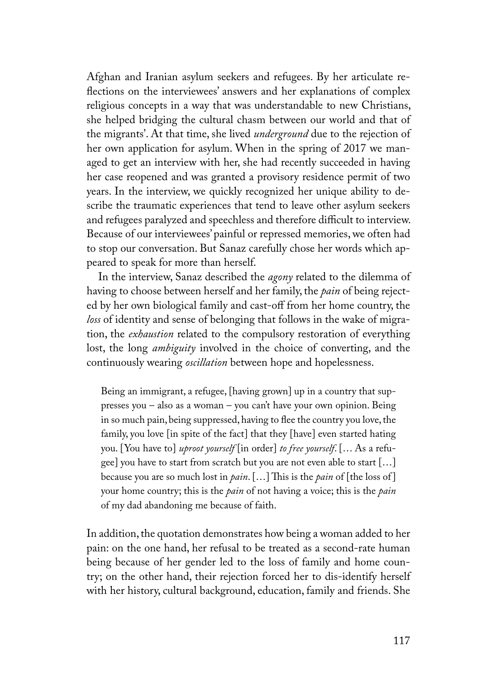Afghan and Iranian asylum seekers and refugees. By her articulate reflections on the interviewees' answers and her explanations of complex religious concepts in a way that was understandable to new Christians, she helped bridging the cultural chasm between our world and that of the migrants'. At that time, she lived *underground* due to the rejection of her own application for asylum. When in the spring of 2017 we managed to get an interview with her, she had recently succeeded in having her case reopened and was granted a provisory residence permit of two years. In the interview, we quickly recognized her unique ability to describe the traumatic experiences that tend to leave other asylum seekers and refugees paralyzed and speechless and therefore difficult to interview. Because of our interviewees' painful or repressed memories, we often had to stop our conversation. But Sanaz carefully chose her words which appeared to speak for more than herself.

In the interview, Sanaz described the *agony* related to the dilemma of having to choose between herself and her family, the *pain* of being rejected by her own biological family and cast-off from her home country, the *loss* of identity and sense of belonging that follows in the wake of migration, the *exhaustion* related to the compulsory restoration of everything lost, the long *ambiguity* involved in the choice of converting, and the continuously wearing *oscillation* between hope and hopelessness.

Being an immigrant, a refugee, [having grown] up in a country that suppresses you – also as a woman – you can't have your own opinion. Being in so much pain, being suppressed, having to flee the country you love, the family, you love [in spite of the fact] that they [have] even started hating you. [You have to] *uproot yourself* [in order] *to free yourself*. [… As a refugee] you have to start from scratch but you are not even able to start […] because you are so much lost in *pain*. […] This is the *pain* of [the loss of ] your home country; this is the *pain* of not having a voice; this is the *pain* of my dad abandoning me because of faith.

In addition, the quotation demonstrates how being a woman added to her pain: on the one hand, her refusal to be treated as a second-rate human being because of her gender led to the loss of family and home country; on the other hand, their rejection forced her to dis-identify herself with her history, cultural background, education, family and friends. She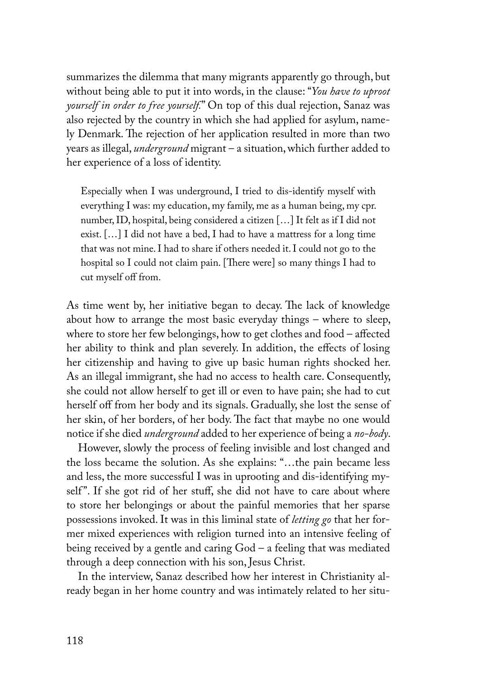summarizes the dilemma that many migrants apparently go through, but without being able to put it into words, in the clause: "*You have to uproot yourself in order to free yourself.*" On top of this dual rejection, Sanaz was also rejected by the country in which she had applied for asylum, namely Denmark. The rejection of her application resulted in more than two years as illegal, *underground* migrant – a situation, which further added to her experience of a loss of identity.

Especially when I was underground, I tried to dis-identify myself with everything I was: my education, my family, me as a human being, my cpr. number, ID, hospital, being considered a citizen […] It felt as if I did not exist. […] I did not have a bed, I had to have a mattress for a long time that was not mine. I had to share if others needed it. I could not go to the hospital so I could not claim pain. [There were] so many things I had to cut myself off from.

As time went by, her initiative began to decay. The lack of knowledge about how to arrange the most basic everyday things – where to sleep, where to store her few belongings, how to get clothes and food – affected her ability to think and plan severely. In addition, the effects of losing her citizenship and having to give up basic human rights shocked her. As an illegal immigrant, she had no access to health care. Consequently, she could not allow herself to get ill or even to have pain; she had to cut herself off from her body and its signals. Gradually, she lost the sense of her skin, of her borders, of her body. The fact that maybe no one would notice if she died *underground* added to her experience of being a *no-body*.

However, slowly the process of feeling invisible and lost changed and the loss became the solution. As she explains: "…the pain became less and less, the more successful I was in uprooting and dis-identifying myself". If she got rid of her stuff, she did not have to care about where to store her belongings or about the painful memories that her sparse possessions invoked. It was in this liminal state of *letting go* that her former mixed experiences with religion turned into an intensive feeling of being received by a gentle and caring God – a feeling that was mediated through a deep connection with his son, Jesus Christ.

In the interview, Sanaz described how her interest in Christianity already began in her home country and was intimately related to her situ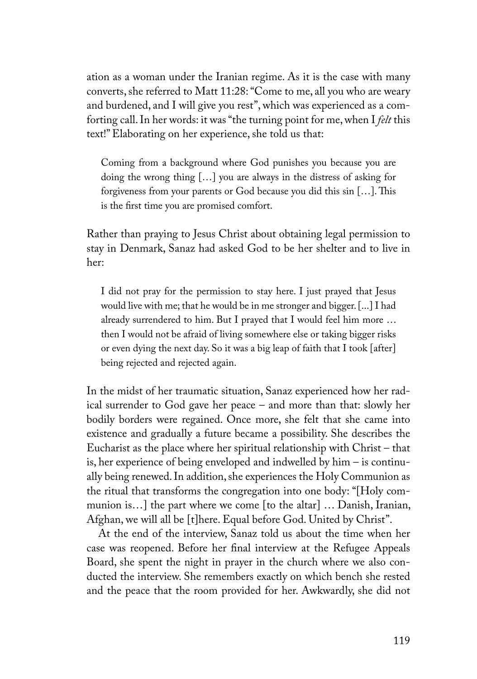ation as a woman under the Iranian regime. As it is the case with many converts, she referred to Matt 11:28: "Come to me, all you who are weary and burdened, and I will give you rest", which was experienced as a comforting call. In her words: it was "the turning point for me, when I *felt* this text!" Elaborating on her experience, she told us that:

Coming from a background where God punishes you because you are doing the wrong thing […] you are always in the distress of asking for forgiveness from your parents or God because you did this sin […]. This is the first time you are promised comfort.

Rather than praying to Jesus Christ about obtaining legal permission to stay in Denmark, Sanaz had asked God to be her shelter and to live in her:

I did not pray for the permission to stay here. I just prayed that Jesus would live with me; that he would be in me stronger and bigger. [...] I had already surrendered to him. But I prayed that I would feel him more … then I would not be afraid of living somewhere else or taking bigger risks or even dying the next day. So it was a big leap of faith that I took [after] being rejected and rejected again.

In the midst of her traumatic situation, Sanaz experienced how her radical surrender to God gave her peace – and more than that: slowly her bodily borders were regained. Once more, she felt that she came into existence and gradually a future became a possibility. She describes the Eucharist as the place where her spiritual relationship with Christ – that is, her experience of being enveloped and indwelled by him – is continually being renewed. In addition, she experiences the Holy Communion as the ritual that transforms the congregation into one body: "[Holy communion is…] the part where we come [to the altar] … Danish, Iranian, Afghan, we will all be [t]here. Equal before God. United by Christ".

At the end of the interview, Sanaz told us about the time when her case was reopened. Before her final interview at the Refugee Appeals Board, she spent the night in prayer in the church where we also conducted the interview. She remembers exactly on which bench she rested and the peace that the room provided for her. Awkwardly, she did not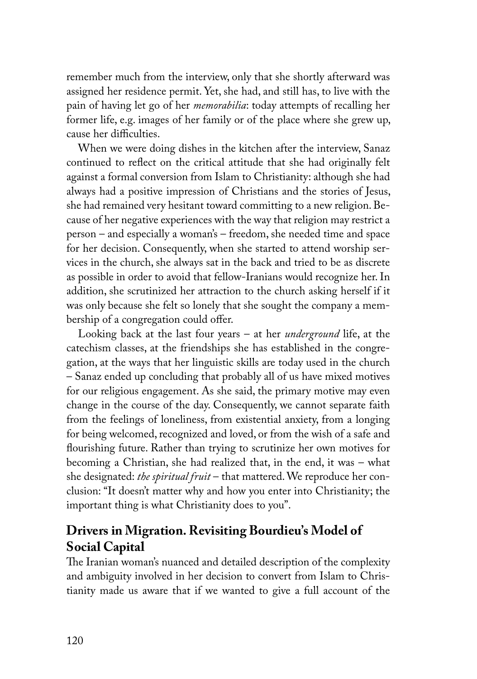remember much from the interview, only that she shortly afterward was assigned her residence permit. Yet, she had, and still has, to live with the pain of having let go of her *memorabilia*: today attempts of recalling her former life, e.g. images of her family or of the place where she grew up, cause her difficulties.

When we were doing dishes in the kitchen after the interview, Sanaz continued to reflect on the critical attitude that she had originally felt against a formal conversion from Islam to Christianity: although she had always had a positive impression of Christians and the stories of Jesus, she had remained very hesitant toward committing to a new religion. Because of her negative experiences with the way that religion may restrict a person – and especially a woman's – freedom, she needed time and space for her decision. Consequently, when she started to attend worship services in the church, she always sat in the back and tried to be as discrete as possible in order to avoid that fellow-Iranians would recognize her. In addition, she scrutinized her attraction to the church asking herself if it was only because she felt so lonely that she sought the company a membership of a congregation could offer.

Looking back at the last four years – at her *underground* life, at the catechism classes, at the friendships she has established in the congregation, at the ways that her linguistic skills are today used in the church – Sanaz ended up concluding that probably all of us have mixed motives for our religious engagement. As she said, the primary motive may even change in the course of the day. Consequently, we cannot separate faith from the feelings of loneliness, from existential anxiety, from a longing for being welcomed, recognized and loved, or from the wish of a safe and flourishing future. Rather than trying to scrutinize her own motives for becoming a Christian, she had realized that, in the end, it was – what she designated: *the spiritual fruit* – that mattered. We reproduce her conclusion: "It doesn't matter why and how you enter into Christianity; the important thing is what Christianity does to you".

## **Drivers in Migration. Revisiting Bourdieu's Model of Social Capital**

The Iranian woman's nuanced and detailed description of the complexity and ambiguity involved in her decision to convert from Islam to Christianity made us aware that if we wanted to give a full account of the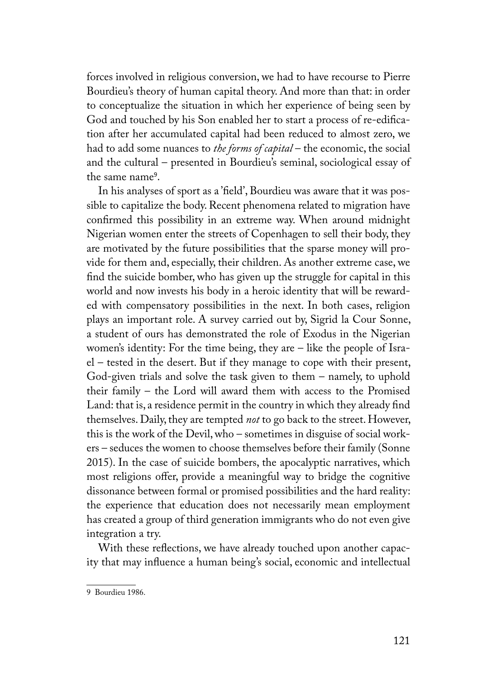forces involved in religious conversion, we had to have recourse to Pierre Bourdieu's theory of human capital theory. And more than that: in order to conceptualize the situation in which her experience of being seen by God and touched by his Son enabled her to start a process of re-edification after her accumulated capital had been reduced to almost zero, we had to add some nuances to *the forms of capital* – the economic, the social and the cultural – presented in Bourdieu's seminal, sociological essay of the same name<sup>9</sup>.

In his analyses of sport as a 'field', Bourdieu was aware that it was possible to capitalize the body. Recent phenomena related to migration have confirmed this possibility in an extreme way. When around midnight Nigerian women enter the streets of Copenhagen to sell their body, they are motivated by the future possibilities that the sparse money will provide for them and, especially, their children. As another extreme case, we find the suicide bomber, who has given up the struggle for capital in this world and now invests his body in a heroic identity that will be rewarded with compensatory possibilities in the next. In both cases, religion plays an important role. A survey carried out by, Sigrid la Cour Sonne, a student of ours has demonstrated the role of Exodus in the Nigerian women's identity: For the time being, they are – like the people of Israel – tested in the desert. But if they manage to cope with their present, God-given trials and solve the task given to them – namely, to uphold their family – the Lord will award them with access to the Promised Land: that is, a residence permit in the country in which they already find themselves. Daily, they are tempted *not* to go back to the street. However, this is the work of the Devil, who – sometimes in disguise of social workers – seduces the women to choose themselves before their family (Sonne 2015). In the case of suicide bombers, the apocalyptic narratives, which most religions offer, provide a meaningful way to bridge the cognitive dissonance between formal or promised possibilities and the hard reality: the experience that education does not necessarily mean employment has created a group of third generation immigrants who do not even give integration a try.

With these reflections, we have already touched upon another capacity that may influence a human being's social, economic and intellectual

<sup>9</sup> Bourdieu 1986.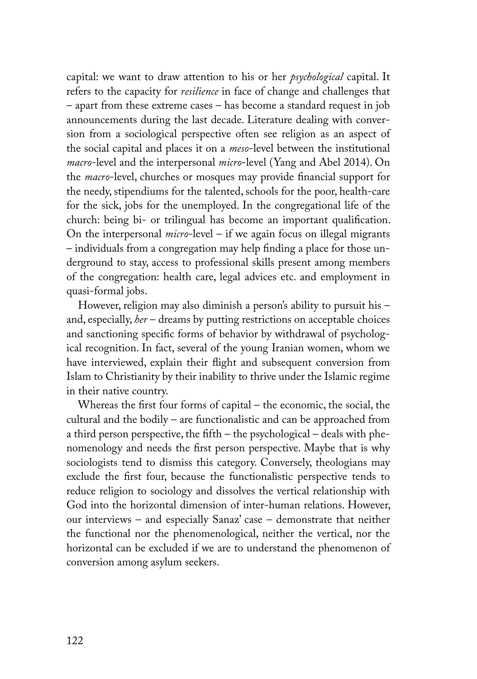capital: we want to draw attention to his or her *psychological* capital. It refers to the capacity for *resilience* in face of change and challenges that – apart from these extreme cases – has become a standard request in job announcements during the last decade. Literature dealing with conversion from a sociological perspective often see religion as an aspect of the social capital and places it on a *meso*-level between the institutional *macro*-level and the interpersonal *micro*-level (Yang and Abel 2014). On the *macro*-level, churches or mosques may provide financial support for the needy, stipendiums for the talented, schools for the poor, health-care for the sick, jobs for the unemployed. In the congregational life of the church: being bi- or trilingual has become an important qualification. On the interpersonal *micro*-level – if we again focus on illegal migrants – individuals from a congregation may help finding a place for those underground to stay, access to professional skills present among members of the congregation: health care, legal advices etc. and employment in quasi-formal jobs.

However, religion may also diminish a person's ability to pursuit his – and, especially, *her* – dreams by putting restrictions on acceptable choices and sanctioning specific forms of behavior by withdrawal of psychological recognition. In fact, several of the young Iranian women, whom we have interviewed, explain their flight and subsequent conversion from Islam to Christianity by their inability to thrive under the Islamic regime in their native country.

Whereas the first four forms of capital – the economic, the social, the cultural and the bodily – are functionalistic and can be approached from a third person perspective, the fifth – the psychological – deals with phenomenology and needs the first person perspective. Maybe that is why sociologists tend to dismiss this category. Conversely, theologians may exclude the first four, because the functionalistic perspective tends to reduce religion to sociology and dissolves the vertical relationship with God into the horizontal dimension of inter-human relations. However, our interviews – and especially Sanaz' case – demonstrate that neither the functional nor the phenomenological, neither the vertical, nor the horizontal can be excluded if we are to understand the phenomenon of conversion among asylum seekers.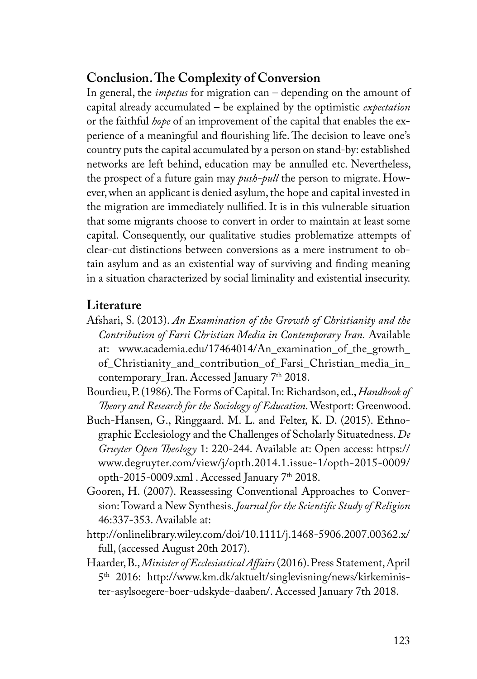## **Conclusion. The Complexity of Conversion**

In general, the *impetus* for migration can – depending on the amount of capital already accumulated – be explained by the optimistic *expectation* or the faithful *hope* of an improvement of the capital that enables the experience of a meaningful and flourishing life. The decision to leave one's country puts the capital accumulated by a person on stand-by: established networks are left behind, education may be annulled etc. Nevertheless, the prospect of a future gain may *push-pull* the person to migrate. However, when an applicant is denied asylum, the hope and capital invested in the migration are immediately nullified. It is in this vulnerable situation that some migrants choose to convert in order to maintain at least some capital. Consequently, our qualitative studies problematize attempts of clear-cut distinctions between conversions as a mere instrument to obtain asylum and as an existential way of surviving and finding meaning in a situation characterized by social liminality and existential insecurity.

### **Literature**

- Afshari, S. (2013). *An Examination of the Growth of Christianity and the Contribution of Farsi Christian Media in Contemporary Iran.* Available at: www.academia.edu/17464014/An\_examination\_of\_the\_growth\_ of\_Christianity\_and\_contribution\_of\_Farsi\_Christian\_media\_in\_ contemporary\_Iran. Accessed January 7<sup>th</sup> 2018.
- Bourdieu, P. (1986). The Forms of Capital. In: Richardson, ed., *Handbook of Theory and Research for the Sociology of Education*. Westport: Greenwood.
- Buch-Hansen, G., Ringgaard. M. L. and Felter, K. D. (2015). Ethnographic Ecclesiology and the Challenges of Scholarly Situatedness. *De Gruyter Open Theology* 1: 220-244. Available at: Open access: https:// www.degruyter.com/view/j/opth.2014.1.issue-1/opth-2015-0009/ opth-2015-0009.xml . Accessed January 7th 2018.
- Gooren, H. (2007). Reassessing Conventional Approaches to Conversion: Toward a New Synthesis. *Journal for the Scientific Study of Religion* 46:337-353. Available at:
- http://onlinelibrary.wiley.com/doi/10.1111/j.1468-5906.2007.00362.x/ full, (accessed August 20th 2017).
- Haarder, B., *Minister of Ecclesiastical Affairs* (2016). Press Statement, April 5th 2016: http://www.km.dk/aktuelt/singlevisning/news/kirkeminister-asylsoegere-boer-udskyde-daaben/. Accessed January 7th 2018.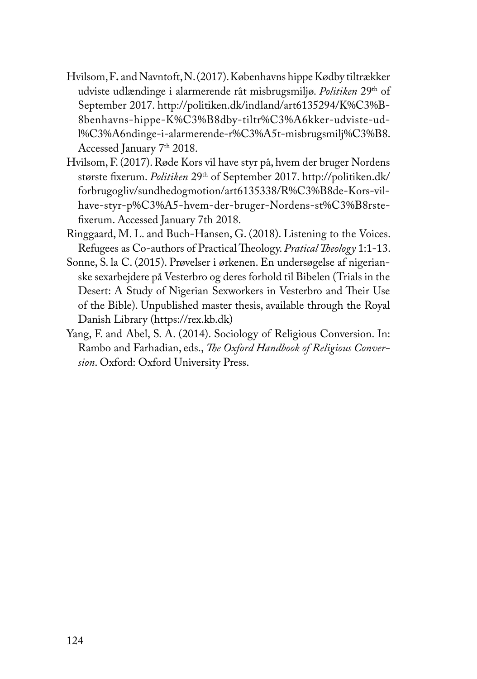- Hvilsom, F**.** and Navntoft, N. (2017). Københavns hippe Kødby tiltrækker udviste udlændinge i alarmerende råt misbrugsmiljø. *Politiken* 29th of September 2017. http://politiken.dk/indland/art6135294/K%C3%B-8benhavns-hippe-K%C3%B8dby-tiltr%C3%A6kker-udviste-udl%C3%A6ndinge-i-alarmerende-r%C3%A5t-misbrugsmilj%C3%B8. Accessed January 7th 2018.
- Hvilsom, F. (2017). Røde Kors vil have styr på, hvem der bruger Nordens største fixerum. *Politiken* 29th of September 2017. http://politiken.dk/ forbrugogliv/sundhedogmotion/art6135338/R%C3%B8de-Kors-vilhave-styr-p%C3%A5-hvem-der-bruger-Nordens-st%C3%B8rstefixerum. Accessed January 7th 2018.
- Ringgaard, M. L. and Buch-Hansen, G. (2018). Listening to the Voices. Refugees as Co-authors of Practical Theology. *Pratical Theology* 1:1-13.
- Sonne, S. la C. (2015). Prøvelser i ørkenen. En undersøgelse af nigerianske sexarbejdere på Vesterbro og deres forhold til Bibelen (Trials in the Desert: A Study of Nigerian Sexworkers in Vesterbro and Their Use of the Bible). Unpublished master thesis, available through the Royal Danish Library (https://rex.kb.dk)
- Yang, F. and Abel, S. A. (2014). Sociology of Religious Conversion. In: Rambo and Farhadian, eds., *The Oxford Handbook of Religious Conversion*. Oxford: Oxford University Press.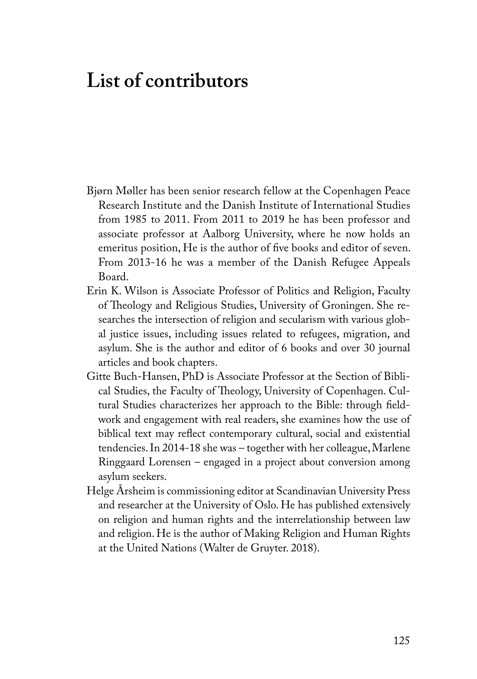## **List of contributors**

- Bjørn Møller has been senior research fellow at the Copenhagen Peace Research Institute and the Danish Institute of International Studies from 1985 to 2011. From 2011 to 2019 he has been professor and associate professor at Aalborg University, where he now holds an emeritus position, He is the author of five books and editor of seven. From 2013-16 he was a member of the Danish Refugee Appeals Board.
- Erin K. Wilson is Associate Professor of Politics and Religion, Faculty of Theology and Religious Studies, University of Groningen. She researches the intersection of religion and secularism with various global justice issues, including issues related to refugees, migration, and asylum. She is the author and editor of 6 books and over 30 journal articles and book chapters.
- Gitte Buch-Hansen, PhD is Associate Professor at the Section of Biblical Studies, the Faculty of Theology, University of Copenhagen. Cultural Studies characterizes her approach to the Bible: through fieldwork and engagement with real readers, she examines how the use of biblical text may reflect contemporary cultural, social and existential tendencies. In 2014-18 she was – together with her colleague, Marlene Ringgaard Lorensen – engaged in a project about conversion among asylum seekers.
- Helge Årsheim is commissioning editor at Scandinavian University Press and researcher at the University of Oslo. He has published extensively on religion and human rights and the interrelationship between law and religion. He is the author of Making Religion and Human Rights at the United Nations (Walter de Gruyter. 2018).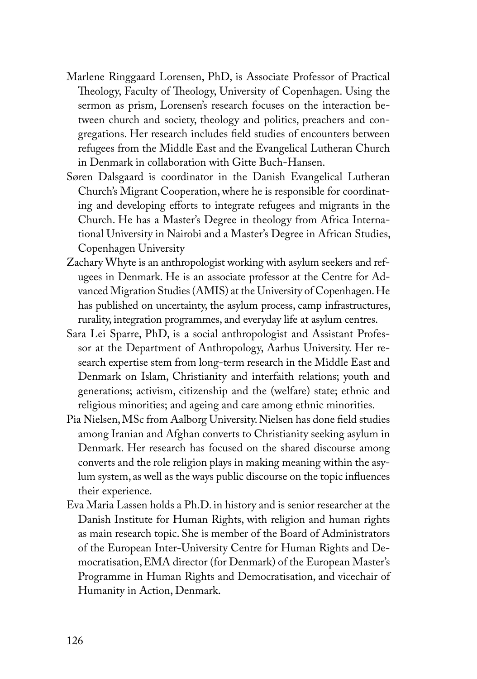- Marlene Ringgaard Lorensen, PhD, is Associate Professor of Practical Theology, Faculty of Theology, University of Copenhagen. Using the sermon as prism, Lorensen's research focuses on the interaction between church and society, theology and politics, preachers and congregations. Her research includes field studies of encounters between refugees from the Middle East and the Evangelical Lutheran Church in Denmark in collaboration with Gitte Buch-Hansen.
- Søren Dalsgaard is coordinator in the Danish Evangelical Lutheran Church's Migrant Cooperation, where he is responsible for coordinating and developing efforts to integrate refugees and migrants in the Church. He has a Master's Degree in theology from Africa International University in Nairobi and a Master's Degree in African Studies, Copenhagen University
- Zachary Whyte is an anthropologist working with asylum seekers and refugees in Denmark. He is an associate professor at the Centre for Advanced Migration Studies (AMIS) at the University of Copenhagen. He has published on uncertainty, the asylum process, camp infrastructures, rurality, integration programmes, and everyday life at asylum centres.
- Sara Lei Sparre, PhD, is a social anthropologist and Assistant Professor at the Department of Anthropology, Aarhus University. Her research expertise stem from long-term research in the Middle East and Denmark on Islam, Christianity and interfaith relations; youth and generations; activism, citizenship and the (welfare) state; ethnic and religious minorities; and ageing and care among ethnic minorities.
- Pia Nielsen, MSc from Aalborg University. Nielsen has done field studies among Iranian and Afghan converts to Christianity seeking asylum in Denmark. Her research has focused on the shared discourse among converts and the role religion plays in making meaning within the asylum system, as well as the ways public discourse on the topic influences their experience.
- Eva Maria Lassen holds a Ph.D. in history and is senior researcher at the Danish Institute for Human Rights, with religion and human rights as main research topic. She is member of the Board of Administrators of the European Inter-University Centre for Human Rights and Democratisation, EMA director (for Denmark) of the European Master's Programme in Human Rights and Democratisation, and vicechair of Humanity in Action, Denmark.